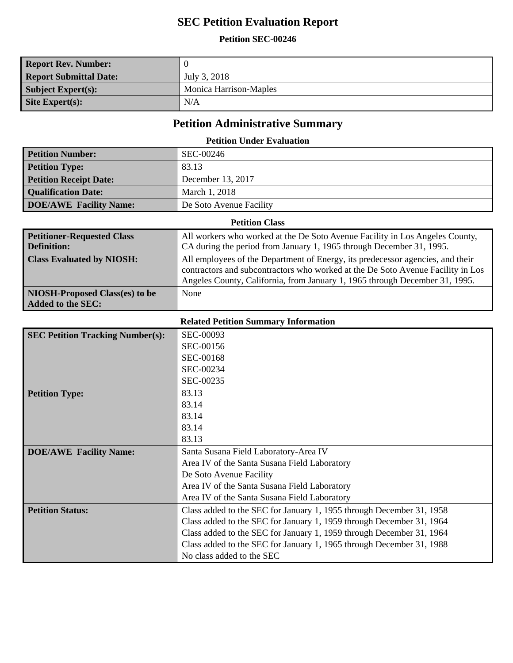# **SEC Petition Evaluation Report**

#### **Petition SEC-00246**

| <b>Report Rev. Number:</b>    |                        |
|-------------------------------|------------------------|
| <b>Report Submittal Date:</b> | July 3, 2018           |
| Subject $Expert(s)$ :         | Monica Harrison-Maples |
| Site Expert(s):               | N/A                    |

## **Petition Administrative Summary**

#### **Petition Under Evaluation**

| <b>Petition Number:</b>       | SEC-00246               |
|-------------------------------|-------------------------|
| <b>Petition Type:</b>         | 83.13                   |
| <b>Petition Receipt Date:</b> | December 13, 2017       |
| <b>Qualification Date:</b>    | March 1, 2018           |
| <b>DOE/AWE Facility Name:</b> | De Soto Avenue Facility |

| <b>Petition Class</b>                                             |                                                                                                                                                                                                                                                  |  |
|-------------------------------------------------------------------|--------------------------------------------------------------------------------------------------------------------------------------------------------------------------------------------------------------------------------------------------|--|
| <b>Petitioner-Requested Class</b><br><b>Definition:</b>           | All workers who worked at the De Soto Avenue Facility in Los Angeles County,<br>CA during the period from January 1, 1965 through December 31, 1995.                                                                                             |  |
| <b>Class Evaluated by NIOSH:</b>                                  | All employees of the Department of Energy, its predecessor agencies, and their<br>contractors and subcontractors who worked at the De Soto Avenue Facility in Los<br>Angeles County, California, from January 1, 1965 through December 31, 1995. |  |
| <b>NIOSH-Proposed Class(es) to be</b><br><b>Added to the SEC:</b> | None                                                                                                                                                                                                                                             |  |

|  | <b>Related Petition Summary Information</b> |  |
|--|---------------------------------------------|--|

| <b>SEC Petition Tracking Number(s):</b> | SEC-00093                                                            |
|-----------------------------------------|----------------------------------------------------------------------|
|                                         | SEC-00156                                                            |
|                                         | SEC-00168                                                            |
|                                         | SEC-00234                                                            |
|                                         | SEC-00235                                                            |
| <b>Petition Type:</b>                   | 83.13                                                                |
|                                         | 83.14                                                                |
|                                         | 83.14                                                                |
|                                         | 83.14                                                                |
|                                         | 83.13                                                                |
| <b>DOE/AWE Facility Name:</b>           | Santa Susana Field Laboratory-Area IV                                |
|                                         | Area IV of the Santa Susana Field Laboratory                         |
|                                         | De Soto Avenue Facility                                              |
|                                         | Area IV of the Santa Susana Field Laboratory                         |
|                                         | Area IV of the Santa Susana Field Laboratory                         |
| <b>Petition Status:</b>                 | Class added to the SEC for January 1, 1955 through December 31, 1958 |
|                                         | Class added to the SEC for January 1, 1959 through December 31, 1964 |
|                                         | Class added to the SEC for January 1, 1959 through December 31, 1964 |
|                                         | Class added to the SEC for January 1, 1965 through December 31, 1988 |
|                                         | No class added to the SEC                                            |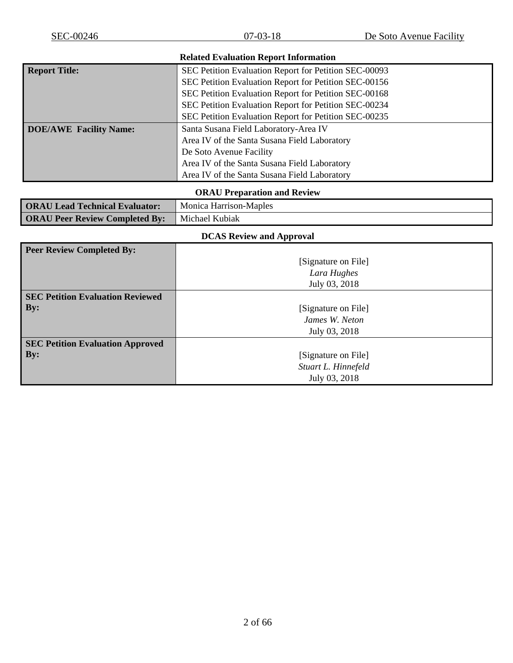|                               | <b>Related Evaluation Report Information</b>          |
|-------------------------------|-------------------------------------------------------|
| <b>Report Title:</b>          | SEC Petition Evaluation Report for Petition SEC-00093 |
|                               | SEC Petition Evaluation Report for Petition SEC-00156 |
|                               | SEC Petition Evaluation Report for Petition SEC-00168 |
|                               | SEC Petition Evaluation Report for Petition SEC-00234 |
|                               | SEC Petition Evaluation Report for Petition SEC-00235 |
| <b>DOE/AWE Facility Name:</b> | Santa Susana Field Laboratory-Area IV                 |
|                               | Area IV of the Santa Susana Field Laboratory          |
|                               | De Soto Avenue Facility                               |
|                               | Area IV of the Santa Susana Field Laboratory          |
|                               | Area IV of the Santa Susana Field Laboratory          |

#### **ORAU Preparation and Review**

| <b>ORAU Lead Technical Evaluator:</b> | <b>Monica Harrison-Maples</b> |
|---------------------------------------|-------------------------------|
| <b>ORAU Peer Review Completed By:</b> | Michael Kubiak                |

### **DCAS Review and Approval**

| <b>Peer Review Completed By:</b>        |                     |  |
|-----------------------------------------|---------------------|--|
|                                         | [Signature on File] |  |
|                                         | Lara Hughes         |  |
|                                         | July 03, 2018       |  |
| <b>SEC Petition Evaluation Reviewed</b> |                     |  |
| By:                                     | [Signature on File] |  |
|                                         | James W. Neton      |  |
|                                         | July 03, 2018       |  |
| <b>SEC Petition Evaluation Approved</b> |                     |  |
| By:                                     | [Signature on File] |  |
|                                         | Stuart L. Hinnefeld |  |
|                                         | July 03, 2018       |  |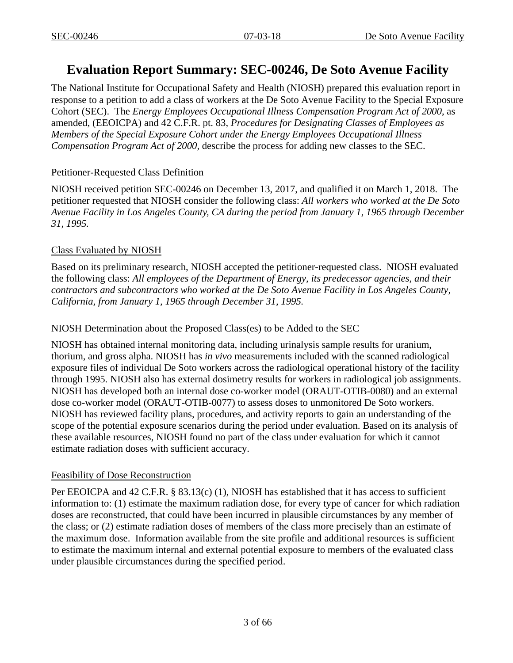## <span id="page-2-0"></span>**Evaluation Report Summary: SEC-00246, De Soto Avenue Facility**

The National Institute for Occupational Safety and Health (NIOSH) prepared this evaluation report in response to a petition to add a class of workers at the De Soto Avenue Facility to the Special Exposure Cohort (SEC). The *Energy Employees Occupational Illness Compensation Program Act of 2000*, as amended, (EEOICPA) and 42 C.F.R. pt. 83, *Procedures for Designating Classes of Employees as Members of the Special Exposure Cohort under the Energy Employees Occupational Illness Compensation Program Act of 2000,* describe the process for adding new classes to the SEC.

#### Petitioner-Requested Class Definition

NIOSH received petition SEC-00246 on December 13, 2017, and qualified it on March 1, 2018. The petitioner requested that NIOSH consider the following class: *All workers who worked at the De Soto Avenue Facility in Los Angeles County, CA during the period from January 1, 1965 through December 31, 1995.* 

#### Class Evaluated by NIOSH

Based on its preliminary research, NIOSH accepted the petitioner-requested class. NIOSH evaluated the following class: *All employees of the Department of Energy, its predecessor agencies, and their contractors and subcontractors who worked at the De Soto Avenue Facility in Los Angeles County, California, from January 1, 1965 through December 31, 1995.*

#### NIOSH Determination about the Proposed Class(es) to be Added to the SEC

NIOSH has obtained internal monitoring data, including urinalysis sample results for uranium, thorium, and gross alpha. NIOSH has *in vivo* measurements included with the scanned radiological exposure files of individual De Soto workers across the radiological operational history of the facility through 1995. NIOSH also has external dosimetry results for workers in radiological job assignments. NIOSH has developed both an internal dose co-worker model (ORAUT-OTIB-0080) and an external dose co-worker model (ORAUT-OTIB-0077) to assess doses to unmonitored De Soto workers. NIOSH has reviewed facility plans, procedures, and activity reports to gain an understanding of the scope of the potential exposure scenarios during the period under evaluation. Based on its analysis of these available resources, NIOSH found no part of the class under evaluation for which it cannot estimate radiation doses with sufficient accuracy.

#### Feasibility of Dose Reconstruction

Per EEOICPA and 42 C.F.R. § 83.13(c) (1), NIOSH has established that it has access to sufficient information to: (1) estimate the maximum radiation dose, for every type of cancer for which radiation doses are reconstructed, that could have been incurred in plausible circumstances by any member of the class; or (2) estimate radiation doses of members of the class more precisely than an estimate of the maximum dose. Information available from the site profile and additional resources is sufficient to estimate the maximum internal and external potential exposure to members of the evaluated class under plausible circumstances during the specified period.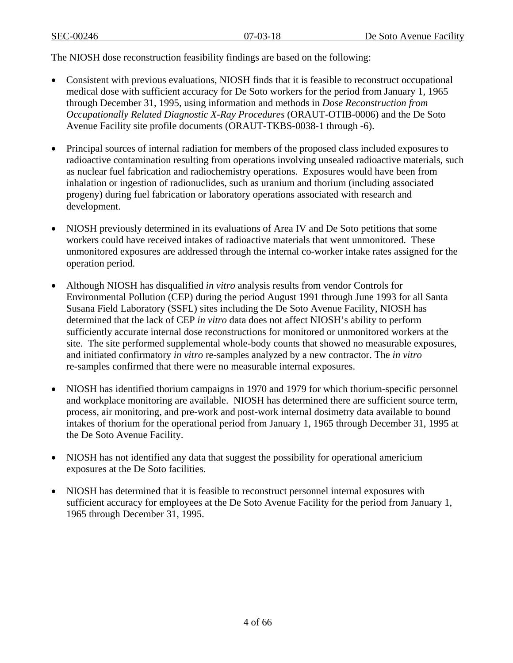The NIOSH dose reconstruction feasibility findings are based on the following:

- Consistent with previous evaluations, NIOSH finds that it is feasible to reconstruct occupational medical dose with sufficient accuracy for De Soto workers for the period from January 1, 1965 through December 31, 1995, using information and methods in *Dose Reconstruction from Occupationally Related Diagnostic X-Ray Procedures* (ORAUT-OTIB-0006) and the De Soto Avenue Facility site profile documents (ORAUT-TKBS-0038-1 through -6).
- Principal sources of internal radiation for members of the proposed class included exposures to radioactive contamination resulting from operations involving unsealed radioactive materials, such as nuclear fuel fabrication and radiochemistry operations. Exposures would have been from inhalation or ingestion of radionuclides, such as uranium and thorium (including associated progeny) during fuel fabrication or laboratory operations associated with research and development.
- NIOSH previously determined in its evaluations of Area IV and De Soto petitions that some workers could have received intakes of radioactive materials that went unmonitored. These unmonitored exposures are addressed through the internal co-worker intake rates assigned for the operation period.
- Although NIOSH has disqualified *in vitro* analysis results from vendor Controls for Environmental Pollution (CEP) during the period August 1991 through June 1993 for all Santa Susana Field Laboratory (SSFL) sites including the De Soto Avenue Facility, NIOSH has determined that the lack of CEP *in vitro* data does not affect NIOSH's ability to perform sufficiently accurate internal dose reconstructions for monitored or unmonitored workers at the site. The site performed supplemental whole-body counts that showed no measurable exposures, and initiated confirmatory *in vitro* re-samples analyzed by a new contractor. The *in vitro* re-samples confirmed that there were no measurable internal exposures.
- NIOSH has identified thorium campaigns in 1970 and 1979 for which thorium-specific personnel and workplace monitoring are available. NIOSH has determined there are sufficient source term, process, air monitoring, and pre-work and post-work internal dosimetry data available to bound intakes of thorium for the operational period from January 1, 1965 through December 31, 1995 at the De Soto Avenue Facility.
- NIOSH has not identified any data that suggest the possibility for operational americium exposures at the De Soto facilities.
- NIOSH has determined that it is feasible to reconstruct personnel internal exposures with sufficient accuracy for employees at the De Soto Avenue Facility for the period from January 1, 1965 through December 31, 1995.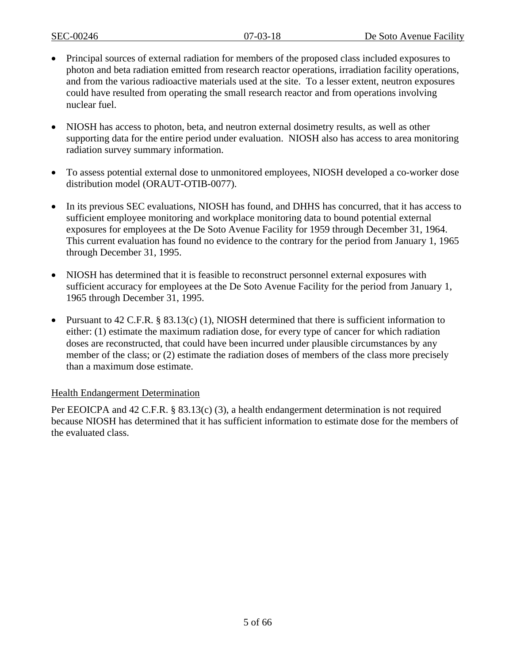| SEC-00246                                                                                                                                                                                                 | $07-03-18$ | De Soto Avenue Facility |
|-----------------------------------------------------------------------------------------------------------------------------------------------------------------------------------------------------------|------------|-------------------------|
| • Principal sources of external radiation for members of the proposed class included exposures to<br>photon and beta radiation emitted from research reactor operations, irradiation facility operations, |            |                         |
| and from the various radioactive materials used at the site. To a lesser extent, neutron exposures<br>could have resulted from operating the small research reactor and from operations involving         |            |                         |

• NIOSH has access to photon, beta, and neutron external dosimetry results, as well as other supporting data for the entire period under evaluation. NIOSH also has access to area monitoring radiation survey summary information.

- To assess potential external dose to unmonitored employees, NIOSH developed a co-worker dose distribution model (ORAUT-OTIB-0077).
- In its previous SEC evaluations, NIOSH has found, and DHHS has concurred, that it has access to sufficient employee monitoring and workplace monitoring data to bound potential external exposures for employees at the De Soto Avenue Facility for 1959 through December 31, 1964. This current evaluation has found no evidence to the contrary for the period from January 1, 1965 through December 31, 1995.
- NIOSH has determined that it is feasible to reconstruct personnel external exposures with sufficient accuracy for employees at the De Soto Avenue Facility for the period from January 1, 1965 through December 31, 1995.
- Pursuant to 42 C.F.R. § 83.13(c) (1), NIOSH determined that there is sufficient information to either: (1) estimate the maximum radiation dose, for every type of cancer for which radiation doses are reconstructed, that could have been incurred under plausible circumstances by any member of the class; or (2) estimate the radiation doses of members of the class more precisely than a maximum dose estimate.

#### Health Endangerment Determination

nuclear fuel.

Per EEOICPA and 42 C.F.R. § 83.13(c) (3), a health endangerment determination is not required because NIOSH has determined that it has sufficient information to estimate dose for the members of the evaluated class.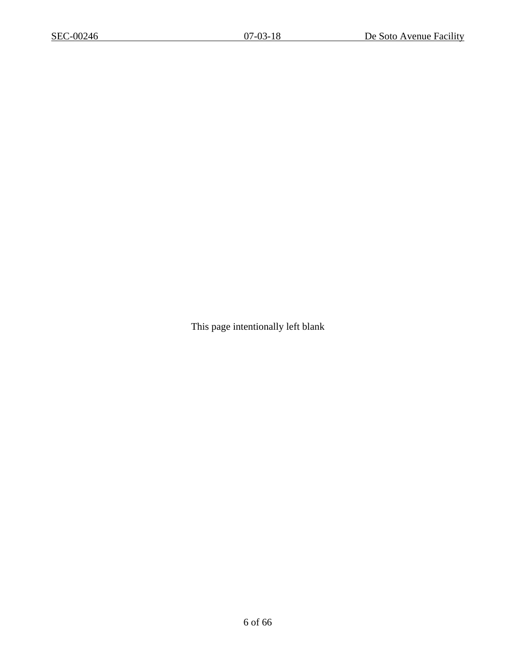This page intentionally left blank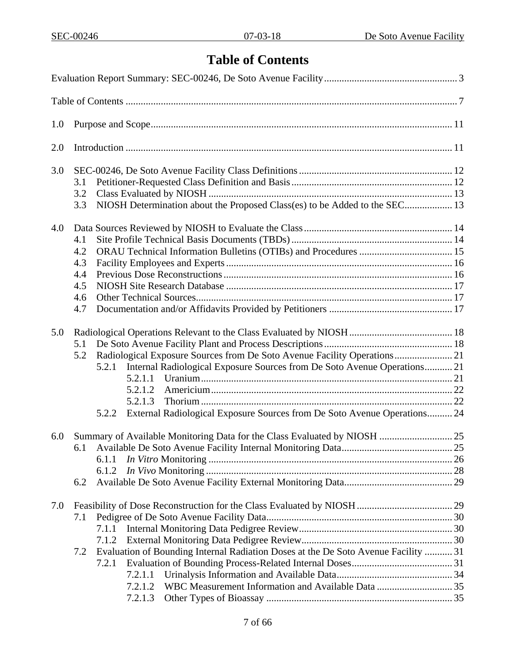# **Table of Contents**

<span id="page-6-0"></span>

| 1.0 |                                                                                                                                                                                                                                                                                                   |  |
|-----|---------------------------------------------------------------------------------------------------------------------------------------------------------------------------------------------------------------------------------------------------------------------------------------------------|--|
| 2.0 |                                                                                                                                                                                                                                                                                                   |  |
| 3.0 | 3.1<br>3.2<br>NIOSH Determination about the Proposed Class(es) to be Added to the SEC 13<br>3.3                                                                                                                                                                                                   |  |
| 4.0 | 4.1<br>4.2<br>4.3<br>4.4<br>4.5<br>4.6<br>4.7                                                                                                                                                                                                                                                     |  |
| 5.0 | 5.1<br>Radiological Exposure Sources from De Soto Avenue Facility Operations 21<br>5.2<br>Internal Radiological Exposure Sources from De Soto Avenue Operations 21<br>5.2.1<br>5.2.1.1<br>5.2.1.2<br>5.2.1.3<br>External Radiological Exposure Sources from De Soto Avenue Operations 24<br>5.2.2 |  |
| 6.0 | Summary of Available Monitoring Data for the Class Evaluated by NIOSH  25<br>6.1<br>6.1.1<br>6.1.2<br>6.2                                                                                                                                                                                         |  |
| 7.0 | 7.1<br>7.1.1<br>7.1.2<br>Evaluation of Bounding Internal Radiation Doses at the De Soto Avenue Facility  31<br>7.2<br>7.2.1<br>7.2.1.1<br>7.2.1.2<br>7.2.1.3                                                                                                                                      |  |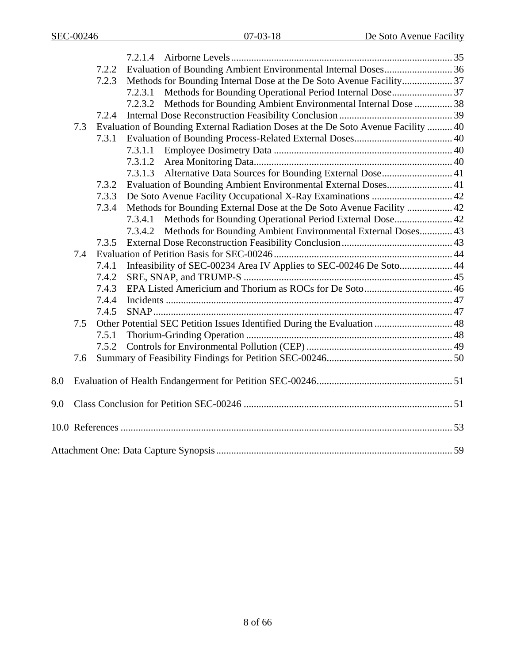|     |     | 7.2.2 |                                                                                    |  |
|-----|-----|-------|------------------------------------------------------------------------------------|--|
|     |     | 7.2.3 |                                                                                    |  |
|     |     |       | 7.2.3.1                                                                            |  |
|     |     |       | 7.2.3.2 Methods for Bounding Ambient Environmental Internal Dose  38               |  |
|     |     | 7.2.4 |                                                                                    |  |
|     | 7.3 |       | Evaluation of Bounding External Radiation Doses at the De Soto Avenue Facility  40 |  |
|     |     | 7.3.1 |                                                                                    |  |
|     |     |       | 7.3.1.1                                                                            |  |
|     |     |       | 7.3.1.2                                                                            |  |
|     |     |       | Alternative Data Sources for Bounding External Dose 41<br>7.3.1.3                  |  |
|     |     | 7.3.2 | Evaluation of Bounding Ambient Environmental External Doses 41                     |  |
|     |     | 7.3.3 |                                                                                    |  |
|     |     | 7.3.4 | Methods for Bounding External Dose at the De Soto Avenue Facility  42              |  |
|     |     |       | Methods for Bounding Operational Period External Dose 42<br>7.3.4.1                |  |
|     |     |       | Methods for Bounding Ambient Environmental External Doses 43<br>7.3.4.2            |  |
|     |     | 7.3.5 |                                                                                    |  |
|     | 7.4 |       |                                                                                    |  |
|     |     | 7.4.1 | Infeasibility of SEC-00234 Area IV Applies to SEC-00246 De Soto 44                 |  |
|     |     | 7.4.2 |                                                                                    |  |
|     |     | 7.4.3 |                                                                                    |  |
|     |     | 7.4.4 |                                                                                    |  |
|     |     | 7.4.5 |                                                                                    |  |
|     | 7.5 |       | Other Potential SEC Petition Issues Identified During the Evaluation  48           |  |
|     |     | 7.5.1 |                                                                                    |  |
|     |     | 7.5.2 |                                                                                    |  |
|     | 7.6 |       |                                                                                    |  |
| 8.0 |     |       |                                                                                    |  |
| 9.0 |     |       |                                                                                    |  |
|     |     |       |                                                                                    |  |
|     |     |       |                                                                                    |  |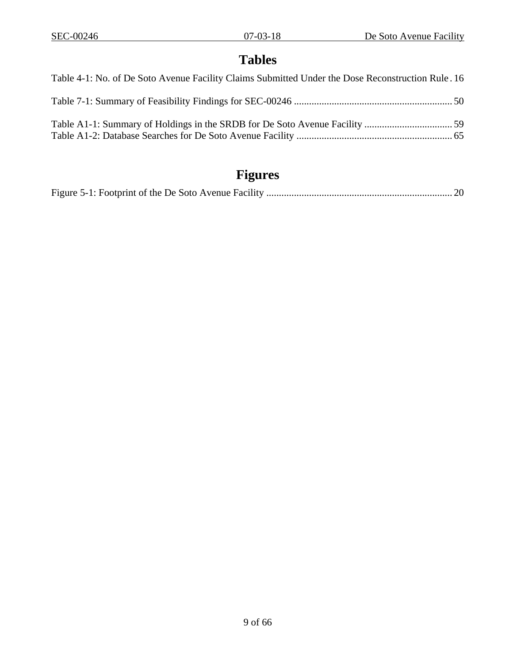# **Tables**

| Table 4-1: No. of De Soto Avenue Facility Claims Submitted Under the Dose Reconstruction Rule. 16 |  |
|---------------------------------------------------------------------------------------------------|--|
|                                                                                                   |  |
|                                                                                                   |  |

# **Figures**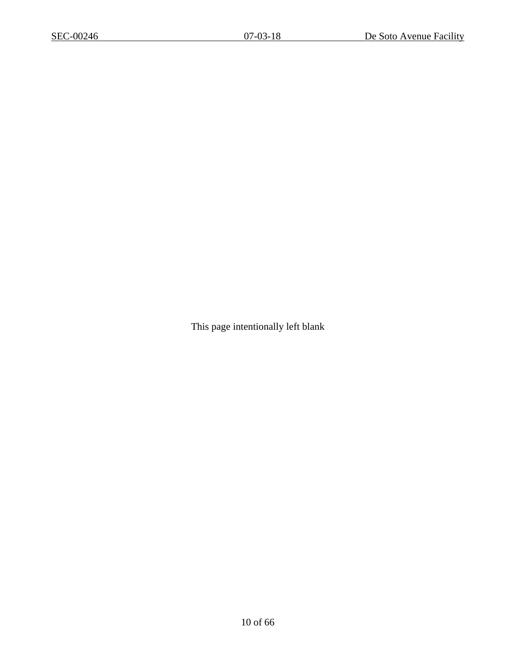This page intentionally left blank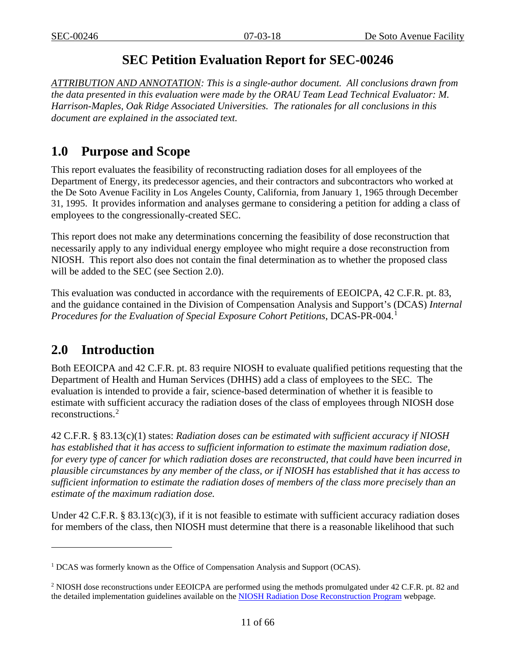## **SEC Petition Evaluation Report for SEC-00246**

*ATTRIBUTION AND ANNOTATION: This is a single-author document. All conclusions drawn from the data presented in this evaluation were made by the ORAU Team Lead Technical Evaluator: M. Harrison-Maples, Oak Ridge Associated Universities. The rationales for all conclusions in this document are explained in the associated text.*

## <span id="page-10-0"></span>**1.0 Purpose and Scope**

This report evaluates the feasibility of reconstructing radiation doses for all employees of the Department of Energy, its predecessor agencies, and their contractors and subcontractors who worked at the De Soto Avenue Facility in Los Angeles County, California, from January 1, 1965 through December 31, 1995. It provides information and analyses germane to considering a petition for adding a class of employees to the congressionally-created SEC.

This report does not make any determinations concerning the feasibility of dose reconstruction that necessarily apply to any individual energy employee who might require a dose reconstruction from NIOSH. This report also does not contain the final determination as to whether the proposed class will be added to the SEC (see Section 2.0).

This evaluation was conducted in accordance with the requirements of EEOICPA, 42 C.F.R. pt. 83, and the guidance contained in the Division of Compensation Analysis and Support's (DCAS) *Internal Procedures for the Evaluation of Special Exposure Cohort Petitions, DCAS-PR-004.*<sup>[1](#page-10-2)</sup>

## <span id="page-10-1"></span>**2.0 Introduction**

 $\overline{a}$ 

Both EEOICPA and 42 C.F.R. pt. 83 require NIOSH to evaluate qualified petitions requesting that the Department of Health and Human Services (DHHS) add a class of employees to the SEC. The evaluation is intended to provide a fair, science-based determination of whether it is feasible to estimate with sufficient accuracy the radiation doses of the class of employees through NIOSH dose reconstructions.[2](#page-10-3)

42 C.F.R. § 83.13(c)(1) states: *Radiation doses can be estimated with sufficient accuracy if NIOSH has established that it has access to sufficient information to estimate the maximum radiation dose, for every type of cancer for which radiation doses are reconstructed, that could have been incurred in plausible circumstances by any member of the class, or if NIOSH has established that it has access to sufficient information to estimate the radiation doses of members of the class more precisely than an estimate of the maximum radiation dose.*

Under 42 C.F.R. § 83.13(c)(3), if it is not feasible to estimate with sufficient accuracy radiation doses for members of the class, then NIOSH must determine that there is a reasonable likelihood that such

<span id="page-10-2"></span><sup>1</sup> DCAS was formerly known as the Office of Compensation Analysis and Support (OCAS).

<span id="page-10-3"></span><sup>2</sup> NIOSH dose reconstructions under EEOICPA are performed using the methods promulgated under 42 C.F.R. pt. 82 and the detailed implementation guidelines available on th[e NIOSH Radiation Dose Reconstruction Program](https://www.cdc.gov/niosh/ocas/) webpage.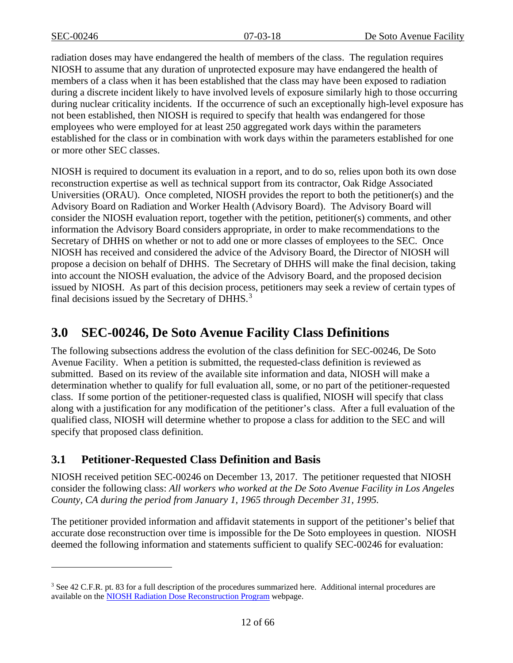$\overline{a}$ 

radiation doses may have endangered the health of members of the class. The regulation requires NIOSH to assume that any duration of unprotected exposure may have endangered the health of members of a class when it has been established that the class may have been exposed to radiation during a discrete incident likely to have involved levels of exposure similarly high to those occurring during nuclear criticality incidents. If the occurrence of such an exceptionally high-level exposure has not been established, then NIOSH is required to specify that health was endangered for those employees who were employed for at least 250 aggregated work days within the parameters established for the class or in combination with work days within the parameters established for one or more other SEC classes.

NIOSH is required to document its evaluation in a report, and to do so, relies upon both its own dose reconstruction expertise as well as technical support from its contractor, Oak Ridge Associated Universities (ORAU). Once completed, NIOSH provides the report to both the petitioner(s) and the Advisory Board on Radiation and Worker Health (Advisory Board). The Advisory Board will consider the NIOSH evaluation report, together with the petition, petitioner(s) comments, and other information the Advisory Board considers appropriate, in order to make recommendations to the Secretary of DHHS on whether or not to add one or more classes of employees to the SEC. Once NIOSH has received and considered the advice of the Advisory Board, the Director of NIOSH will propose a decision on behalf of DHHS. The Secretary of DHHS will make the final decision, taking into account the NIOSH evaluation, the advice of the Advisory Board, and the proposed decision issued by NIOSH. As part of this decision process, petitioners may seek a review of certain types of final decisions issued by the Secretary of DHHS.<sup>[3](#page-11-2)</sup>

## <span id="page-11-0"></span>**3.0 SEC-00246, De Soto Avenue Facility Class Definitions**

The following subsections address the evolution of the class definition for SEC-00246, De Soto Avenue Facility. When a petition is submitted, the requested-class definition is reviewed as submitted. Based on its review of the available site information and data, NIOSH will make a determination whether to qualify for full evaluation all, some, or no part of the petitioner-requested class. If some portion of the petitioner-requested class is qualified, NIOSH will specify that class along with a justification for any modification of the petitioner's class. After a full evaluation of the qualified class, NIOSH will determine whether to propose a class for addition to the SEC and will specify that proposed class definition.

## <span id="page-11-1"></span>**3.1 Petitioner-Requested Class Definition and Basis**

NIOSH received petition SEC-00246 on December 13, 2017. The petitioner requested that NIOSH consider the following class: *All workers who worked at the De Soto Avenue Facility in Los Angeles County, CA during the period from January 1, 1965 through December 31, 1995.* 

The petitioner provided information and affidavit statements in support of the petitioner's belief that accurate dose reconstruction over time is impossible for the De Soto employees in question. NIOSH deemed the following information and statements sufficient to qualify SEC-00246 for evaluation:

<span id="page-11-2"></span><sup>&</sup>lt;sup>3</sup> See 42 C.F.R. pt. 83 for a full description of the procedures summarized here. Additional internal procedures are available on the [NIOSH Radiation Dose Reconstruction Program](https://www.cdc.gov/niosh/ocas/) webpage.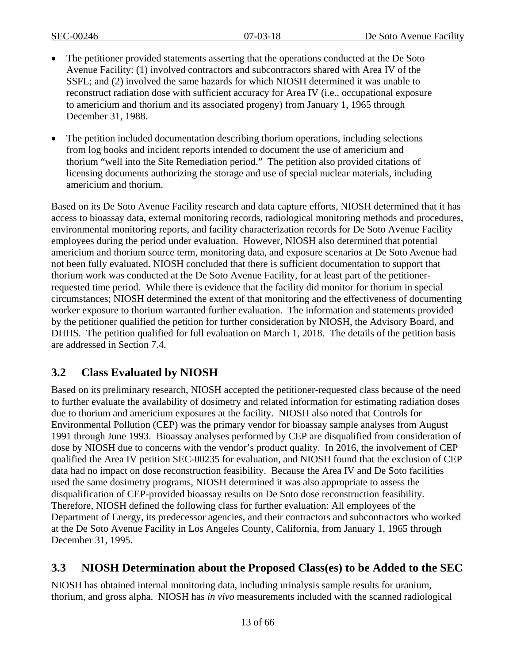- The petitioner provided statements asserting that the operations conducted at the De Soto Avenue Facility: (1) involved contractors and subcontractors shared with Area IV of the SSFL; and (2) involved the same hazards for which NIOSH determined it was unable to reconstruct radiation dose with sufficient accuracy for Area IV (i.e., occupational exposure to americium and thorium and its associated progeny) from January 1, 1965 through December 31, 1988.
- The petition included documentation describing thorium operations, including selections from log books and incident reports intended to document the use of americium and thorium "well into the Site Remediation period." The petition also provided citations of licensing documents authorizing the storage and use of special nuclear materials, including americium and thorium.

Based on its De Soto Avenue Facility research and data capture efforts, NIOSH determined that it has access to bioassay data, external monitoring records, radiological monitoring methods and procedures, environmental monitoring reports, and facility characterization records for De Soto Avenue Facility employees during the period under evaluation. However, NIOSH also determined that potential americium and thorium source term, monitoring data, and exposure scenarios at De Soto Avenue had not been fully evaluated. NIOSH concluded that there is sufficient documentation to support that thorium work was conducted at the De Soto Avenue Facility, for at least part of the petitionerrequested time period. While there is evidence that the facility did monitor for thorium in special circumstances; NIOSH determined the extent of that monitoring and the effectiveness of documenting worker exposure to thorium warranted further evaluation. The information and statements provided by the petitioner qualified the petition for further consideration by NIOSH, the Advisory Board, and DHHS. The petition qualified for full evaluation on March 1, 2018. The details of the petition basis are addressed in Section 7.4.

## <span id="page-12-0"></span>**3.2 Class Evaluated by NIOSH**

Based on its preliminary research, NIOSH accepted the petitioner-requested class because of the need to further evaluate the availability of dosimetry and related information for estimating radiation doses due to thorium and americium exposures at the facility. NIOSH also noted that Controls for Environmental Pollution (CEP) was the primary vendor for bioassay sample analyses from August 1991 through June 1993. Bioassay analyses performed by CEP are disqualified from consideration of dose by NIOSH due to concerns with the vendor's product quality. In 2016, the involvement of CEP qualified the Area IV petition SEC-00235 for evaluation, and NIOSH found that the exclusion of CEP data had no impact on dose reconstruction feasibility. Because the Area IV and De Soto facilities used the same dosimetry programs, NIOSH determined it was also appropriate to assess the disqualification of CEP-provided bioassay results on De Soto dose reconstruction feasibility. Therefore, NIOSH defined the following class for further evaluation: All employees of the Department of Energy, its predecessor agencies, and their contractors and subcontractors who worked at the De Soto Avenue Facility in Los Angeles County, California, from January 1, 1965 through December 31, 1995.

## <span id="page-12-1"></span>**3.3 NIOSH Determination about the Proposed Class(es) to be Added to the SEC**

NIOSH has obtained internal monitoring data, including urinalysis sample results for uranium, thorium, and gross alpha. NIOSH has *in vivo* measurements included with the scanned radiological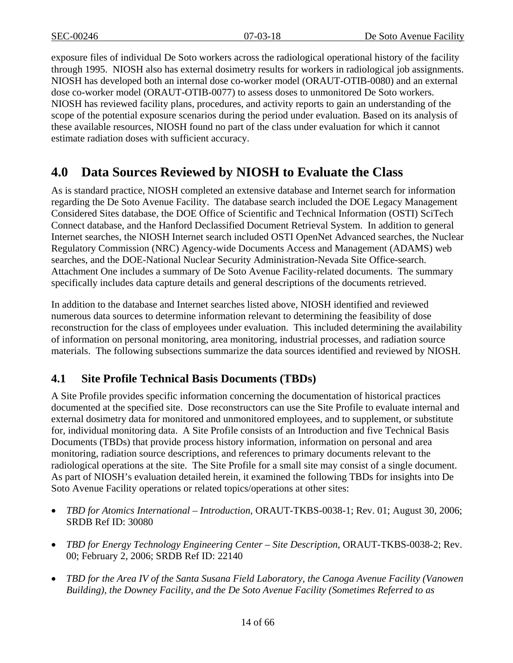| SEC-00246                                          | $07 - 03 - 18$                                                                                           | De Soto Avenue Facility |
|----------------------------------------------------|----------------------------------------------------------------------------------------------------------|-------------------------|
|                                                    | exposure files of individual De Soto workers across the radiological operational history of the facility |                         |
|                                                    | through 1995. NIOSH also has external dosimetry results for workers in radiological job assignments.     |                         |
|                                                    | NIOSH has developed both an internal dose co-worker model (ORAUT-OTIB-0080) and an external              |                         |
|                                                    | dose co-worker model (ORAUT-OTIB-0077) to assess doses to unmonitored De Soto workers.                   |                         |
|                                                    | NIOSH has reviewed facility plans, procedures, and activity reports to gain an understanding of the      |                         |
|                                                    | scope of the potential exposure scenarios during the period under evaluation. Based on its analysis of   |                         |
|                                                    | these available resources, NIOSH found no part of the class under evaluation for which it cannot         |                         |
| estimate radiation doses with sufficient accuracy. |                                                                                                          |                         |

## <span id="page-13-0"></span>**4.0 Data Sources Reviewed by NIOSH to Evaluate the Class**

As is standard practice, NIOSH completed an extensive database and Internet search for information regarding the De Soto Avenue Facility. The database search included the DOE Legacy Management Considered Sites database, the DOE Office of Scientific and Technical Information (OSTI) SciTech Connect database, and the Hanford Declassified Document Retrieval System. In addition to general Internet searches, the NIOSH Internet search included OSTI OpenNet Advanced searches, the Nuclear Regulatory Commission (NRC) Agency-wide Documents Access and Management (ADAMS) web searches, and the DOE-National Nuclear Security Administration-Nevada Site Office-search. Attachment One includes a summary of De Soto Avenue Facility-related documents. The summary specifically includes data capture details and general descriptions of the documents retrieved.

In addition to the database and Internet searches listed above, NIOSH identified and reviewed numerous data sources to determine information relevant to determining the feasibility of dose reconstruction for the class of employees under evaluation. This included determining the availability of information on personal monitoring, area monitoring, industrial processes, and radiation source materials. The following subsections summarize the data sources identified and reviewed by NIOSH.

## <span id="page-13-1"></span>**4.1 Site Profile Technical Basis Documents (TBDs)**

A Site Profile provides specific information concerning the documentation of historical practices documented at the specified site. Dose reconstructors can use the Site Profile to evaluate internal and external dosimetry data for monitored and unmonitored employees, and to supplement, or substitute for, individual monitoring data. A Site Profile consists of an Introduction and five Technical Basis Documents (TBDs) that provide process history information, information on personal and area monitoring, radiation source descriptions, and references to primary documents relevant to the radiological operations at the site. The Site Profile for a small site may consist of a single document. As part of NIOSH's evaluation detailed herein, it examined the following TBDs for insights into De Soto Avenue Facility operations or related topics/operations at other sites:

- *TBD for Atomics International Introduction*, ORAUT-TKBS-0038-1; Rev. 01; August 30, 2006; SRDB Ref ID: 30080
- *TBD for Energy Technology Engineering Center Site Description*, ORAUT-TKBS-0038-2; Rev. 00; February 2, 2006; SRDB Ref ID: 22140
- *TBD for the Area IV of the Santa Susana Field Laboratory, the Canoga Avenue Facility (Vanowen Building), the Downey Facility, and the De Soto Avenue Facility (Sometimes Referred to as*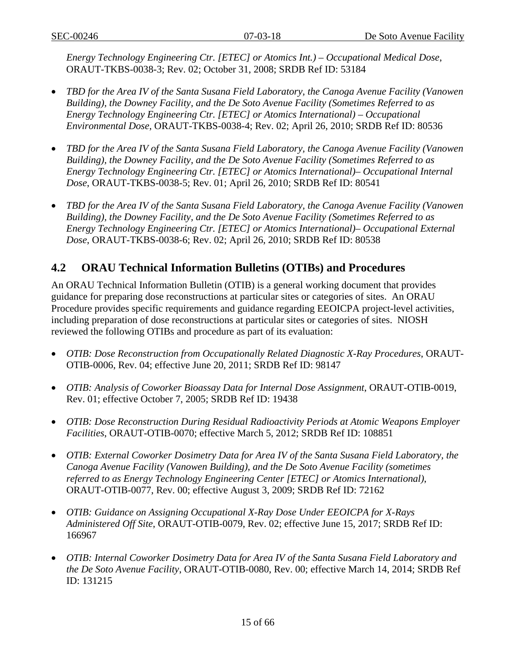*Energy Technology Engineering Ctr. [ETEC] or Atomics Int.) – Occupational Medical Dose*, ORAUT-TKBS-0038-3; Rev. 02; October 31, 2008; SRDB Ref ID: 53184

- *TBD for the Area IV of the Santa Susana Field Laboratory, the Canoga Avenue Facility (Vanowen Building), the Downey Facility, and the De Soto Avenue Facility (Sometimes Referred to as Energy Technology Engineering Ctr. [ETEC] or Atomics International) – Occupational Environmental Dose*, ORAUT-TKBS-0038-4; Rev. 02; April 26, 2010; SRDB Ref ID: 80536
- *TBD for the Area IV of the Santa Susana Field Laboratory, the Canoga Avenue Facility (Vanowen Building), the Downey Facility, and the De Soto Avenue Facility (Sometimes Referred to as Energy Technology Engineering Ctr. [ETEC] or Atomics International)– Occupational Internal Dose*, ORAUT-TKBS-0038-5; Rev. 01; April 26, 2010; SRDB Ref ID: 80541
- *TBD for the Area IV of the Santa Susana Field Laboratory, the Canoga Avenue Facility (Vanowen Building), the Downey Facility, and the De Soto Avenue Facility (Sometimes Referred to as Energy Technology Engineering Ctr. [ETEC] or Atomics International)– Occupational External Dose*, ORAUT-TKBS-0038-6; Rev. 02; April 26, 2010; SRDB Ref ID: 80538

### <span id="page-14-0"></span>**4.2 ORAU Technical Information Bulletins (OTIBs) and Procedures**

An ORAU Technical Information Bulletin (OTIB) is a general working document that provides guidance for preparing dose reconstructions at particular sites or categories of sites. An ORAU Procedure provides specific requirements and guidance regarding EEOICPA project-level activities, including preparation of dose reconstructions at particular sites or categories of sites. NIOSH reviewed the following OTIBs and procedure as part of its evaluation:

- *OTIB: Dose Reconstruction from Occupationally Related Diagnostic X-Ray Procedures*, ORAUT-OTIB-0006, Rev. 04; effective June 20, 2011; SRDB Ref ID: 98147
- *OTIB: Analysis of Coworker Bioassay Data for Internal Dose Assignment*, ORAUT-OTIB-0019, Rev. 01; effective October 7, 2005; SRDB Ref ID: 19438
- *OTIB: Dose Reconstruction During Residual Radioactivity Periods at Atomic Weapons Employer Facilities*, ORAUT-OTIB-0070; effective March 5, 2012; SRDB Ref ID: 108851
- *OTIB: External Coworker Dosimetry Data for Area IV of the Santa Susana Field Laboratory, the Canoga Avenue Facility (Vanowen Building), and the De Soto Avenue Facility (sometimes referred to as Energy Technology Engineering Center [ETEC] or Atomics International)*, ORAUT-OTIB-0077, Rev. 00; effective August 3, 2009; SRDB Ref ID: 72162
- *OTIB: Guidance on Assigning Occupational X-Ray Dose Under EEOICPA for X-Rays Administered Off Site*, ORAUT-OTIB-0079, Rev. 02; effective June 15, 2017; SRDB Ref ID: 166967
- *OTIB: Internal Coworker Dosimetry Data for Area IV of the Santa Susana Field Laboratory and the De Soto Avenue Facility*, ORAUT-OTIB-0080, Rev. 00; effective March 14, 2014; SRDB Ref ID: 131215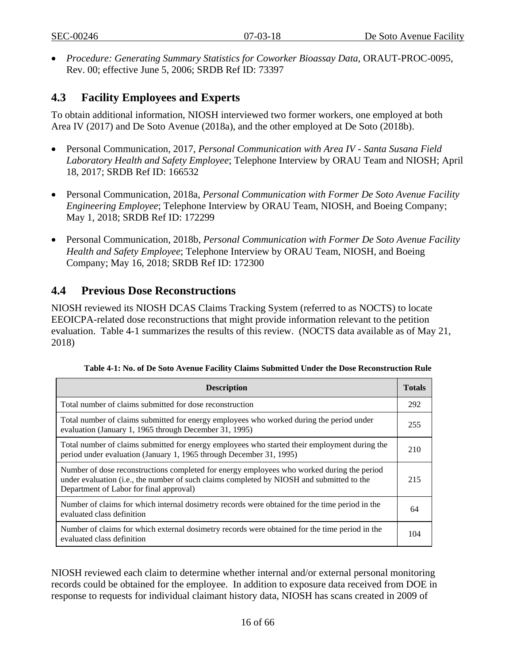• *Procedure: Generating Summary Statistics for Coworker Bioassay Data*, ORAUT-PROC-0095, Rev. 00; effective June 5, 2006; SRDB Ref ID: 73397

## <span id="page-15-0"></span>**4.3 Facility Employees and Experts**

To obtain additional information, NIOSH interviewed two former workers, one employed at both Area IV (2017) and De Soto Avenue (2018a), and the other employed at De Soto (2018b).

- Personal Communication, 2017, *Personal Communication with Area IV Santa Susana Field Laboratory Health and Safety Employee*; Telephone Interview by ORAU Team and NIOSH; April 18, 2017; SRDB Ref ID: 166532
- Personal Communication, 2018a, *Personal Communication with Former De Soto Avenue Facility Engineering Employee*; Telephone Interview by ORAU Team, NIOSH, and Boeing Company; May 1, 2018; SRDB Ref ID: 172299
- Personal Communication, 2018b, *Personal Communication with Former De Soto Avenue Facility Health and Safety Employee*; Telephone Interview by ORAU Team, NIOSH, and Boeing Company; May 16, 2018; SRDB Ref ID: 172300

## <span id="page-15-1"></span>**4.4 Previous Dose Reconstructions**

NIOSH reviewed its NIOSH DCAS Claims Tracking System (referred to as NOCTS) to locate EEOICPA-related dose reconstructions that might provide information relevant to the petition evaluation. Table 4-1 summarizes the results of this review. (NOCTS data available as of May 21, 2018)

<span id="page-15-2"></span>

| <b>Description</b>                                                                                                                                                                                                                 | <b>Totals</b> |
|------------------------------------------------------------------------------------------------------------------------------------------------------------------------------------------------------------------------------------|---------------|
| Total number of claims submitted for dose reconstruction                                                                                                                                                                           | 292           |
| Total number of claims submitted for energy employees who worked during the period under<br>evaluation (January 1, 1965 through December 31, 1995)                                                                                 | 255           |
| Total number of claims submitted for energy employees who started their employment during the<br>period under evaluation (January 1, 1965 through December 31, 1995)                                                               | 210           |
| Number of dose reconstructions completed for energy employees who worked during the period<br>under evaluation (i.e., the number of such claims completed by NIOSH and submitted to the<br>Department of Labor for final approval) | 215           |
| Number of claims for which internal dosimetry records were obtained for the time period in the<br>evaluated class definition                                                                                                       | 64            |
| Number of claims for which external dosimetry records were obtained for the time period in the<br>evaluated class definition                                                                                                       | 104           |

| Table 4-1: No. of De Soto Avenue Facility Claims Submitted Under the Dose Reconstruction Rule |  |  |
|-----------------------------------------------------------------------------------------------|--|--|
|                                                                                               |  |  |

NIOSH reviewed each claim to determine whether internal and/or external personal monitoring records could be obtained for the employee. In addition to exposure data received from DOE in response to requests for individual claimant history data, NIOSH has scans created in 2009 of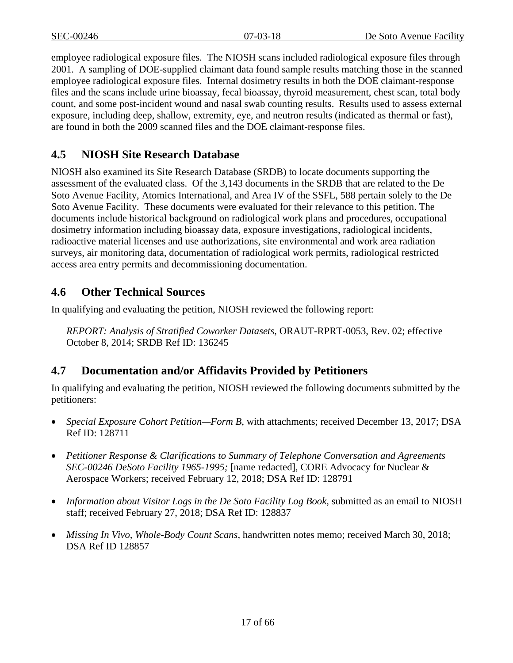| SEC-00246                                                                                               | $07-03-18$ | De Soto Avenue Facility                                                                                                                                                                                                           |
|---------------------------------------------------------------------------------------------------------|------------|-----------------------------------------------------------------------------------------------------------------------------------------------------------------------------------------------------------------------------------|
|                                                                                                         |            |                                                                                                                                                                                                                                   |
|                                                                                                         |            | employee radiological exposure files. The NIOSH scans included radiological exposure files through                                                                                                                                |
|                                                                                                         |            | 2001. A sampling of DOE-supplied claimant data found sample results matching those in the scanned                                                                                                                                 |
| employee radiological exposure files. Internal dosimetry results in both the DOE claimant-response      |            |                                                                                                                                                                                                                                   |
| files and the scans include urine bioassay, fecal bioassay, thyroid measurement, chest scan, total body |            |                                                                                                                                                                                                                                   |
|                                                                                                         |            | $\mathbf{r}$ , and the state of the state of the state of the state of the state of the state of the state of the state of the state of the state of the state of the state of the state of the state of the state of the state o |

count, and some post-incident wound and nasal swab counting results. Results used to assess external exposure, including deep, shallow, extremity, eye, and neutron results (indicated as thermal or fast), are found in both the 2009 scanned files and the DOE claimant-response files.

## <span id="page-16-0"></span>**4.5 NIOSH Site Research Database**

NIOSH also examined its Site Research Database (SRDB) to locate documents supporting the assessment of the evaluated class. Of the 3,143 documents in the SRDB that are related to the De Soto Avenue Facility, Atomics International, and Area IV of the SSFL, 588 pertain solely to the De Soto Avenue Facility. These documents were evaluated for their relevance to this petition. The documents include historical background on radiological work plans and procedures, occupational dosimetry information including bioassay data, exposure investigations, radiological incidents, radioactive material licenses and use authorizations, site environmental and work area radiation surveys, air monitoring data, documentation of radiological work permits, radiological restricted access area entry permits and decommissioning documentation.

## <span id="page-16-1"></span>**4.6 Other Technical Sources**

In qualifying and evaluating the petition, NIOSH reviewed the following report:

*REPORT: Analysis of Stratified Coworker Datasets*, ORAUT-RPRT-0053, Rev. 02; effective October 8, 2014; SRDB Ref ID: 136245

## <span id="page-16-2"></span>**4.7 Documentation and/or Affidavits Provided by Petitioners**

In qualifying and evaluating the petition, NIOSH reviewed the following documents submitted by the petitioners:

- *Special Exposure Cohort Petition—Form B*, with attachments; received December 13, 2017; DSA Ref ID: 128711
- *Petitioner Response & Clarifications to Summary of Telephone Conversation and Agreements SEC-00246 DeSoto Facility 1965-1995;* [name redacted], CORE Advocacy for Nuclear & Aerospace Workers; received February 12, 2018; DSA Ref ID: 128791
- *Information about Visitor Logs in the De Soto Facility Log Book, submitted as an email to NIOSH* staff; received February 27, 2018; DSA Ref ID: 128837
- *Missing In Vivo, Whole-Body Count Scans,* handwritten notes memo; received March 30, 2018; DSA Ref ID 128857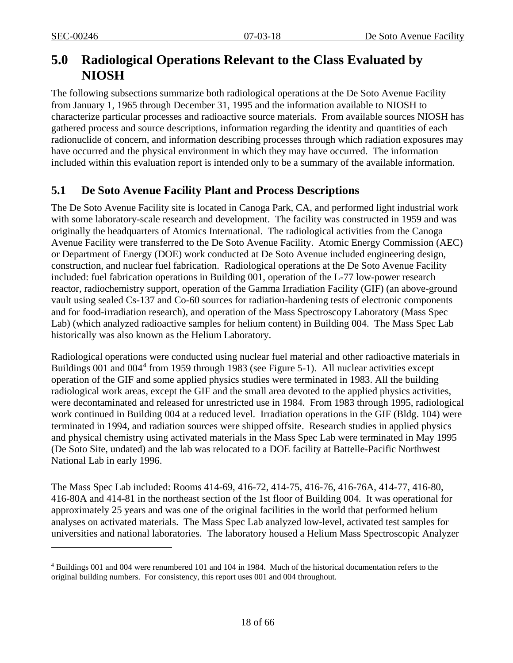$\overline{a}$ 

## <span id="page-17-0"></span>**5.0 Radiological Operations Relevant to the Class Evaluated by NIOSH**

The following subsections summarize both radiological operations at the De Soto Avenue Facility from January 1, 1965 through December 31, 1995 and the information available to NIOSH to characterize particular processes and radioactive source materials. From available sources NIOSH has gathered process and source descriptions, information regarding the identity and quantities of each radionuclide of concern, and information describing processes through which radiation exposures may have occurred and the physical environment in which they may have occurred. The information included within this evaluation report is intended only to be a summary of the available information.

### <span id="page-17-1"></span>**5.1 De Soto Avenue Facility Plant and Process Descriptions**

The De Soto Avenue Facility site is located in Canoga Park, CA, and performed light industrial work with some laboratory-scale research and development. The facility was constructed in 1959 and was originally the headquarters of Atomics International. The radiological activities from the Canoga Avenue Facility were transferred to the De Soto Avenue Facility. Atomic Energy Commission (AEC) or Department of Energy (DOE) work conducted at De Soto Avenue included engineering design, construction, and nuclear fuel fabrication. Radiological operations at the De Soto Avenue Facility included: fuel fabrication operations in Building 001, operation of the L-77 low-power research reactor, radiochemistry support, operation of the Gamma Irradiation Facility (GIF) (an above-ground vault using sealed Cs-137 and Co-60 sources for radiation-hardening tests of electronic components and for food-irradiation research), and operation of the Mass Spectroscopy Laboratory (Mass Spec Lab) (which analyzed radioactive samples for helium content) in Building 004. The Mass Spec Lab historically was also known as the Helium Laboratory.

Radiological operations were conducted using nuclear fuel material and other radioactive materials in Buildings 001 and 00[4](#page-17-2)<sup>4</sup> from 1959 through 1983 (see Figure 5-1). All nuclear activities except operation of the GIF and some applied physics studies were terminated in 1983. All the building radiological work areas, except the GIF and the small area devoted to the applied physics activities, were decontaminated and released for unrestricted use in 1984. From 1983 through 1995, radiological work continued in Building 004 at a reduced level. Irradiation operations in the GIF (Bldg. 104) were terminated in 1994, and radiation sources were shipped offsite. Research studies in applied physics and physical chemistry using activated materials in the Mass Spec Lab were terminated in May 1995 (De Soto Site, undated) and the lab was relocated to a DOE facility at Battelle-Pacific Northwest National Lab in early 1996.

The Mass Spec Lab included: Rooms 414-69, 416-72, 414-75, 416-76, 416-76A, 414-77, 416-80, 416-80A and 414-81 in the northeast section of the 1st floor of Building 004. It was operational for approximately 25 years and was one of the original facilities in the world that performed helium analyses on activated materials. The Mass Spec Lab analyzed low-level, activated test samples for universities and national laboratories. The laboratory housed a Helium Mass Spectroscopic Analyzer

<span id="page-17-2"></span><sup>4</sup> Buildings 001 and 004 were renumbered 101 and 104 in 1984. Much of the historical documentation refers to the original building numbers. For consistency, this report uses 001 and 004 throughout.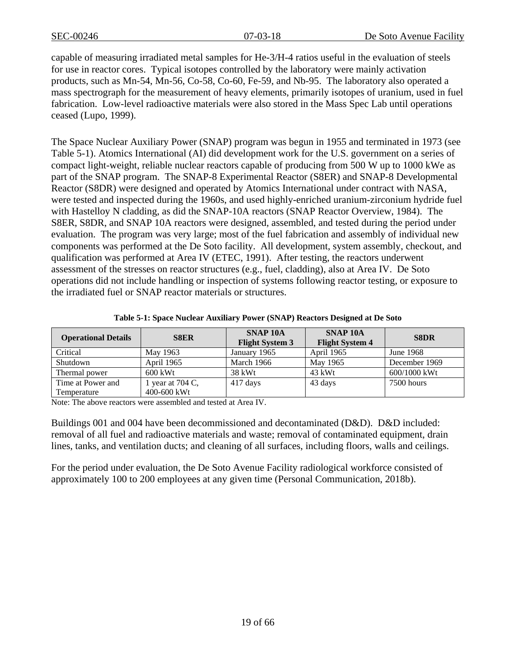capable of measuring irradiated metal samples for He-3/H-4 ratios useful in the evaluation of steels for use in reactor cores. Typical isotopes controlled by the laboratory were mainly activation products, such as Mn-54, Mn-56, Co-58, Co-60, Fe-59, and Nb-95. The laboratory also operated a mass spectrograph for the measurement of heavy elements, primarily isotopes of uranium, used in fuel fabrication. Low-level radioactive materials were also stored in the Mass Spec Lab until operations ceased (Lupo, 1999).

The Space Nuclear Auxiliary Power (SNAP) program was begun in 1955 and terminated in 1973 (see Table 5-1). Atomics International (AI) did development work for the U.S. government on a series of compact light-weight, reliable nuclear reactors capable of producing from 500 W up to 1000 kWe as part of the SNAP program. The SNAP-8 Experimental Reactor (S8ER) and SNAP-8 Developmental Reactor (S8DR) were designed and operated by Atomics International under contract with NASA, were tested and inspected during the 1960s, and used highly-enriched uranium-zirconium hydride fuel with Hastelloy N cladding, as did the SNAP-10A reactors (SNAP Reactor Overview, 1984). The S8ER, S8DR, and SNAP 10A reactors were designed, assembled, and tested during the period under evaluation. The program was very large; most of the fuel fabrication and assembly of individual new components was performed at the De Soto facility. All development, system assembly, checkout, and qualification was performed at Area IV (ETEC, 1991). After testing, the reactors underwent assessment of the stresses on reactor structures (e.g., fuel, cladding), also at Area IV. De Soto operations did not include handling or inspection of systems following reactor testing, or exposure to the irradiated fuel or SNAP reactor materials or structures.

| <b>Operational Details</b> | <b>S8ER</b>               | SNAP <sub>10</sub> A<br><b>Flight System 3</b> | SNAP <sub>10</sub> A<br><b>Flight System 4</b> | <b>S8DR</b>   |
|----------------------------|---------------------------|------------------------------------------------|------------------------------------------------|---------------|
| Critical                   | May 1963                  | January 1965                                   | April 1965                                     | June 1968     |
| Shutdown                   | April 1965                | March 1966                                     | May 1965                                       | December 1969 |
| Thermal power              | $600 \text{ kW}$ t        | 38 kWt                                         | $43$ kWt                                       | 600/1000 kWt  |
| Time at Power and          | year at $704 \text{ C}$ , | 417 days                                       | 43 days                                        | 7500 hours    |
| Temperature                | 400-600 kWt               |                                                |                                                |               |

Note: The above reactors were assembled and tested at Area IV.

Buildings 001 and 004 have been decommissioned and decontaminated (D&D). D&D included: removal of all fuel and radioactive materials and waste; removal of contaminated equipment, drain lines, tanks, and ventilation ducts; and cleaning of all surfaces, including floors, walls and ceilings.

For the period under evaluation, the De Soto Avenue Facility radiological workforce consisted of approximately 100 to 200 employees at any given time (Personal Communication, 2018b).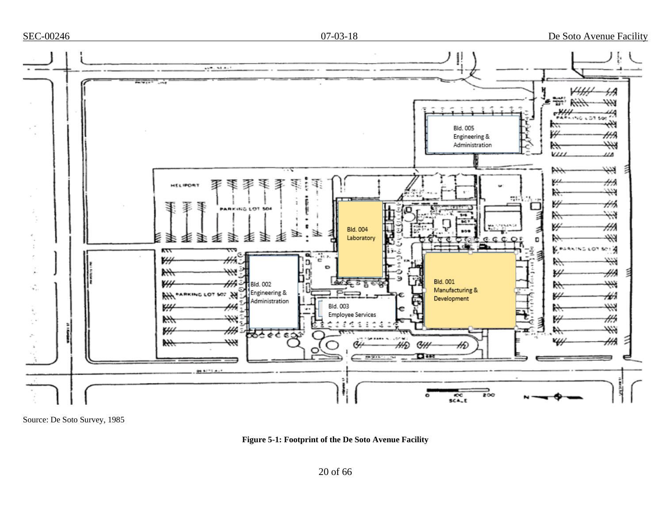

<span id="page-19-0"></span>Source: De Soto Survey, 1985

**Figure 5-1: Footprint of the De Soto Avenue Facility**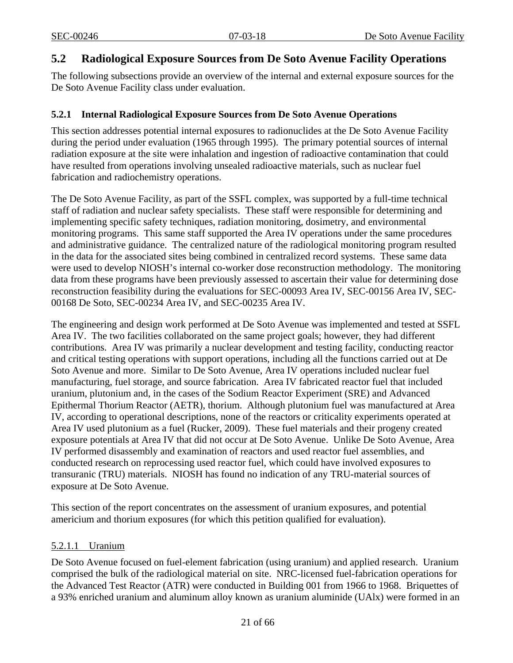## <span id="page-20-0"></span>**5.2 Radiological Exposure Sources from De Soto Avenue Facility Operations**

The following subsections provide an overview of the internal and external exposure sources for the De Soto Avenue Facility class under evaluation.

#### <span id="page-20-1"></span>**5.2.1 Internal Radiological Exposure Sources from De Soto Avenue Operations**

This section addresses potential internal exposures to radionuclides at the De Soto Avenue Facility during the period under evaluation (1965 through 1995). The primary potential sources of internal radiation exposure at the site were inhalation and ingestion of radioactive contamination that could have resulted from operations involving unsealed radioactive materials, such as nuclear fuel fabrication and radiochemistry operations.

The De Soto Avenue Facility, as part of the SSFL complex, was supported by a full-time technical staff of radiation and nuclear safety specialists. These staff were responsible for determining and implementing specific safety techniques, radiation monitoring, dosimetry, and environmental monitoring programs. This same staff supported the Area IV operations under the same procedures and administrative guidance. The centralized nature of the radiological monitoring program resulted in the data for the associated sites being combined in centralized record systems. These same data were used to develop NIOSH's internal co-worker dose reconstruction methodology. The monitoring data from these programs have been previously assessed to ascertain their value for determining dose reconstruction feasibility during the evaluations for SEC-00093 Area IV, SEC-00156 Area IV, SEC-00168 De Soto, SEC-00234 Area IV, and SEC-00235 Area IV.

The engineering and design work performed at De Soto Avenue was implemented and tested at SSFL Area IV. The two facilities collaborated on the same project goals; however, they had different contributions. Area IV was primarily a nuclear development and testing facility, conducting reactor and critical testing operations with support operations, including all the functions carried out at De Soto Avenue and more. Similar to De Soto Avenue, Area IV operations included nuclear fuel manufacturing, fuel storage, and source fabrication. Area IV fabricated reactor fuel that included uranium, plutonium and, in the cases of the Sodium Reactor Experiment (SRE) and Advanced Epithermal Thorium Reactor (AETR), thorium. Although plutonium fuel was manufactured at Area IV, according to operational descriptions, none of the reactors or criticality experiments operated at Area IV used plutonium as a fuel (Rucker, 2009). These fuel materials and their progeny created exposure potentials at Area IV that did not occur at De Soto Avenue. Unlike De Soto Avenue, Area IV performed disassembly and examination of reactors and used reactor fuel assemblies, and conducted research on reprocessing used reactor fuel, which could have involved exposures to transuranic (TRU) materials. NIOSH has found no indication of any TRU-material sources of exposure at De Soto Avenue.

This section of the report concentrates on the assessment of uranium exposures, and potential americium and thorium exposures (for which this petition qualified for evaluation).

#### <span id="page-20-2"></span>5.2.1.1 Uranium

De Soto Avenue focused on fuel-element fabrication (using uranium) and applied research. Uranium comprised the bulk of the radiological material on site. NRC-licensed fuel-fabrication operations for the Advanced Test Reactor (ATR) were conducted in Building 001 from 1966 to 1968. Briquettes of a 93% enriched uranium and aluminum alloy known as uranium aluminide (UAlx) were formed in an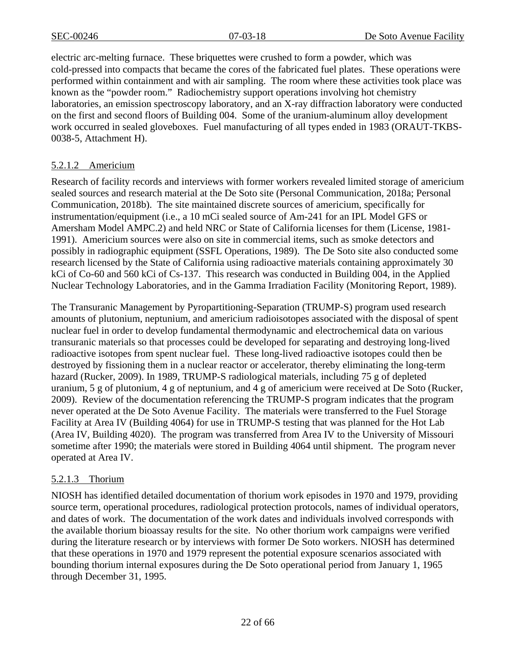electric arc-melting furnace. These briquettes were crushed to form a powder, which was cold-pressed into compacts that became the cores of the fabricated fuel plates. These operations were performed within containment and with air sampling. The room where these activities took place was known as the "powder room." Radiochemistry support operations involving hot chemistry laboratories, an emission spectroscopy laboratory, and an X-ray diffraction laboratory were conducted on the first and second floors of Building 004. Some of the uranium-aluminum alloy development work occurred in sealed gloveboxes. Fuel manufacturing of all types ended in 1983 (ORAUT-TKBS-0038-5, Attachment H).

#### <span id="page-21-0"></span>5.2.1.2 Americium

Research of facility records and interviews with former workers revealed limited storage of americium sealed sources and research material at the De Soto site (Personal Communication, 2018a; Personal Communication, 2018b). The site maintained discrete sources of americium, specifically for instrumentation/equipment (i.e., a 10 mCi sealed source of Am-241 for an IPL Model GFS or Amersham Model AMPC.2) and held NRC or State of California licenses for them (License, 1981- 1991). Americium sources were also on site in commercial items, such as smoke detectors and possibly in radiographic equipment (SSFL Operations, 1989). The De Soto site also conducted some research licensed by the State of California using radioactive materials containing approximately 30 kCi of Co-60 and 560 kCi of Cs-137. This research was conducted in Building 004, in the Applied Nuclear Technology Laboratories, and in the Gamma Irradiation Facility (Monitoring Report, 1989).

The Transuranic Management by Pyropartitioning-Separation (TRUMP-S) program used research amounts of plutonium, neptunium, and americium radioisotopes associated with the disposal of spent nuclear fuel in order to develop fundamental thermodynamic and electrochemical data on various transuranic materials so that processes could be developed for separating and destroying long-lived radioactive isotopes from spent nuclear fuel. These long-lived radioactive isotopes could then be destroyed by fissioning them in a nuclear reactor or accelerator, thereby eliminating the long-term hazard (Rucker, 2009). In 1989, TRUMP-S radiological materials, including 75 g of depleted uranium, 5 g of plutonium, 4 g of neptunium, and 4 g of americium were received at De Soto (Rucker, 2009). Review of the documentation referencing the TRUMP-S program indicates that the program never operated at the De Soto Avenue Facility. The materials were transferred to the Fuel Storage Facility at Area IV (Building 4064) for use in TRUMP-S testing that was planned for the Hot Lab (Area IV, Building 4020). The program was transferred from Area IV to the University of Missouri sometime after 1990; the materials were stored in Building 4064 until shipment. The program never operated at Area IV.

#### <span id="page-21-1"></span>5.2.1.3 Thorium

NIOSH has identified detailed documentation of thorium work episodes in 1970 and 1979, providing source term, operational procedures, radiological protection protocols, names of individual operators, and dates of work. The documentation of the work dates and individuals involved corresponds with the available thorium bioassay results for the site. No other thorium work campaigns were verified during the literature research or by interviews with former De Soto workers. NIOSH has determined that these operations in 1970 and 1979 represent the potential exposure scenarios associated with bounding thorium internal exposures during the De Soto operational period from January 1, 1965 through December 31, 1995.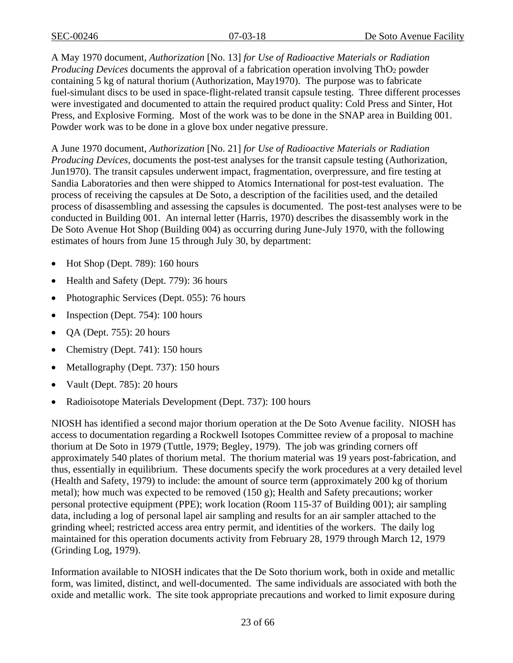A May 1970 document, *Authorization* [No. 13] *for Use of Radioactive Materials or Radiation Producing Devices* documents the approval of a fabrication operation involving ThO<sub>2</sub> powder containing 5 kg of natural thorium (Authorization, May1970). The purpose was to fabricate fuel-simulant discs to be used in space-flight-related transit capsule testing. Three different processes were investigated and documented to attain the required product quality: Cold Press and Sinter, Hot Press, and Explosive Forming. Most of the work was to be done in the SNAP area in Building 001. Powder work was to be done in a glove box under negative pressure.

A June 1970 document, *Authorization* [No. 21] *for Use of Radioactive Materials or Radiation Producing Devices*, documents the post-test analyses for the transit capsule testing (Authorization, Jun1970). The transit capsules underwent impact, fragmentation, overpressure, and fire testing at Sandia Laboratories and then were shipped to Atomics International for post-test evaluation. The process of receiving the capsules at De Soto, a description of the facilities used, and the detailed process of disassembling and assessing the capsules is documented. The post-test analyses were to be conducted in Building 001. An internal letter (Harris, 1970) describes the disassembly work in the De Soto Avenue Hot Shop (Building 004) as occurring during June-July 1970, with the following estimates of hours from June 15 through July 30, by department:

- Hot Shop (Dept. 789): 160 hours
- Health and Safety (Dept. 779): 36 hours
- Photographic Services (Dept. 055): 76 hours
- Inspection (Dept. 754): 100 hours
- $QA$  (Dept. 755): 20 hours
- Chemistry (Dept. 741): 150 hours
- Metallography (Dept. 737): 150 hours
- Vault (Dept. 785): 20 hours
- Radioisotope Materials Development (Dept. 737): 100 hours

NIOSH has identified a second major thorium operation at the De Soto Avenue facility. NIOSH has access to documentation regarding a Rockwell Isotopes Committee review of a proposal to machine thorium at De Soto in 1979 (Tuttle, 1979; Begley, 1979). The job was grinding corners off approximately 540 plates of thorium metal. The thorium material was 19 years post-fabrication, and thus, essentially in equilibrium. These documents specify the work procedures at a very detailed level (Health and Safety, 1979) to include: the amount of source term (approximately 200 kg of thorium metal); how much was expected to be removed (150 g); Health and Safety precautions; worker personal protective equipment (PPE); work location (Room 115-37 of Building 001); air sampling data, including a log of personal lapel air sampling and results for an air sampler attached to the grinding wheel; restricted access area entry permit, and identities of the workers. The daily log maintained for this operation documents activity from February 28, 1979 through March 12, 1979 (Grinding Log, 1979).

Information available to NIOSH indicates that the De Soto thorium work, both in oxide and metallic form, was limited, distinct, and well-documented. The same individuals are associated with both the oxide and metallic work. The site took appropriate precautions and worked to limit exposure during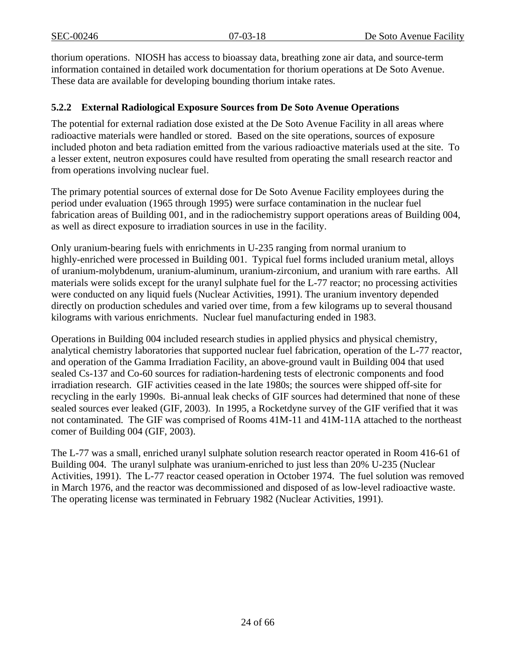thorium operations. NIOSH has access to bioassay data, breathing zone air data, and source-term information contained in detailed work documentation for thorium operations at De Soto Avenue. These data are available for developing bounding thorium intake rates.

#### <span id="page-23-0"></span>**5.2.2 External Radiological Exposure Sources from De Soto Avenue Operations**

The potential for external radiation dose existed at the De Soto Avenue Facility in all areas where radioactive materials were handled or stored. Based on the site operations, sources of exposure included photon and beta radiation emitted from the various radioactive materials used at the site. To a lesser extent, neutron exposures could have resulted from operating the small research reactor and from operations involving nuclear fuel.

The primary potential sources of external dose for De Soto Avenue Facility employees during the period under evaluation (1965 through 1995) were surface contamination in the nuclear fuel fabrication areas of Building 001, and in the radiochemistry support operations areas of Building 004, as well as direct exposure to irradiation sources in use in the facility.

Only uranium-bearing fuels with enrichments in U-235 ranging from normal uranium to highly-enriched were processed in Building 001. Typical fuel forms included uranium metal, alloys of uranium-molybdenum, uranium-aluminum, uranium-zirconium, and uranium with rare earths. All materials were solids except for the uranyl sulphate fuel for the L-77 reactor; no processing activities were conducted on any liquid fuels (Nuclear Activities, 1991). The uranium inventory depended directly on production schedules and varied over time, from a few kilograms up to several thousand kilograms with various enrichments. Nuclear fuel manufacturing ended in 1983.

Operations in Building 004 included research studies in applied physics and physical chemistry, analytical chemistry laboratories that supported nuclear fuel fabrication, operation of the L-77 reactor, and operation of the Gamma Irradiation Facility, an above-ground vault in Building 004 that used sealed Cs-137 and Co-60 sources for radiation-hardening tests of electronic components and food irradiation research. GIF activities ceased in the late 1980s; the sources were shipped off-site for recycling in the early 1990s. Bi-annual leak checks of GIF sources had determined that none of these sealed sources ever leaked (GIF, 2003). In 1995, a Rocketdyne survey of the GIF verified that it was not contaminated. The GIF was comprised of Rooms 41M-11 and 41M-11A attached to the northeast comer of Building 004 (GIF, 2003).

The L-77 was a small, enriched uranyl sulphate solution research reactor operated in Room 416-61 of Building 004. The uranyl sulphate was uranium-enriched to just less than 20% U-235 (Nuclear Activities, 1991). The L-77 reactor ceased operation in October 1974. The fuel solution was removed in March 1976, and the reactor was decommissioned and disposed of as low-level radioactive waste. The operating license was terminated in February 1982 (Nuclear Activities, 1991).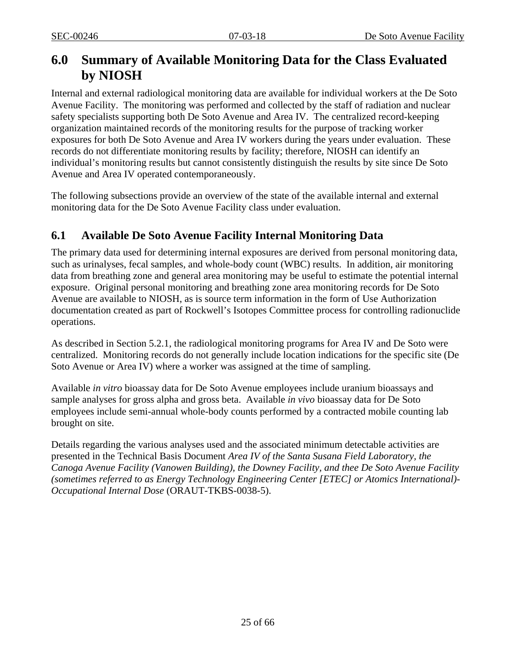## <span id="page-24-0"></span>**6.0 Summary of Available Monitoring Data for the Class Evaluated by NIOSH**

Internal and external radiological monitoring data are available for individual workers at the De Soto Avenue Facility. The monitoring was performed and collected by the staff of radiation and nuclear safety specialists supporting both De Soto Avenue and Area IV. The centralized record-keeping organization maintained records of the monitoring results for the purpose of tracking worker exposures for both De Soto Avenue and Area IV workers during the years under evaluation. These records do not differentiate monitoring results by facility; therefore, NIOSH can identify an individual's monitoring results but cannot consistently distinguish the results by site since De Soto Avenue and Area IV operated contemporaneously.

The following subsections provide an overview of the state of the available internal and external monitoring data for the De Soto Avenue Facility class under evaluation.

## <span id="page-24-1"></span>**6.1 Available De Soto Avenue Facility Internal Monitoring Data**

The primary data used for determining internal exposures are derived from personal monitoring data, such as urinalyses, fecal samples, and whole-body count (WBC) results. In addition, air monitoring data from breathing zone and general area monitoring may be useful to estimate the potential internal exposure. Original personal monitoring and breathing zone area monitoring records for De Soto Avenue are available to NIOSH, as is source term information in the form of Use Authorization documentation created as part of Rockwell's Isotopes Committee process for controlling radionuclide operations.

As described in Section 5.2.1, the radiological monitoring programs for Area IV and De Soto were centralized. Monitoring records do not generally include location indications for the specific site (De Soto Avenue or Area IV) where a worker was assigned at the time of sampling.

Available *in vitro* bioassay data for De Soto Avenue employees include uranium bioassays and sample analyses for gross alpha and gross beta. Available *in vivo* bioassay data for De Soto employees include semi-annual whole-body counts performed by a contracted mobile counting lab brought on site.

Details regarding the various analyses used and the associated minimum detectable activities are presented in the Technical Basis Document *Area IV of the Santa Susana Field Laboratory, the Canoga Avenue Facility (Vanowen Building), the Downey Facility, and thee De Soto Avenue Facility (sometimes referred to as Energy Technology Engineering Center [ETEC] or Atomics International)- Occupational Internal Dose* (ORAUT-TKBS-0038-5).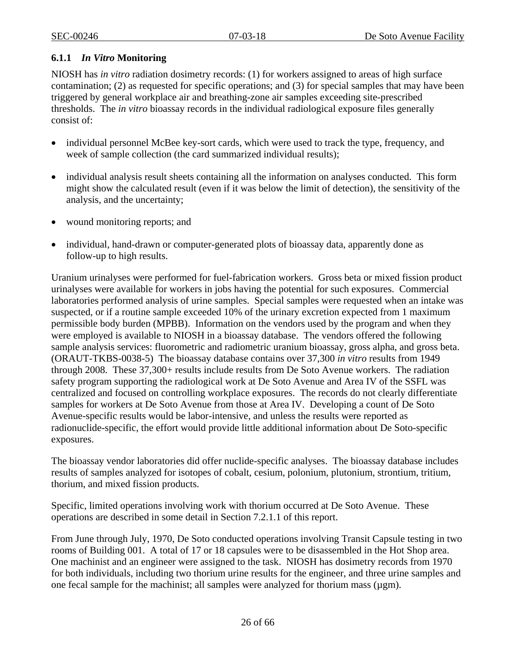#### <span id="page-25-0"></span>**6.1.1** *In Vitro* **Monitoring**

NIOSH has *in vitro* radiation dosimetry records: (1) for workers assigned to areas of high surface contamination; (2) as requested for specific operations; and (3) for special samples that may have been triggered by general workplace air and breathing-zone air samples exceeding site-prescribed thresholds. The *in vitro* bioassay records in the individual radiological exposure files generally consist of:

- individual personnel McBee key-sort cards, which were used to track the type, frequency, and week of sample collection (the card summarized individual results);
- individual analysis result sheets containing all the information on analyses conducted. This form might show the calculated result (even if it was below the limit of detection), the sensitivity of the analysis, and the uncertainty;
- wound monitoring reports; and
- individual, hand-drawn or computer-generated plots of bioassay data, apparently done as follow-up to high results.

Uranium urinalyses were performed for fuel-fabrication workers. Gross beta or mixed fission product urinalyses were available for workers in jobs having the potential for such exposures. Commercial laboratories performed analysis of urine samples. Special samples were requested when an intake was suspected, or if a routine sample exceeded 10% of the urinary excretion expected from 1 maximum permissible body burden (MPBB). Information on the vendors used by the program and when they were employed is available to NIOSH in a bioassay database. The vendors offered the following sample analysis services: fluorometric and radiometric uranium bioassay, gross alpha, and gross beta. (ORAUT-TKBS-0038-5) The bioassay database contains over 37,300 *in vitro* results from 1949 through 2008. These 37,300+ results include results from De Soto Avenue workers. The radiation safety program supporting the radiological work at De Soto Avenue and Area IV of the SSFL was centralized and focused on controlling workplace exposures. The records do not clearly differentiate samples for workers at De Soto Avenue from those at Area IV. Developing a count of De Soto Avenue-specific results would be labor-intensive, and unless the results were reported as radionuclide-specific, the effort would provide little additional information about De Soto-specific exposures.

The bioassay vendor laboratories did offer nuclide-specific analyses. The bioassay database includes results of samples analyzed for isotopes of cobalt, cesium, polonium, plutonium, strontium, tritium, thorium, and mixed fission products.

Specific, limited operations involving work with thorium occurred at De Soto Avenue. These operations are described in some detail in Section 7.2.1.1 of this report.

From June through July, 1970, De Soto conducted operations involving Transit Capsule testing in two rooms of Building 001. A total of 17 or 18 capsules were to be disassembled in the Hot Shop area. One machinist and an engineer were assigned to the task. NIOSH has dosimetry records from 1970 for both individuals, including two thorium urine results for the engineer, and three urine samples and one fecal sample for the machinist; all samples were analyzed for thorium mass  $(\mu g m)$ .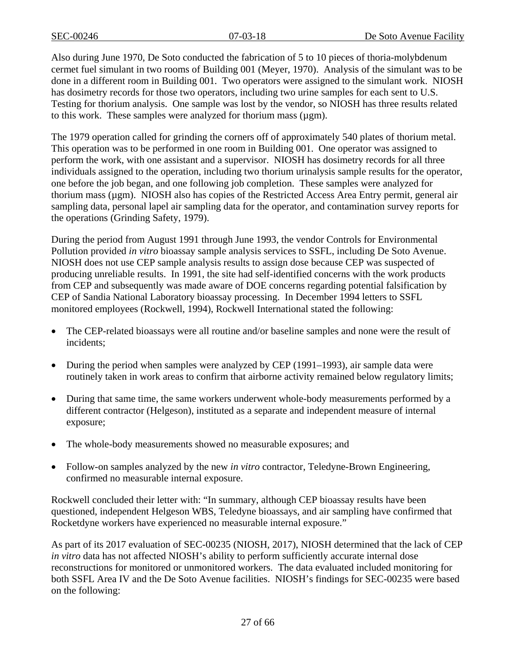Also during June 1970, De Soto conducted the fabrication of 5 to 10 pieces of thoria-molybdenum cermet fuel simulant in two rooms of Building 001 (Meyer, 1970). Analysis of the simulant was to be done in a different room in Building 001. Two operators were assigned to the simulant work. NIOSH has dosimetry records for those two operators, including two urine samples for each sent to U.S. Testing for thorium analysis. One sample was lost by the vendor, so NIOSH has three results related to this work. These samples were analyzed for thorium mass (µgm).

The 1979 operation called for grinding the corners off of approximately 540 plates of thorium metal. This operation was to be performed in one room in Building 001. One operator was assigned to perform the work, with one assistant and a supervisor. NIOSH has dosimetry records for all three individuals assigned to the operation, including two thorium urinalysis sample results for the operator, one before the job began, and one following job completion. These samples were analyzed for thorium mass (µgm). NIOSH also has copies of the Restricted Access Area Entry permit, general air sampling data, personal lapel air sampling data for the operator, and contamination survey reports for the operations (Grinding Safety, 1979).

During the period from August 1991 through June 1993, the vendor Controls for Environmental Pollution provided *in vitro* bioassay sample analysis services to SSFL, including De Soto Avenue. NIOSH does not use CEP sample analysis results to assign dose because CEP was suspected of producing unreliable results. In 1991, the site had self-identified concerns with the work products from CEP and subsequently was made aware of DOE concerns regarding potential falsification by CEP of Sandia National Laboratory bioassay processing. In December 1994 letters to SSFL monitored employees (Rockwell, 1994), Rockwell International stated the following:

- The CEP-related bioassays were all routine and/or baseline samples and none were the result of incidents;
- During the period when samples were analyzed by CEP (1991–1993), air sample data were routinely taken in work areas to confirm that airborne activity remained below regulatory limits;
- During that same time, the same workers underwent whole-body measurements performed by a different contractor (Helgeson), instituted as a separate and independent measure of internal exposure;
- The whole-body measurements showed no measurable exposures; and
- Follow-on samples analyzed by the new *in vitro* contractor, Teledyne-Brown Engineering, confirmed no measurable internal exposure.

Rockwell concluded their letter with: "In summary, although CEP bioassay results have been questioned, independent Helgeson WBS, Teledyne bioassays, and air sampling have confirmed that Rocketdyne workers have experienced no measurable internal exposure."

As part of its 2017 evaluation of SEC-00235 (NIOSH, 2017), NIOSH determined that the lack of CEP *in vitro* data has not affected NIOSH's ability to perform sufficiently accurate internal dose reconstructions for monitored or unmonitored workers. The data evaluated included monitoring for both SSFL Area IV and the De Soto Avenue facilities. NIOSH's findings for SEC-00235 were based on the following: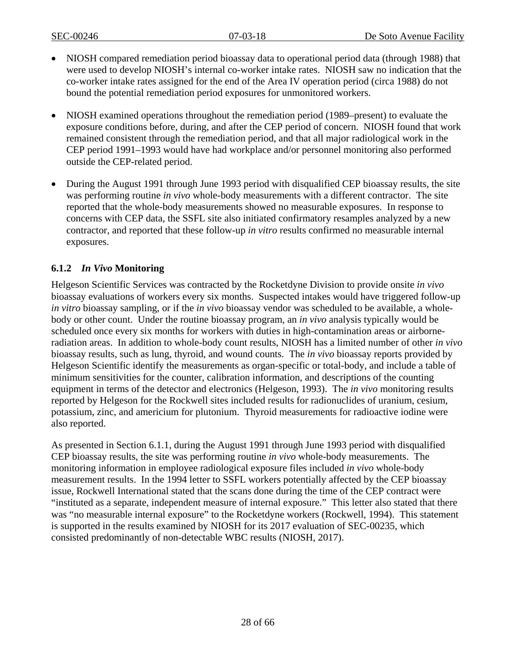| SEC-00246 | $07-03-18$                                                                                               | De Soto Avenue Facility |
|-----------|----------------------------------------------------------------------------------------------------------|-------------------------|
|           |                                                                                                          |                         |
|           | $\bullet$ NIOSH compared remediation period bioassay data to operational period data (through 1988) that |                         |

- compared remediation period bioassay data to operational period data (through 1988) that were used to develop NIOSH's internal co-worker intake rates. NIOSH saw no indication that the co-worker intake rates assigned for the end of the Area IV operation period (circa 1988) do not bound the potential remediation period exposures for unmonitored workers.
- NIOSH examined operations throughout the remediation period (1989–present) to evaluate the exposure conditions before, during, and after the CEP period of concern. NIOSH found that work remained consistent through the remediation period, and that all major radiological work in the CEP period 1991–1993 would have had workplace and/or personnel monitoring also performed outside the CEP-related period.
- During the August 1991 through June 1993 period with disqualified CEP bioassay results, the site was performing routine *in vivo* whole-body measurements with a different contractor. The site reported that the whole-body measurements showed no measurable exposures. In response to concerns with CEP data, the SSFL site also initiated confirmatory resamples analyzed by a new contractor, and reported that these follow-up *in vitro* results confirmed no measurable internal exposures.

#### <span id="page-27-0"></span>**6.1.2** *In Vivo* **Monitoring**

Helgeson Scientific Services was contracted by the Rocketdyne Division to provide onsite *in vivo*  bioassay evaluations of workers every six months. Suspected intakes would have triggered follow-up *in vitro* bioassay sampling, or if the *in vivo* bioassay vendor was scheduled to be available, a wholebody or other count. Under the routine bioassay program, an *in vivo* analysis typically would be scheduled once every six months for workers with duties in high-contamination areas or airborneradiation areas. In addition to whole-body count results, NIOSH has a limited number of other *in vivo*  bioassay results, such as lung, thyroid, and wound counts. The *in vivo* bioassay reports provided by Helgeson Scientific identify the measurements as organ-specific or total-body, and include a table of minimum sensitivities for the counter, calibration information, and descriptions of the counting equipment in terms of the detector and electronics (Helgeson, 1993). The *in vivo* monitoring results reported by Helgeson for the Rockwell sites included results for radionuclides of uranium, cesium, potassium, zinc, and americium for plutonium. Thyroid measurements for radioactive iodine were also reported.

As presented in Section 6.1.1, during the August 1991 through June 1993 period with disqualified CEP bioassay results, the site was performing routine *in vivo* whole-body measurements. The monitoring information in employee radiological exposure files included *in vivo* whole-body measurement results. In the 1994 letter to SSFL workers potentially affected by the CEP bioassay issue, Rockwell International stated that the scans done during the time of the CEP contract were "instituted as a separate, independent measure of internal exposure." This letter also stated that there was "no measurable internal exposure" to the Rocketdyne workers (Rockwell, 1994). This statement is supported in the results examined by NIOSH for its 2017 evaluation of SEC-00235, which consisted predominantly of non-detectable WBC results (NIOSH, 2017).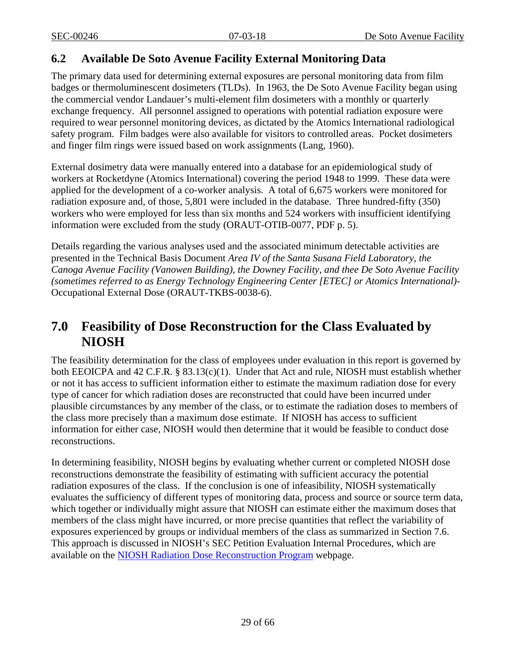## <span id="page-28-0"></span>**6.2 Available De Soto Avenue Facility External Monitoring Data**

The primary data used for determining external exposures are personal monitoring data from film badges or thermoluminescent dosimeters (TLDs). In 1963, the De Soto Avenue Facility began using the commercial vendor Landauer's multi-element film dosimeters with a monthly or quarterly exchange frequency. All personnel assigned to operations with potential radiation exposure were required to wear personnel monitoring devices, as dictated by the Atomics International radiological safety program. Film badges were also available for visitors to controlled areas. Pocket dosimeters and finger film rings were issued based on work assignments (Lang, 1960).

External dosimetry data were manually entered into a database for an epidemiological study of workers at Rocketdyne (Atomics International) covering the period 1948 to 1999. These data were applied for the development of a co-worker analysis. A total of 6,675 workers were monitored for radiation exposure and, of those, 5,801 were included in the database. Three hundred-fifty (350) workers who were employed for less than six months and 524 workers with insufficient identifying information were excluded from the study (ORAUT-OTIB-0077, PDF p. 5).

Details regarding the various analyses used and the associated minimum detectable activities are presented in the Technical Basis Document *Area IV of the Santa Susana Field Laboratory, the Canoga Avenue Facility (Vanowen Building), the Downey Facility, and thee De Soto Avenue Facility (sometimes referred to as Energy Technology Engineering Center [ETEC] or Atomics International)*- Occupational External Dose (ORAUT-TKBS-0038-6).

## <span id="page-28-1"></span>**7.0 Feasibility of Dose Reconstruction for the Class Evaluated by NIOSH**

The feasibility determination for the class of employees under evaluation in this report is governed by both EEOICPA and 42 C.F.R. § 83.13(c)(1). Under that Act and rule, NIOSH must establish whether or not it has access to sufficient information either to estimate the maximum radiation dose for every type of cancer for which radiation doses are reconstructed that could have been incurred under plausible circumstances by any member of the class, or to estimate the radiation doses to members of the class more precisely than a maximum dose estimate. If NIOSH has access to sufficient information for either case, NIOSH would then determine that it would be feasible to conduct dose reconstructions.

In determining feasibility, NIOSH begins by evaluating whether current or completed NIOSH dose reconstructions demonstrate the feasibility of estimating with sufficient accuracy the potential radiation exposures of the class. If the conclusion is one of infeasibility, NIOSH systematically evaluates the sufficiency of different types of monitoring data, process and source or source term data, which together or individually might assure that NIOSH can estimate either the maximum doses that members of the class might have incurred, or more precise quantities that reflect the variability of exposures experienced by groups or individual members of the class as summarized in Section 7.6. This approach is discussed in NIOSH's SEC Petition Evaluation Internal Procedures, which are available on the [NIOSH Radiation Dose Reconstruction Program](https://www.cdc.gov/niosh/ocas/) webpage.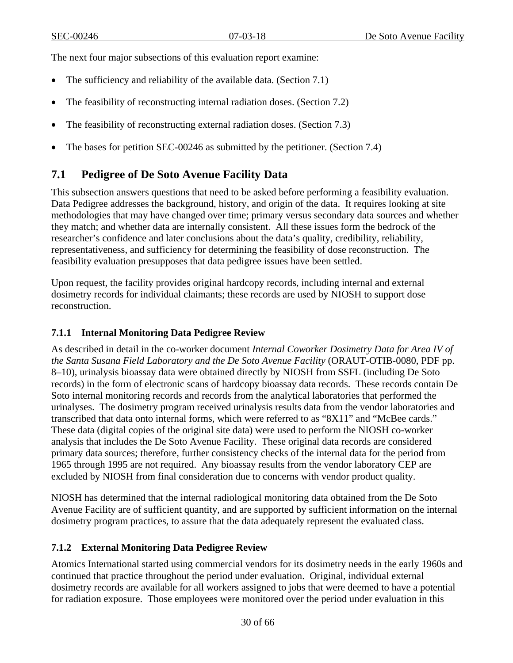The next four major subsections of this evaluation report examine:

- The sufficiency and reliability of the available data. (Section 7.1)
- The feasibility of reconstructing internal radiation doses. (Section 7.2)
- The feasibility of reconstructing external radiation doses. (Section 7.3)
- The bases for petition SEC-00246 as submitted by the petitioner. (Section 7.4)

## <span id="page-29-0"></span>**7.1 Pedigree of De Soto Avenue Facility Data**

This subsection answers questions that need to be asked before performing a feasibility evaluation. Data Pedigree addresses the background, history, and origin of the data. It requires looking at site methodologies that may have changed over time; primary versus secondary data sources and whether they match; and whether data are internally consistent. All these issues form the bedrock of the researcher's confidence and later conclusions about the data's quality, credibility, reliability, representativeness, and sufficiency for determining the feasibility of dose reconstruction. The feasibility evaluation presupposes that data pedigree issues have been settled.

Upon request, the facility provides original hardcopy records, including internal and external dosimetry records for individual claimants; these records are used by NIOSH to support dose reconstruction.

#### <span id="page-29-1"></span>**7.1.1 Internal Monitoring Data Pedigree Review**

As described in detail in the co-worker document *Internal Coworker Dosimetry Data for Area IV of the Santa Susana Field Laboratory and the De Soto Avenue Facility* (ORAUT-OTIB-0080, PDF pp. 8–10), urinalysis bioassay data were obtained directly by NIOSH from SSFL (including De Soto records) in the form of electronic scans of hardcopy bioassay data records. These records contain De Soto internal monitoring records and records from the analytical laboratories that performed the urinalyses. The dosimetry program received urinalysis results data from the vendor laboratories and transcribed that data onto internal forms, which were referred to as "8X11" and "McBee cards." These data (digital copies of the original site data) were used to perform the NIOSH co-worker analysis that includes the De Soto Avenue Facility. These original data records are considered primary data sources; therefore, further consistency checks of the internal data for the period from 1965 through 1995 are not required. Any bioassay results from the vendor laboratory CEP are excluded by NIOSH from final consideration due to concerns with vendor product quality.

NIOSH has determined that the internal radiological monitoring data obtained from the De Soto Avenue Facility are of sufficient quantity, and are supported by sufficient information on the internal dosimetry program practices, to assure that the data adequately represent the evaluated class.

#### <span id="page-29-2"></span>**7.1.2 External Monitoring Data Pedigree Review**

Atomics International started using commercial vendors for its dosimetry needs in the early 1960s and continued that practice throughout the period under evaluation. Original, individual external dosimetry records are available for all workers assigned to jobs that were deemed to have a potential for radiation exposure. Those employees were monitored over the period under evaluation in this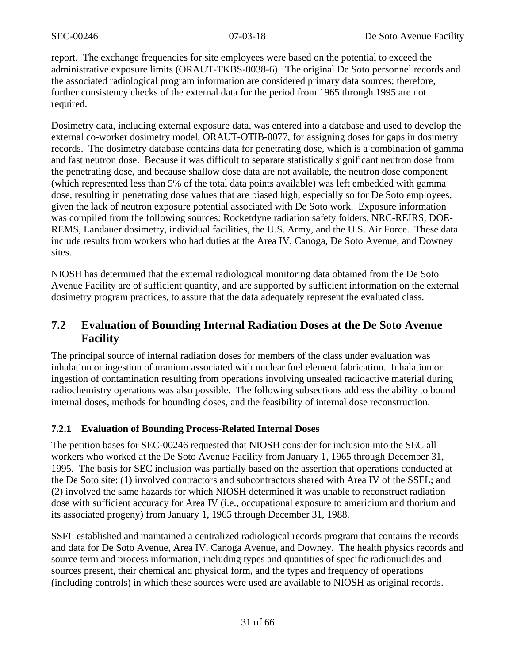report. The exchange frequencies for site employees were based on the potential to exceed the administrative exposure limits (ORAUT-TKBS-0038-6). The original De Soto personnel records and the associated radiological program information are considered primary data sources; therefore, further consistency checks of the external data for the period from 1965 through 1995 are not required.

Dosimetry data, including external exposure data, was entered into a database and used to develop the external co-worker dosimetry model*,* ORAUT-OTIB-0077, for assigning doses for gaps in dosimetry records. The dosimetry database contains data for penetrating dose, which is a combination of gamma and fast neutron dose. Because it was difficult to separate statistically significant neutron dose from the penetrating dose, and because shallow dose data are not available, the neutron dose component (which represented less than 5% of the total data points available) was left embedded with gamma dose, resulting in penetrating dose values that are biased high, especially so for De Soto employees, given the lack of neutron exposure potential associated with De Soto work. Exposure information was compiled from the following sources: Rocketdyne radiation safety folders, NRC-REIRS, DOE-REMS, Landauer dosimetry, individual facilities, the U.S. Army, and the U.S. Air Force. These data include results from workers who had duties at the Area IV, Canoga, De Soto Avenue, and Downey sites.

NIOSH has determined that the external radiological monitoring data obtained from the De Soto Avenue Facility are of sufficient quantity, and are supported by sufficient information on the external dosimetry program practices, to assure that the data adequately represent the evaluated class.

### <span id="page-30-0"></span>**7.2 Evaluation of Bounding Internal Radiation Doses at the De Soto Avenue Facility**

The principal source of internal radiation doses for members of the class under evaluation was inhalation or ingestion of uranium associated with nuclear fuel element fabrication. Inhalation or ingestion of contamination resulting from operations involving unsealed radioactive material during radiochemistry operations was also possible. The following subsections address the ability to bound internal doses, methods for bounding doses, and the feasibility of internal dose reconstruction.

#### <span id="page-30-1"></span>**7.2.1 Evaluation of Bounding Process-Related Internal Doses**

The petition bases for SEC-00246 requested that NIOSH consider for inclusion into the SEC all workers who worked at the De Soto Avenue Facility from January 1, 1965 through December 31, 1995. The basis for SEC inclusion was partially based on the assertion that operations conducted at the De Soto site: (1) involved contractors and subcontractors shared with Area IV of the SSFL; and (2) involved the same hazards for which NIOSH determined it was unable to reconstruct radiation dose with sufficient accuracy for Area IV (i.e., occupational exposure to americium and thorium and its associated progeny) from January 1, 1965 through December 31, 1988.

SSFL established and maintained a centralized radiological records program that contains the records and data for De Soto Avenue, Area IV, Canoga Avenue, and Downey. The health physics records and source term and process information, including types and quantities of specific radionuclides and sources present, their chemical and physical form, and the types and frequency of operations (including controls) in which these sources were used are available to NIOSH as original records.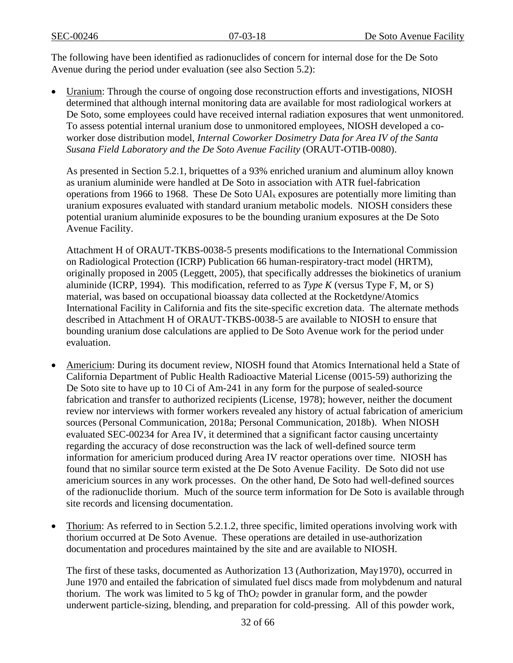The following have been identified as radionuclides of concern for internal dose for the De Soto Avenue during the period under evaluation (see also Section 5.2):

• Uranium: Through the course of ongoing dose reconstruction efforts and investigations, NIOSH determined that although internal monitoring data are available for most radiological workers at De Soto, some employees could have received internal radiation exposures that went unmonitored. To assess potential internal uranium dose to unmonitored employees, NIOSH developed a coworker dose distribution model, *Internal Coworker Dosimetry Data for Area IV of the Santa Susana Field Laboratory and the De Soto Avenue Facility* (ORAUT-OTIB-0080).

As presented in Section 5.2.1, briquettes of a 93% enriched uranium and aluminum alloy known as uranium aluminide were handled at De Soto in association with ATR fuel-fabrication operations from 1966 to 1968. These De Soto  $UAI<sub>x</sub>$  exposures are potentially more limiting than uranium exposures evaluated with standard uranium metabolic models. NIOSH considers these potential uranium aluminide exposures to be the bounding uranium exposures at the De Soto Avenue Facility.

Attachment H of ORAUT-TKBS-0038-5 presents modifications to the International Commission on Radiological Protection (ICRP) Publication 66 human-respiratory-tract model (HRTM), originally proposed in 2005 (Leggett, 2005), that specifically addresses the biokinetics of uranium aluminide (ICRP, 1994). This modification, referred to as *Type K* (versus Type F, M, or S) material, was based on occupational bioassay data collected at the Rocketdyne/Atomics International Facility in California and fits the site-specific excretion data. The alternate methods described in Attachment H of ORAUT-TKBS-0038-5 are available to NIOSH to ensure that bounding uranium dose calculations are applied to De Soto Avenue work for the period under evaluation.

- Americium: During its document review, NIOSH found that Atomics International held a State of California Department of Public Health Radioactive Material License (0015-59) authorizing the De Soto site to have up to 10 Ci of Am-241 in any form for the purpose of sealed-source fabrication and transfer to authorized recipients (License, 1978); however, neither the document review nor interviews with former workers revealed any history of actual fabrication of americium sources (Personal Communication, 2018a; Personal Communication, 2018b). When NIOSH evaluated SEC-00234 for Area IV, it determined that a significant factor causing uncertainty regarding the accuracy of dose reconstruction was the lack of well-defined source term information for americium produced during Area IV reactor operations over time. NIOSH has found that no similar source term existed at the De Soto Avenue Facility. De Soto did not use americium sources in any work processes. On the other hand, De Soto had well-defined sources of the radionuclide thorium. Much of the source term information for De Soto is available through site records and licensing documentation.
- Thorium: As referred to in Section 5.2.1.2, three specific, limited operations involving work with thorium occurred at De Soto Avenue. These operations are detailed in use-authorization documentation and procedures maintained by the site and are available to NIOSH.

The first of these tasks, documented as Authorization 13 (Authorization, May1970), occurred in June 1970 and entailed the fabrication of simulated fuel discs made from molybdenum and natural thorium. The work was limited to 5 kg of ThO<sub>2</sub> powder in granular form, and the powder underwent particle-sizing, blending, and preparation for cold-pressing. All of this powder work,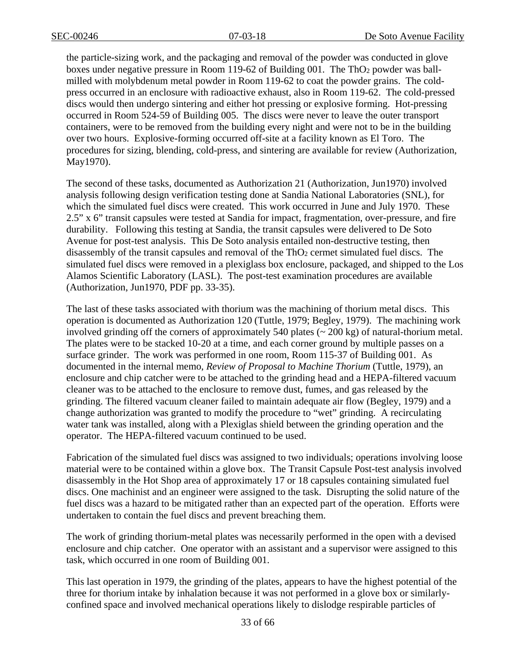the particle-sizing work, and the packaging and removal of the powder was conducted in glove boxes under negative pressure in Room 119-62 of Building 001. The ThO<sub>2</sub> powder was ballmilled with molybdenum metal powder in Room 119-62 to coat the powder grains. The coldpress occurred in an enclosure with radioactive exhaust, also in Room 119-62. The cold-pressed discs would then undergo sintering and either hot pressing or explosive forming. Hot-pressing occurred in Room 524-59 of Building 005. The discs were never to leave the outer transport containers, were to be removed from the building every night and were not to be in the building over two hours. Explosive-forming occurred off-site at a facility known as El Toro. The procedures for sizing, blending, cold-press, and sintering are available for review (Authorization, May1970).

The second of these tasks, documented as Authorization 21 (Authorization, Jun1970) involved analysis following design verification testing done at Sandia National Laboratories (SNL), for which the simulated fuel discs were created. This work occurred in June and July 1970. These 2.5" x 6" transit capsules were tested at Sandia for impact, fragmentation, over-pressure, and fire durability. Following this testing at Sandia, the transit capsules were delivered to De Soto Avenue for post-test analysis. This De Soto analysis entailed non-destructive testing, then disassembly of the transit capsules and removal of the ThO<sub>2</sub> cermet simulated fuel discs. The simulated fuel discs were removed in a plexiglass box enclosure, packaged, and shipped to the Los Alamos Scientific Laboratory (LASL). The post-test examination procedures are available (Authorization, Jun1970, PDF pp. 33-35).

The last of these tasks associated with thorium was the machining of thorium metal discs. This operation is documented as Authorization 120 (Tuttle, 1979; Begley, 1979). The machining work involved grinding off the corners of approximately 540 plates (~ 200 kg) of natural-thorium metal. The plates were to be stacked 10-20 at a time, and each corner ground by multiple passes on a surface grinder. The work was performed in one room, Room 115-37 of Building 001. As documented in the internal memo, *Review of Proposal to Machine Thorium* (Tuttle, 1979), an enclosure and chip catcher were to be attached to the grinding head and a HEPA-filtered vacuum cleaner was to be attached to the enclosure to remove dust, fumes, and gas released by the grinding. The filtered vacuum cleaner failed to maintain adequate air flow (Begley, 1979) and a change authorization was granted to modify the procedure to "wet" grinding. A recirculating water tank was installed, along with a Plexiglas shield between the grinding operation and the operator. The HEPA-filtered vacuum continued to be used.

Fabrication of the simulated fuel discs was assigned to two individuals; operations involving loose material were to be contained within a glove box. The Transit Capsule Post-test analysis involved disassembly in the Hot Shop area of approximately 17 or 18 capsules containing simulated fuel discs. One machinist and an engineer were assigned to the task. Disrupting the solid nature of the fuel discs was a hazard to be mitigated rather than an expected part of the operation. Efforts were undertaken to contain the fuel discs and prevent breaching them.

The work of grinding thorium-metal plates was necessarily performed in the open with a devised enclosure and chip catcher. One operator with an assistant and a supervisor were assigned to this task, which occurred in one room of Building 001.

This last operation in 1979, the grinding of the plates, appears to have the highest potential of the three for thorium intake by inhalation because it was not performed in a glove box or similarlyconfined space and involved mechanical operations likely to dislodge respirable particles of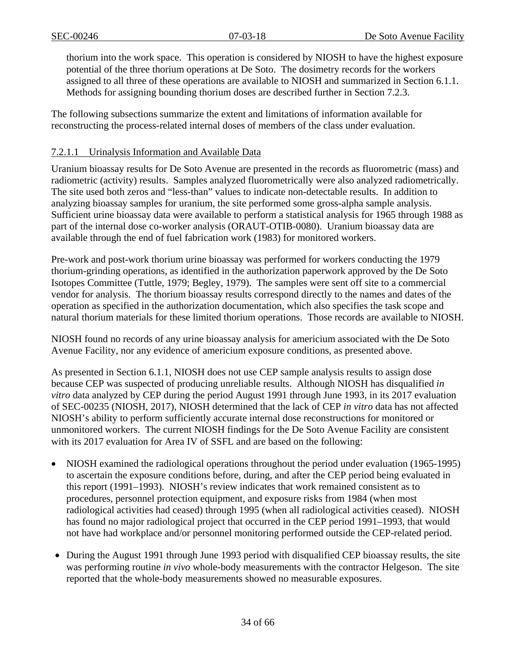thorium into the work space. This operation is considered by NIOSH to have the highest exposure potential of the three thorium operations at De Soto. The dosimetry records for the workers assigned to all three of these operations are available to NIOSH and summarized in Section 6.1.1. Methods for assigning bounding thorium doses are described further in Section 7.2.3.

The following subsections summarize the extent and limitations of information available for reconstructing the process-related internal doses of members of the class under evaluation.

#### <span id="page-33-0"></span>7.2.1.1 Urinalysis Information and Available Data

Uranium bioassay results for De Soto Avenue are presented in the records as fluorometric (mass) and radiometric (activity) results. Samples analyzed fluorometrically were also analyzed radiometrically. The site used both zeros and "less-than" values to indicate non-detectable results. In addition to analyzing bioassay samples for uranium, the site performed some gross-alpha sample analysis. Sufficient urine bioassay data were available to perform a statistical analysis for 1965 through 1988 as part of the internal dose co-worker analysis (ORAUT-OTIB-0080). Uranium bioassay data are available through the end of fuel fabrication work (1983) for monitored workers.

Pre-work and post-work thorium urine bioassay was performed for workers conducting the 1979 thorium-grinding operations, as identified in the authorization paperwork approved by the De Soto Isotopes Committee (Tuttle, 1979; Begley, 1979). The samples were sent off site to a commercial vendor for analysis. The thorium bioassay results correspond directly to the names and dates of the operation as specified in the authorization documentation, which also specifies the task scope and natural thorium materials for these limited thorium operations. Those records are available to NIOSH.

NIOSH found no records of any urine bioassay analysis for americium associated with the De Soto Avenue Facility, nor any evidence of americium exposure conditions, as presented above.

As presented in Section 6.1.1, NIOSH does not use CEP sample analysis results to assign dose because CEP was suspected of producing unreliable results. Although NIOSH has disqualified *in vitro* data analyzed by CEP during the period August 1991 through June 1993, in its 2017 evaluation of SEC-00235 (NIOSH, 2017), NIOSH determined that the lack of CEP *in vitro* data has not affected NIOSH's ability to perform sufficiently accurate internal dose reconstructions for monitored or unmonitored workers. The current NIOSH findings for the De Soto Avenue Facility are consistent with its 2017 evaluation for Area IV of SSFL and are based on the following:

- NIOSH examined the radiological operations throughout the period under evaluation (1965-1995) to ascertain the exposure conditions before, during, and after the CEP period being evaluated in this report (1991–1993). NIOSH's review indicates that work remained consistent as to procedures, personnel protection equipment, and exposure risks from 1984 (when most radiological activities had ceased) through 1995 (when all radiological activities ceased). NIOSH has found no major radiological project that occurred in the CEP period 1991–1993, that would not have had workplace and/or personnel monitoring performed outside the CEP-related period.
- During the August 1991 through June 1993 period with disqualified CEP bioassay results, the site was performing routine *in vivo* whole-body measurements with the contractor Helgeson. The site reported that the whole-body measurements showed no measurable exposures.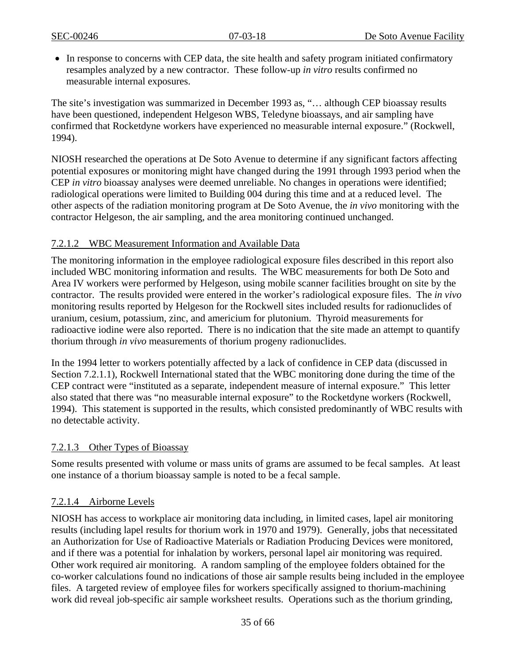• In response to concerns with CEP data, the site health and safety program initiated confirmatory resamples analyzed by a new contractor. These follow-up *in vitro* results confirmed no measurable internal exposures.

The site's investigation was summarized in December 1993 as, "… although CEP bioassay results have been questioned, independent Helgeson WBS, Teledyne bioassays, and air sampling have confirmed that Rocketdyne workers have experienced no measurable internal exposure." (Rockwell, 1994).

NIOSH researched the operations at De Soto Avenue to determine if any significant factors affecting potential exposures or monitoring might have changed during the 1991 through 1993 period when the CEP *in vitro* bioassay analyses were deemed unreliable. No changes in operations were identified; radiological operations were limited to Building 004 during this time and at a reduced level. The other aspects of the radiation monitoring program at De Soto Avenue, the *in vivo* monitoring with the contractor Helgeson, the air sampling, and the area monitoring continued unchanged.

#### <span id="page-34-0"></span>7.2.1.2 WBC Measurement Information and Available Data

The monitoring information in the employee radiological exposure files described in this report also included WBC monitoring information and results. The WBC measurements for both De Soto and Area IV workers were performed by Helgeson, using mobile scanner facilities brought on site by the contractor. The results provided were entered in the worker's radiological exposure files. The *in vivo* monitoring results reported by Helgeson for the Rockwell sites included results for radionuclides of uranium, cesium, potassium, zinc, and americium for plutonium. Thyroid measurements for radioactive iodine were also reported. There is no indication that the site made an attempt to quantify thorium through *in vivo* measurements of thorium progeny radionuclides.

In the 1994 letter to workers potentially affected by a lack of confidence in CEP data (discussed in Section 7.2.1.1), Rockwell International stated that the WBC monitoring done during the time of the CEP contract were "instituted as a separate, independent measure of internal exposure." This letter also stated that there was "no measurable internal exposure" to the Rocketdyne workers (Rockwell, 1994). This statement is supported in the results, which consisted predominantly of WBC results with no detectable activity.

#### <span id="page-34-1"></span>7.2.1.3 Other Types of Bioassay

Some results presented with volume or mass units of grams are assumed to be fecal samples. At least one instance of a thorium bioassay sample is noted to be a fecal sample.

#### <span id="page-34-2"></span>7.2.1.4 Airborne Levels

NIOSH has access to workplace air monitoring data including, in limited cases, lapel air monitoring results (including lapel results for thorium work in 1970 and 1979). Generally, jobs that necessitated an Authorization for Use of Radioactive Materials or Radiation Producing Devices were monitored, and if there was a potential for inhalation by workers, personal lapel air monitoring was required. Other work required air monitoring. A random sampling of the employee folders obtained for the co-worker calculations found no indications of those air sample results being included in the employee files. A targeted review of employee files for workers specifically assigned to thorium-machining work did reveal job-specific air sample worksheet results. Operations such as the thorium grinding,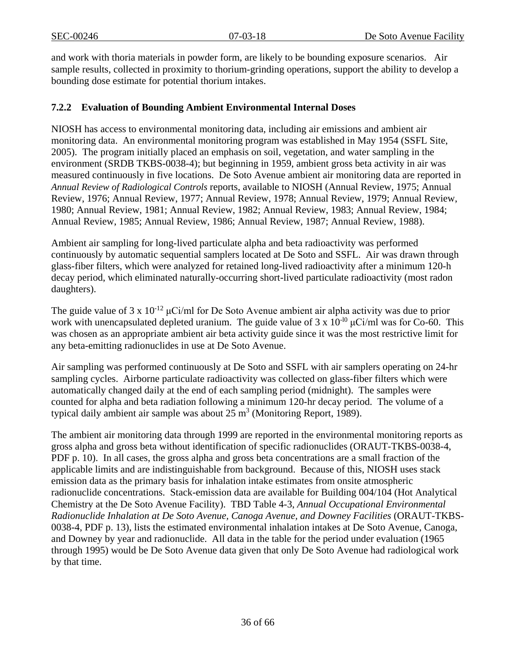and work with thoria materials in powder form, are likely to be bounding exposure scenarios. Air sample results, collected in proximity to thorium-grinding operations, support the ability to develop a bounding dose estimate for potential thorium intakes.

#### <span id="page-35-0"></span>**7.2.2 Evaluation of Bounding Ambient Environmental Internal Doses**

NIOSH has access to environmental monitoring data, including air emissions and ambient air monitoring data. An environmental monitoring program was established in May 1954 (SSFL Site, 2005). The program initially placed an emphasis on soil, vegetation, and water sampling in the environment (SRDB TKBS-0038-4); but beginning in 1959, ambient gross beta activity in air was measured continuously in five locations. De Soto Avenue ambient air monitoring data are reported in *Annual Review of Radiological Controls* reports, available to NIOSH (Annual Review, 1975; Annual Review, 1976; Annual Review, 1977; Annual Review, 1978; Annual Review, 1979; Annual Review, 1980; Annual Review, 1981; Annual Review, 1982; Annual Review, 1983; Annual Review, 1984; Annual Review, 1985; Annual Review, 1986; Annual Review, 1987; Annual Review, 1988).

Ambient air sampling for long-lived particulate alpha and beta radioactivity was performed continuously by automatic sequential samplers located at De Soto and SSFL. Air was drawn through glass-fiber filters, which were analyzed for retained long-lived radioactivity after a minimum 120-h decay period, which eliminated naturally-occurring short-lived particulate radioactivity (most radon daughters).

The guide value of  $3 \times 10^{-12}$   $\mu$ Ci/ml for De Soto Avenue ambient air alpha activity was due to prior work with unencapsulated depleted uranium. The guide value of  $3 \times 10^{-10}$   $\mu$ Ci/ml was for Co-60. This was chosen as an appropriate ambient air beta activity guide since it was the most restrictive limit for any beta-emitting radionuclides in use at De Soto Avenue.

Air sampling was performed continuously at De Soto and SSFL with air samplers operating on 24-hr sampling cycles. Airborne particulate radioactivity was collected on glass-fiber filters which were automatically changed daily at the end of each sampling period (midnight). The samples were counted for alpha and beta radiation following a minimum 120-hr decay period. The volume of a typical daily ambient air sample was about  $25 \text{ m}^3$  (Monitoring Report, 1989).

The ambient air monitoring data through 1999 are reported in the environmental monitoring reports as gross alpha and gross beta without identification of specific radionuclides (ORAUT-TKBS-0038-4, PDF p. 10). In all cases, the gross alpha and gross beta concentrations are a small fraction of the applicable limits and are indistinguishable from background. Because of this, NIOSH uses stack emission data as the primary basis for inhalation intake estimates from onsite atmospheric radionuclide concentrations. Stack-emission data are available for Building 004/104 (Hot Analytical Chemistry at the De Soto Avenue Facility). TBD Table 4-3, *Annual Occupational Environmental Radionuclide Inhalation at De Soto Avenue, Canoga Avenue, and Downey Facilities* (ORAUT-TKBS-0038-4, PDF p. 13), lists the estimated environmental inhalation intakes at De Soto Avenue, Canoga, and Downey by year and radionuclide. All data in the table for the period under evaluation (1965 through 1995) would be De Soto Avenue data given that only De Soto Avenue had radiological work by that time.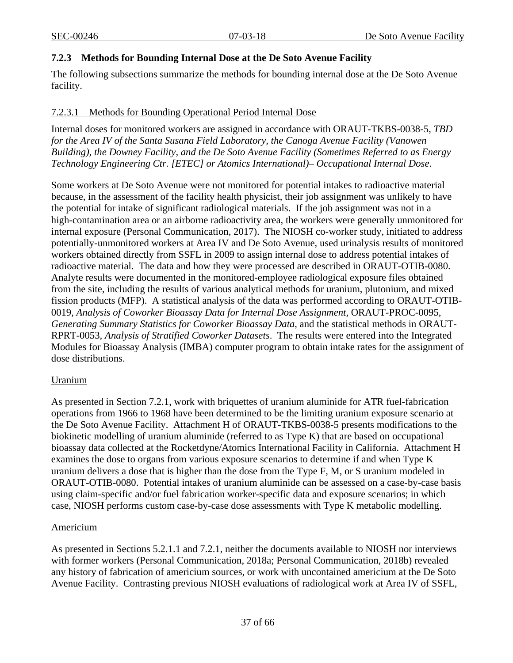#### <span id="page-36-0"></span>**7.2.3 Methods for Bounding Internal Dose at the De Soto Avenue Facility**

The following subsections summarize the methods for bounding internal dose at the De Soto Avenue facility.

#### <span id="page-36-1"></span>7.2.3.1 Methods for Bounding Operational Period Internal Dose

Internal doses for monitored workers are assigned in accordance with ORAUT-TKBS-0038-5, *TBD for the Area IV of the Santa Susana Field Laboratory, the Canoga Avenue Facility (Vanowen Building), the Downey Facility, and the De Soto Avenue Facility (Sometimes Referred to as Energy Technology Engineering Ctr. [ETEC] or Atomics International)– Occupational Internal Dose*.

Some workers at De Soto Avenue were not monitored for potential intakes to radioactive material because, in the assessment of the facility health physicist, their job assignment was unlikely to have the potential for intake of significant radiological materials. If the job assignment was not in a high-contamination area or an airborne radioactivity area, the workers were generally unmonitored for internal exposure (Personal Communication, 2017). The NIOSH co-worker study, initiated to address potentially-unmonitored workers at Area IV and De Soto Avenue, used urinalysis results of monitored workers obtained directly from SSFL in 2009 to assign internal dose to address potential intakes of radioactive material. The data and how they were processed are described in ORAUT-OTIB-0080. Analyte results were documented in the monitored-employee radiological exposure files obtained from the site, including the results of various analytical methods for uranium, plutonium, and mixed fission products (MFP). A statistical analysis of the data was performed according to ORAUT-OTIB-0019, *Analysis of Coworker Bioassay Data for Internal Dose Assignment*, ORAUT-PROC-0095, *Generating Summary Statistics for Coworker Bioassay Data*, and the statistical methods in ORAUT-RPRT-0053, *Analysis of Stratified Coworker Datasets*. The results were entered into the Integrated Modules for Bioassay Analysis (IMBA) computer program to obtain intake rates for the assignment of dose distributions.

#### Uranium

As presented in Section 7.2.1, work with briquettes of uranium aluminide for ATR fuel-fabrication operations from 1966 to 1968 have been determined to be the limiting uranium exposure scenario at the De Soto Avenue Facility. Attachment H of ORAUT-TKBS-0038-5 presents modifications to the biokinetic modelling of uranium aluminide (referred to as Type K) that are based on occupational bioassay data collected at the Rocketdyne/Atomics International Facility in California. Attachment H examines the dose to organs from various exposure scenarios to determine if and when Type K uranium delivers a dose that is higher than the dose from the Type F, M, or S uranium modeled in ORAUT-OTIB-0080. Potential intakes of uranium aluminide can be assessed on a case-by-case basis using claim-specific and/or fuel fabrication worker-specific data and exposure scenarios; in which case, NIOSH performs custom case-by-case dose assessments with Type K metabolic modelling.

#### **Americium**

As presented in Sections 5.2.1.1 and 7.2.1, neither the documents available to NIOSH nor interviews with former workers (Personal Communication, 2018a; Personal Communication, 2018b) revealed any history of fabrication of americium sources, or work with uncontained americium at the De Soto Avenue Facility. Contrasting previous NIOSH evaluations of radiological work at Area IV of SSFL,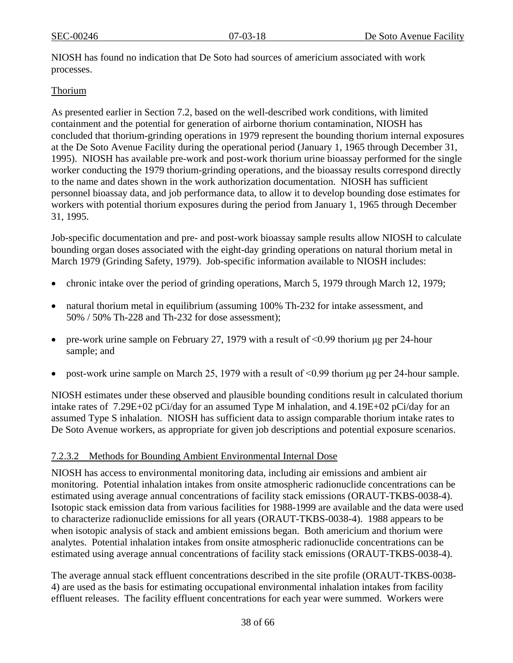NIOSH has found no indication that De Soto had sources of americium associated with work processes.

#### **Thorium**

As presented earlier in Section 7.2, based on the well-described work conditions, with limited containment and the potential for generation of airborne thorium contamination, NIOSH has concluded that thorium-grinding operations in 1979 represent the bounding thorium internal exposures at the De Soto Avenue Facility during the operational period (January 1, 1965 through December 31, 1995). NIOSH has available pre-work and post-work thorium urine bioassay performed for the single worker conducting the 1979 thorium-grinding operations, and the bioassay results correspond directly to the name and dates shown in the work authorization documentation. NIOSH has sufficient personnel bioassay data, and job performance data, to allow it to develop bounding dose estimates for workers with potential thorium exposures during the period from January 1, 1965 through December 31, 1995.

Job-specific documentation and pre- and post-work bioassay sample results allow NIOSH to calculate bounding organ doses associated with the eight-day grinding operations on natural thorium metal in March 1979 (Grinding Safety, 1979). Job-specific information available to NIOSH includes:

- chronic intake over the period of grinding operations, March 5, 1979 through March 12, 1979;
- natural thorium metal in equilibrium (assuming 100% Th-232 for intake assessment, and 50% / 50% Th-228 and Th-232 for dose assessment);
- pre-work urine sample on February 27, 1979 with a result of  $\leq 0.99$  thorium μg per 24-hour sample; and
- post-work urine sample on March 25, 1979 with a result of <0.99 thorium μg per 24-hour sample.

NIOSH estimates under these observed and plausible bounding conditions result in calculated thorium intake rates of 7.29E+02 pCi/day for an assumed Type M inhalation, and 4.19E+02 pCi/day for an assumed Type S inhalation. NIOSH has sufficient data to assign comparable thorium intake rates to De Soto Avenue workers, as appropriate for given job descriptions and potential exposure scenarios.

#### <span id="page-37-0"></span>7.2.3.2 Methods for Bounding Ambient Environmental Internal Dose

NIOSH has access to environmental monitoring data, including air emissions and ambient air monitoring. Potential inhalation intakes from onsite atmospheric radionuclide concentrations can be estimated using average annual concentrations of facility stack emissions (ORAUT-TKBS-0038-4). Isotopic stack emission data from various facilities for 1988-1999 are available and the data were used to characterize radionuclide emissions for all years (ORAUT-TKBS-0038-4). 1988 appears to be when isotopic analysis of stack and ambient emissions began. Both americium and thorium were analytes. Potential inhalation intakes from onsite atmospheric radionuclide concentrations can be estimated using average annual concentrations of facility stack emissions (ORAUT-TKBS-0038-4).

The average annual stack effluent concentrations described in the site profile (ORAUT-TKBS-0038- 4) are used as the basis for estimating occupational environmental inhalation intakes from facility effluent releases. The facility effluent concentrations for each year were summed. Workers were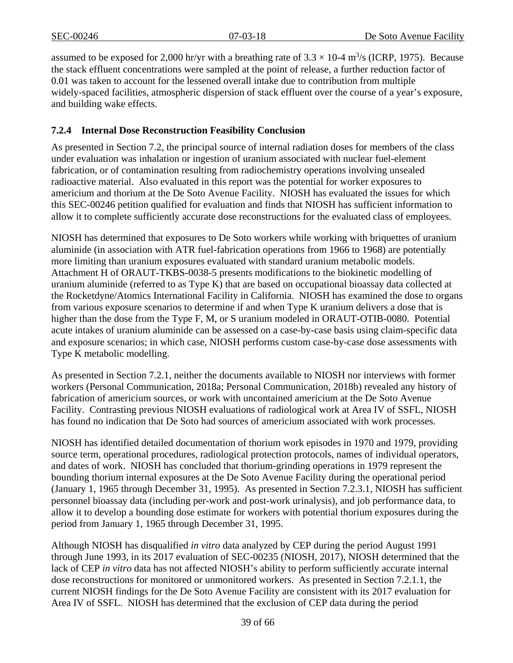assumed to be exposed for 2,000 hr/yr with a breathing rate of  $3.3 \times 10^{-4}$  m<sup>3</sup>/s (ICRP, 1975). Because the stack effluent concentrations were sampled at the point of release, a further reduction factor of 0.01 was taken to account for the lessened overall intake due to contribution from multiple widely-spaced facilities, atmospheric dispersion of stack effluent over the course of a year's exposure, and building wake effects.

#### <span id="page-38-0"></span>**7.2.4 Internal Dose Reconstruction Feasibility Conclusion**

As presented in Section 7.2, the principal source of internal radiation doses for members of the class under evaluation was inhalation or ingestion of uranium associated with nuclear fuel-element fabrication, or of contamination resulting from radiochemistry operations involving unsealed radioactive material. Also evaluated in this report was the potential for worker exposures to americium and thorium at the De Soto Avenue Facility. NIOSH has evaluated the issues for which this SEC-00246 petition qualified for evaluation and finds that NIOSH has sufficient information to allow it to complete sufficiently accurate dose reconstructions for the evaluated class of employees.

NIOSH has determined that exposures to De Soto workers while working with briquettes of uranium aluminide (in association with ATR fuel-fabrication operations from 1966 to 1968) are potentially more limiting than uranium exposures evaluated with standard uranium metabolic models. Attachment H of ORAUT-TKBS-0038-5 presents modifications to the biokinetic modelling of uranium aluminide (referred to as Type K) that are based on occupational bioassay data collected at the Rocketdyne/Atomics International Facility in California. NIOSH has examined the dose to organs from various exposure scenarios to determine if and when Type K uranium delivers a dose that is higher than the dose from the Type F, M, or S uranium modeled in ORAUT-OTIB-0080. Potential acute intakes of uranium aluminide can be assessed on a case-by-case basis using claim-specific data and exposure scenarios; in which case, NIOSH performs custom case-by-case dose assessments with Type K metabolic modelling.

As presented in Section 7.2.1, neither the documents available to NIOSH nor interviews with former workers (Personal Communication, 2018a; Personal Communication, 2018b) revealed any history of fabrication of americium sources, or work with uncontained americium at the De Soto Avenue Facility. Contrasting previous NIOSH evaluations of radiological work at Area IV of SSFL, NIOSH has found no indication that De Soto had sources of americium associated with work processes.

NIOSH has identified detailed documentation of thorium work episodes in 1970 and 1979, providing source term, operational procedures, radiological protection protocols, names of individual operators, and dates of work. NIOSH has concluded that thorium-grinding operations in 1979 represent the bounding thorium internal exposures at the De Soto Avenue Facility during the operational period (January 1, 1965 through December 31, 1995). As presented in Section 7.2.3.1, NIOSH has sufficient personnel bioassay data (including per-work and post-work urinalysis), and job performance data, to allow it to develop a bounding dose estimate for workers with potential thorium exposures during the period from January 1, 1965 through December 31, 1995.

Although NIOSH has disqualified *in vitro* data analyzed by CEP during the period August 1991 through June 1993, in its 2017 evaluation of SEC-00235 (NIOSH, 2017), NIOSH determined that the lack of CEP *in vitro* data has not affected NIOSH's ability to perform sufficiently accurate internal dose reconstructions for monitored or unmonitored workers. As presented in Section 7.2.1.1, the current NIOSH findings for the De Soto Avenue Facility are consistent with its 2017 evaluation for Area IV of SSFL. NIOSH has determined that the exclusion of CEP data during the period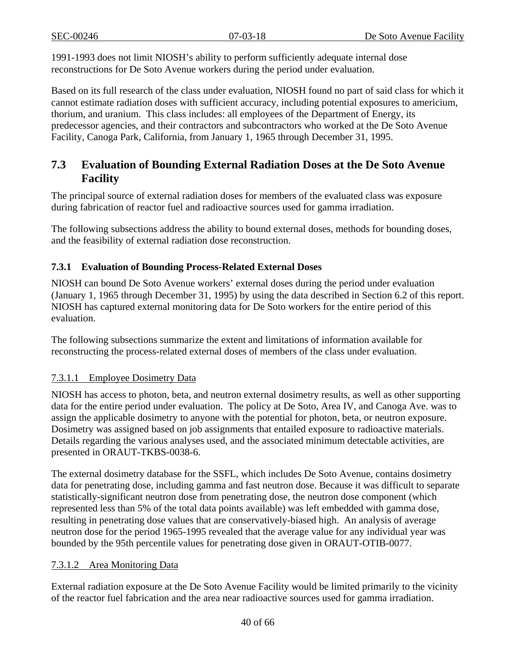1991-1993 does not limit NIOSH's ability to perform sufficiently adequate internal dose reconstructions for De Soto Avenue workers during the period under evaluation.

Based on its full research of the class under evaluation, NIOSH found no part of said class for which it cannot estimate radiation doses with sufficient accuracy, including potential exposures to americium, thorium, and uranium. This class includes: all employees of the Department of Energy, its predecessor agencies, and their contractors and subcontractors who worked at the De Soto Avenue Facility, Canoga Park, California, from January 1, 1965 through December 31, 1995.

### <span id="page-39-0"></span>**7.3 Evaluation of Bounding External Radiation Doses at the De Soto Avenue Facility**

The principal source of external radiation doses for members of the evaluated class was exposure during fabrication of reactor fuel and radioactive sources used for gamma irradiation.

The following subsections address the ability to bound external doses, methods for bounding doses, and the feasibility of external radiation dose reconstruction.

#### <span id="page-39-1"></span>**7.3.1 Evaluation of Bounding Process-Related External Doses**

NIOSH can bound De Soto Avenue workers' external doses during the period under evaluation (January 1, 1965 through December 31, 1995) by using the data described in Section 6.2 of this report. NIOSH has captured external monitoring data for De Soto workers for the entire period of this evaluation.

The following subsections summarize the extent and limitations of information available for reconstructing the process-related external doses of members of the class under evaluation.

#### <span id="page-39-2"></span>7.3.1.1 Employee Dosimetry Data

NIOSH has access to photon, beta, and neutron external dosimetry results, as well as other supporting data for the entire period under evaluation. The policy at De Soto, Area IV, and Canoga Ave. was to assign the applicable dosimetry to anyone with the potential for photon, beta, or neutron exposure. Dosimetry was assigned based on job assignments that entailed exposure to radioactive materials. Details regarding the various analyses used, and the associated minimum detectable activities, are presented in ORAUT-TKBS-0038-6.

The external dosimetry database for the SSFL, which includes De Soto Avenue, contains dosimetry data for penetrating dose, including gamma and fast neutron dose. Because it was difficult to separate statistically-significant neutron dose from penetrating dose, the neutron dose component (which represented less than 5% of the total data points available) was left embedded with gamma dose, resulting in penetrating dose values that are conservatively-biased high. An analysis of average neutron dose for the period 1965-1995 revealed that the average value for any individual year was bounded by the 95th percentile values for penetrating dose given in ORAUT-OTIB-0077.

#### <span id="page-39-3"></span>7.3.1.2 Area Monitoring Data

External radiation exposure at the De Soto Avenue Facility would be limited primarily to the vicinity of the reactor fuel fabrication and the area near radioactive sources used for gamma irradiation.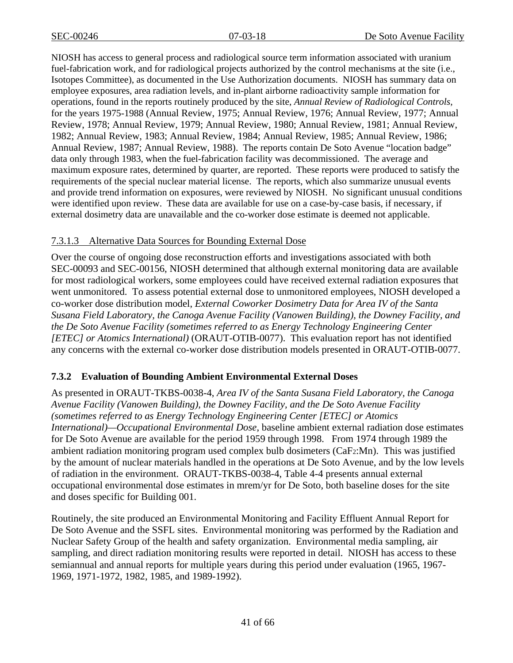NIOSH has access to general process and radiological source term information associated with uranium fuel-fabrication work, and for radiological projects authorized by the control mechanisms at the site (i.e., Isotopes Committee), as documented in the Use Authorization documents. NIOSH has summary data on employee exposures, area radiation levels, and in-plant airborne radioactivity sample information for operations, found in the reports routinely produced by the site, *Annual Review of Radiological Controls,*  for the years 1975-1988 (Annual Review, 1975; Annual Review, 1976; Annual Review, 1977; Annual Review, 1978; Annual Review, 1979; Annual Review, 1980; Annual Review, 1981; Annual Review, 1982; Annual Review, 1983; Annual Review, 1984; Annual Review, 1985; Annual Review, 1986; Annual Review, 1987; Annual Review, 1988). The reports contain De Soto Avenue "location badge" data only through 1983, when the fuel-fabrication facility was decommissioned. The average and maximum exposure rates, determined by quarter, are reported. These reports were produced to satisfy the requirements of the special nuclear material license. The reports, which also summarize unusual events and provide trend information on exposures, were reviewed by NIOSH. No significant unusual conditions were identified upon review. These data are available for use on a case-by-case basis, if necessary, if external dosimetry data are unavailable and the co-worker dose estimate is deemed not applicable.

#### <span id="page-40-0"></span>7.3.1.3 Alternative Data Sources for Bounding External Dose

Over the course of ongoing dose reconstruction efforts and investigations associated with both SEC-00093 and SEC-00156, NIOSH determined that although external monitoring data are available for most radiological workers, some employees could have received external radiation exposures that went unmonitored. To assess potential external dose to unmonitored employees, NIOSH developed a co-worker dose distribution model, *External Coworker Dosimetry Data for Area IV of the Santa Susana Field Laboratory, the Canoga Avenue Facility (Vanowen Building), the Downey Facility, and the De Soto Avenue Facility (sometimes referred to as Energy Technology Engineering Center [ETEC] or Atomics International)* (ORAUT-OTIB-0077). This evaluation report has not identified any concerns with the external co-worker dose distribution models presented in ORAUT-OTIB-0077.

#### <span id="page-40-1"></span>**7.3.2 Evaluation of Bounding Ambient Environmental External Doses**

As presented in ORAUT-TKBS-0038-4, *Area IV of the Santa Susana Field Laboratory, the Canoga Avenue Facility (Vanowen Building), the Downey Facility, and the De Soto Avenue Facility (sometimes referred to as Energy Technology Engineering Center [ETEC] or Atomics International)—Occupational Environmental Dose*, baseline ambient external radiation dose estimates for De Soto Avenue are available for the period 1959 through 1998. From 1974 through 1989 the ambient radiation monitoring program used complex bulb dosimeters (CaF2:Mn). This was justified by the amount of nuclear materials handled in the operations at De Soto Avenue, and by the low levels of radiation in the environment. ORAUT-TKBS-0038-4, Table 4-4 presents annual external occupational environmental dose estimates in mrem/yr for De Soto, both baseline doses for the site and doses specific for Building 001.

Routinely, the site produced an Environmental Monitoring and Facility Effluent Annual Report for De Soto Avenue and the SSFL sites. Environmental monitoring was performed by the Radiation and Nuclear Safety Group of the health and safety organization. Environmental media sampling, air sampling, and direct radiation monitoring results were reported in detail. NIOSH has access to these semiannual and annual reports for multiple years during this period under evaluation (1965, 1967- 1969, 1971-1972, 1982, 1985, and 1989-1992).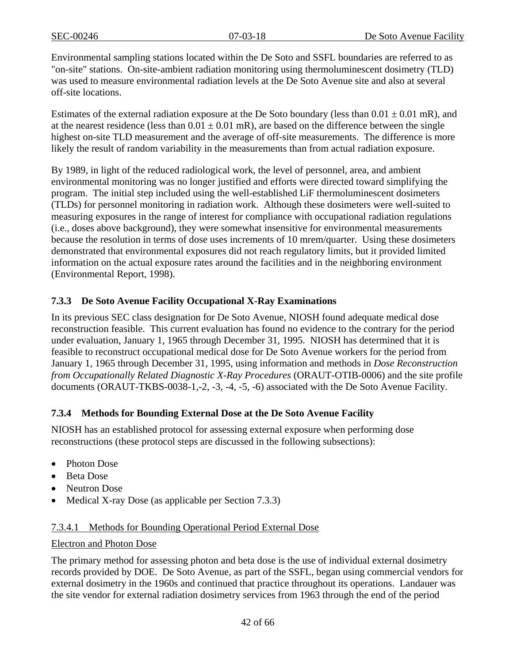Environmental sampling stations located within the De Soto and SSFL boundaries are referred to as "on-site" stations. On-site-ambient radiation monitoring using thermoluminescent dosimetry (TLD) was used to measure environmental radiation levels at the De Soto Avenue site and also at several off-site locations.

Estimates of the external radiation exposure at the De Soto boundary (less than  $0.01 \pm 0.01$  mR), and at the nearest residence (less than  $0.01 \pm 0.01$  mR), are based on the difference between the single highest on-site TLD measurement and the average of off-site measurements. The difference is more likely the result of random variability in the measurements than from actual radiation exposure.

By 1989, in light of the reduced radiological work, the level of personnel, area, and ambient environmental monitoring was no longer justified and efforts were directed toward simplifying the program. The initial step included using the well-established LiF thermoluminescent dosimeters (TLDs) for personnel monitoring in radiation work. Although these dosimeters were well-suited to measuring exposures in the range of interest for compliance with occupational radiation regulations (i.e., doses above background), they were somewhat insensitive for environmental measurements because the resolution in terms of dose uses increments of 10 mrem/quarter. Using these dosimeters demonstrated that environmental exposures did not reach regulatory limits, but it provided limited information on the actual exposure rates around the facilities and in the neighboring environment (Environmental Report, 1998).

#### <span id="page-41-0"></span>**7.3.3 De Soto Avenue Facility Occupational X-Ray Examinations**

In its previous SEC class designation for De Soto Avenue, NIOSH found adequate medical dose reconstruction feasible. This current evaluation has found no evidence to the contrary for the period under evaluation, January 1, 1965 through December 31, 1995. NIOSH has determined that it is feasible to reconstruct occupational medical dose for De Soto Avenue workers for the period from January 1, 1965 through December 31, 1995, using information and methods in *Dose Reconstruction from Occupationally Related Diagnostic X-Ray Procedures* (ORAUT-OTIB-0006) and the site profile documents (ORAUT-TKBS-0038-1,-2, -3, -4, -5, -6) associated with the De Soto Avenue Facility.

### <span id="page-41-1"></span>**7.3.4 Methods for Bounding External Dose at the De Soto Avenue Facility**

NIOSH has an established protocol for assessing external exposure when performing dose reconstructions (these protocol steps are discussed in the following subsections):

- Photon Dose
- Beta Dose
- Neutron Dose
- <span id="page-41-2"></span>• Medical X-ray Dose (as applicable per Section 7.3.3)

### 7.3.4.1 Methods for Bounding Operational Period External Dose

### Electron and Photon Dose

The primary method for assessing photon and beta dose is the use of individual external dosimetry records provided by DOE. De Soto Avenue, as part of the SSFL, began using commercial vendors for external dosimetry in the 1960s and continued that practice throughout its operations. Landauer was the site vendor for external radiation dosimetry services from 1963 through the end of the period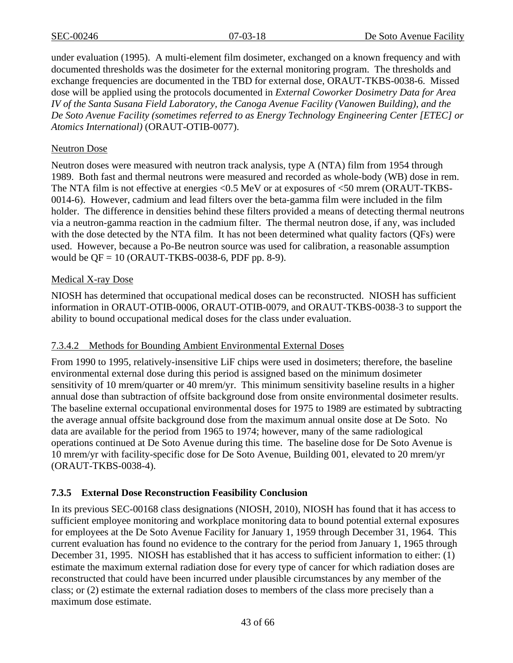under evaluation (1995). A multi-element film dosimeter, exchanged on a known frequency and with documented thresholds was the dosimeter for the external monitoring program. The thresholds and exchange frequencies are documented in the TBD for external dose, ORAUT-TKBS-0038-6. Missed dose will be applied using the protocols documented in *External Coworker Dosimetry Data for Area IV of the Santa Susana Field Laboratory, the Canoga Avenue Facility (Vanowen Building), and the De Soto Avenue Facility (sometimes referred to as Energy Technology Engineering Center [ETEC] or Atomics International)* (ORAUT-OTIB-0077).

#### Neutron Dose

Neutron doses were measured with neutron track analysis, type A (NTA) film from 1954 through 1989. Both fast and thermal neutrons were measured and recorded as whole-body (WB) dose in rem. The NTA film is not effective at energies <0.5 MeV or at exposures of <50 mrem (ORAUT-TKBS-0014-6). However, cadmium and lead filters over the beta-gamma film were included in the film holder. The difference in densities behind these filters provided a means of detecting thermal neutrons via a neutron-gamma reaction in the cadmium filter. The thermal neutron dose, if any, was included with the dose detected by the NTA film. It has not been determined what quality factors (QFs) were used. However, because a Po-Be neutron source was used for calibration, a reasonable assumption would be QF = 10 (ORAUT-TKBS-0038-6, PDF pp. 8-9).

#### Medical X-ray Dose

NIOSH has determined that occupational medical doses can be reconstructed. NIOSH has sufficient information in ORAUT-OTIB-0006, ORAUT-OTIB-0079, and ORAUT-TKBS-0038-3 to support the ability to bound occupational medical doses for the class under evaluation.

#### <span id="page-42-0"></span>7.3.4.2 Methods for Bounding Ambient Environmental External Doses

From 1990 to 1995, relatively-insensitive LiF chips were used in dosimeters; therefore, the baseline environmental external dose during this period is assigned based on the minimum dosimeter sensitivity of 10 mrem/quarter or 40 mrem/yr. This minimum sensitivity baseline results in a higher annual dose than subtraction of offsite background dose from onsite environmental dosimeter results. The baseline external occupational environmental doses for 1975 to 1989 are estimated by subtracting the average annual offsite background dose from the maximum annual onsite dose at De Soto. No data are available for the period from 1965 to 1974; however, many of the same radiological operations continued at De Soto Avenue during this time. The baseline dose for De Soto Avenue is 10 mrem/yr with facility-specific dose for De Soto Avenue, Building 001, elevated to 20 mrem/yr (ORAUT-TKBS-0038-4).

#### <span id="page-42-1"></span>**7.3.5 External Dose Reconstruction Feasibility Conclusion**

In its previous SEC-00168 class designations (NIOSH, 2010), NIOSH has found that it has access to sufficient employee monitoring and workplace monitoring data to bound potential external exposures for employees at the De Soto Avenue Facility for January 1, 1959 through December 31, 1964. This current evaluation has found no evidence to the contrary for the period from January 1, 1965 through December 31, 1995. NIOSH has established that it has access to sufficient information to either: (1) estimate the maximum external radiation dose for every type of cancer for which radiation doses are reconstructed that could have been incurred under plausible circumstances by any member of the class; or (2) estimate the external radiation doses to members of the class more precisely than a maximum dose estimate.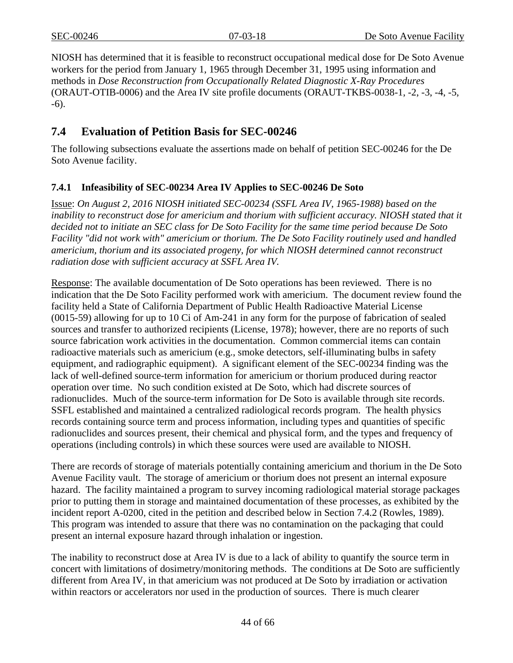NIOSH has determined that it is feasible to reconstruct occupational medical dose for De Soto Avenue workers for the period from January 1, 1965 through December 31, 1995 using information and methods in *Dose Reconstruction from Occupationally Related Diagnostic X-Ray Procedures* (ORAUT-OTIB-0006) and the Area IV site profile documents (ORAUT-TKBS-0038-1, -2, -3, -4, -5, -6).

### <span id="page-43-0"></span>**7.4 Evaluation of Petition Basis for SEC-00246**

The following subsections evaluate the assertions made on behalf of petition SEC-00246 for the De Soto Avenue facility.

### <span id="page-43-1"></span>**7.4.1 Infeasibility of SEC-00234 Area IV Applies to SEC-00246 De Soto**

Issue: *On August 2, 2016 NIOSH initiated SEC-00234 (SSFL Area IV, 1965-1988) based on the*  inability to reconstruct dose for americium and thorium with sufficient accuracy. NIOSH stated that it *decided not to initiate an SEC class for De Soto Facility for the same time period because De Soto Facility "did not work with" americium or thorium. The De Soto Facility routinely used and handled americium, thorium and its associated progeny, for which NIOSH determined cannot reconstruct radiation dose with sufficient accuracy at SSFL Area IV.* 

Response: The available documentation of De Soto operations has been reviewed. There is no indication that the De Soto Facility performed work with americium. The document review found the facility held a State of California Department of Public Health Radioactive Material License (0015-59) allowing for up to 10 Ci of Am-241 in any form for the purpose of fabrication of sealed sources and transfer to authorized recipients (License, 1978); however, there are no reports of such source fabrication work activities in the documentation. Common commercial items can contain radioactive materials such as americium (e.g., smoke detectors, self-illuminating bulbs in safety equipment, and radiographic equipment). A significant element of the SEC-00234 finding was the lack of well-defined source-term information for americium or thorium produced during reactor operation over time. No such condition existed at De Soto, which had discrete sources of radionuclides. Much of the source-term information for De Soto is available through site records. SSFL established and maintained a centralized radiological records program. The health physics records containing source term and process information, including types and quantities of specific radionuclides and sources present, their chemical and physical form, and the types and frequency of operations (including controls) in which these sources were used are available to NIOSH.

There are records of storage of materials potentially containing americium and thorium in the De Soto Avenue Facility vault. The storage of americium or thorium does not present an internal exposure hazard. The facility maintained a program to survey incoming radiological material storage packages prior to putting them in storage and maintained documentation of these processes, as exhibited by the incident report A-0200, cited in the petition and described below in Section 7.4.2 (Rowles, 1989). This program was intended to assure that there was no contamination on the packaging that could present an internal exposure hazard through inhalation or ingestion.

The inability to reconstruct dose at Area IV is due to a lack of ability to quantify the source term in concert with limitations of dosimetry/monitoring methods. The conditions at De Soto are sufficiently different from Area IV, in that americium was not produced at De Soto by irradiation or activation within reactors or accelerators nor used in the production of sources. There is much clearer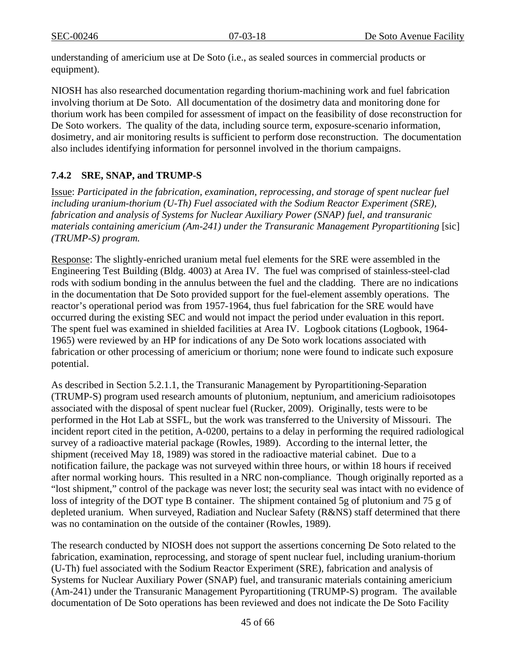understanding of americium use at De Soto (i.e., as sealed sources in commercial products or equipment).

NIOSH has also researched documentation regarding thorium-machining work and fuel fabrication involving thorium at De Soto. All documentation of the dosimetry data and monitoring done for thorium work has been compiled for assessment of impact on the feasibility of dose reconstruction for De Soto workers. The quality of the data, including source term, exposure-scenario information, dosimetry, and air monitoring results is sufficient to perform dose reconstruction. The documentation also includes identifying information for personnel involved in the thorium campaigns.

### <span id="page-44-0"></span>**7.4.2 SRE, SNAP, and TRUMP-S**

Issue: *Participated in the fabrication, examination, reprocessing, and storage of spent nuclear fuel including uranium-thorium (U-Th) Fuel associated with the Sodium Reactor Experiment (SRE), fabrication and analysis of Systems for Nuclear Auxiliary Power (SNAP) fuel, and transuranic materials containing americium (Am-241) under the Transuranic Management Pyropartitioning [sic] (TRUMP-S) program.*

Response: The slightly-enriched uranium metal fuel elements for the SRE were assembled in the Engineering Test Building (Bldg. 4003) at Area IV. The fuel was comprised of stainless-steel-clad rods with sodium bonding in the annulus between the fuel and the cladding. There are no indications in the documentation that De Soto provided support for the fuel-element assembly operations. The reactor's operational period was from 1957-1964, thus fuel fabrication for the SRE would have occurred during the existing SEC and would not impact the period under evaluation in this report. The spent fuel was examined in shielded facilities at Area IV. Logbook citations (Logbook, 1964- 1965) were reviewed by an HP for indications of any De Soto work locations associated with fabrication or other processing of americium or thorium; none were found to indicate such exposure potential.

As described in Section 5.2.1.1, the Transuranic Management by Pyropartitioning-Separation (TRUMP-S) program used research amounts of plutonium, neptunium, and americium radioisotopes associated with the disposal of spent nuclear fuel (Rucker, 2009). Originally, tests were to be performed in the Hot Lab at SSFL, but the work was transferred to the University of Missouri. The incident report cited in the petition, A-0200, pertains to a delay in performing the required radiological survey of a radioactive material package (Rowles, 1989). According to the internal letter, the shipment (received May 18, 1989) was stored in the radioactive material cabinet. Due to a notification failure, the package was not surveyed within three hours, or within 18 hours if received after normal working hours. This resulted in a NRC non-compliance. Though originally reported as a "lost shipment," control of the package was never lost; the security seal was intact with no evidence of loss of integrity of the DOT type B container. The shipment contained 5g of plutonium and 75 g of depleted uranium. When surveyed, Radiation and Nuclear Safety (R&NS) staff determined that there was no contamination on the outside of the container (Rowles, 1989).

The research conducted by NIOSH does not support the assertions concerning De Soto related to the fabrication, examination, reprocessing, and storage of spent nuclear fuel, including uranium-thorium (U-Th) fuel associated with the Sodium Reactor Experiment (SRE), fabrication and analysis of Systems for Nuclear Auxiliary Power (SNAP) fuel, and transuranic materials containing americium (Am-241) under the Transuranic Management Pyropartitioning (TRUMP-S) program. The available documentation of De Soto operations has been reviewed and does not indicate the De Soto Facility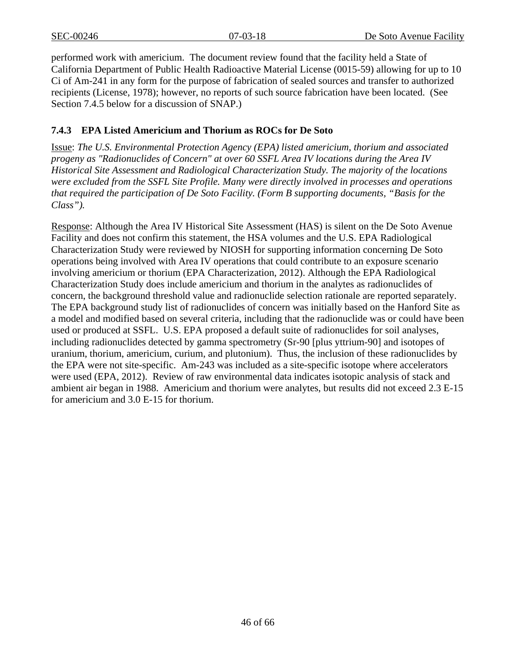performed work with americium. The document review found that the facility held a State of California Department of Public Health Radioactive Material License (0015-59) allowing for up to 10 Ci of Am-241 in any form for the purpose of fabrication of sealed sources and transfer to authorized recipients (License, 1978); however, no reports of such source fabrication have been located. (See Section 7.4.5 below for a discussion of SNAP.)

#### <span id="page-45-0"></span>**7.4.3 EPA Listed Americium and Thorium as ROCs for De Soto**

Issue: *The U.S. Environmental Protection Agency (EPA) listed americium, thorium and associated progeny as "Radionuclides of Concern" at over 60 SSFL Area IV locations during the Area IV Historical Site Assessment and Radiological Characterization Study. The majority of the locations were excluded from the SSFL Site Profile. Many were directly involved in processes and operations that required the participation of De Soto Facility. (Form B supporting documents, "Basis for the Class").*

Response: Although the Area IV Historical Site Assessment (HAS) is silent on the De Soto Avenue Facility and does not confirm this statement, the HSA volumes and the U.S. EPA Radiological Characterization Study were reviewed by NIOSH for supporting information concerning De Soto operations being involved with Area IV operations that could contribute to an exposure scenario involving americium or thorium (EPA Characterization, 2012). Although the EPA Radiological Characterization Study does include americium and thorium in the analytes as radionuclides of concern, the background threshold value and radionuclide selection rationale are reported separately. The EPA background study list of radionuclides of concern was initially based on the Hanford Site as a model and modified based on several criteria, including that the radionuclide was or could have been used or produced at SSFL. U.S. EPA proposed a default suite of radionuclides for soil analyses, including radionuclides detected by gamma spectrometry (Sr-90 [plus yttrium-90] and isotopes of uranium, thorium, americium, curium, and plutonium). Thus, the inclusion of these radionuclides by the EPA were not site-specific. Am-243 was included as a site-specific isotope where accelerators were used (EPA, 2012). Review of raw environmental data indicates isotopic analysis of stack and ambient air began in 1988. Americium and thorium were analytes, but results did not exceed 2.3 E-15 for americium and 3.0 E-15 for thorium.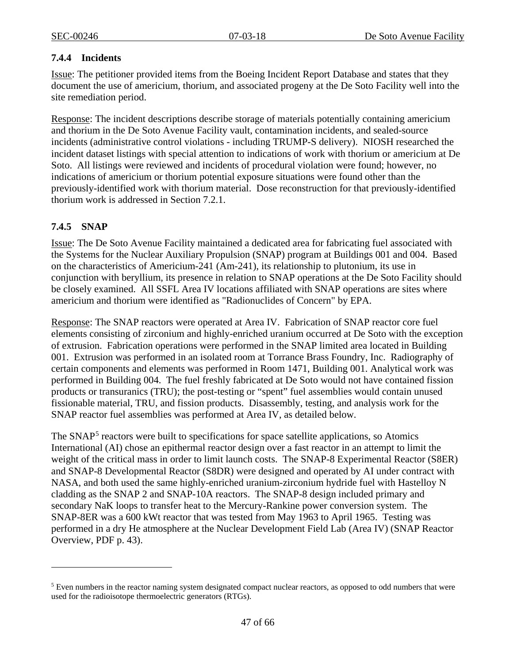#### <span id="page-46-0"></span>**7.4.4 Incidents**

Issue: The petitioner provided items from the Boeing Incident Report Database and states that they document the use of americium, thorium, and associated progeny at the De Soto Facility well into the site remediation period.

Response: The incident descriptions describe storage of materials potentially containing americium and thorium in the De Soto Avenue Facility vault, contamination incidents, and sealed-source incidents (administrative control violations - including TRUMP-S delivery). NIOSH researched the incident dataset listings with special attention to indications of work with thorium or americium at De Soto. All listings were reviewed and incidents of procedural violation were found; however, no indications of americium or thorium potential exposure situations were found other than the previously-identified work with thorium material. Dose reconstruction for that previously-identified thorium work is addressed in Section 7.2.1.

### <span id="page-46-1"></span>**7.4.5 SNAP**

 $\overline{a}$ 

Issue: The De Soto Avenue Facility maintained a dedicated area for fabricating fuel associated with the Systems for the Nuclear Auxiliary Propulsion (SNAP) program at Buildings 001 and 004. Based on the characteristics of Americium-241 (Am-241), its relationship to plutonium, its use in conjunction with beryllium, its presence in relation to SNAP operations at the De Soto Facility should be closely examined. All SSFL Area IV locations affiliated with SNAP operations are sites where americium and thorium were identified as "Radionuclides of Concern" by EPA.

Response: The SNAP reactors were operated at Area IV. Fabrication of SNAP reactor core fuel elements consisting of zirconium and highly-enriched uranium occurred at De Soto with the exception of extrusion. Fabrication operations were performed in the SNAP limited area located in Building 001. Extrusion was performed in an isolated room at Torrance Brass Foundry, Inc. Radiography of certain components and elements was performed in Room 1471, Building 001. Analytical work was performed in Building 004. The fuel freshly fabricated at De Soto would not have contained fission products or transuranics (TRU); the post-testing or "spent" fuel assemblies would contain unused fissionable material, TRU, and fission products. Disassembly, testing, and analysis work for the SNAP reactor fuel assemblies was performed at Area IV, as detailed below.

The SNAP<sup>[5](#page-46-2)</sup> reactors were built to specifications for space satellite applications, so Atomics International (AI) chose an epithermal reactor design over a fast reactor in an attempt to limit the weight of the critical mass in order to limit launch costs. The SNAP-8 Experimental Reactor (S8ER) and SNAP-8 Developmental Reactor (S8DR) were designed and operated by AI under contract with NASA, and both used the same highly-enriched uranium-zirconium hydride fuel with Hastelloy N cladding as the SNAP 2 and SNAP-10A reactors. The SNAP-8 design included primary and secondary NaK loops to transfer heat to the Mercury-Rankine power conversion system. The SNAP-8ER was a 600 kWt reactor that was tested from May 1963 to April 1965. Testing was performed in a dry He atmosphere at the Nuclear Development Field Lab (Area IV) (SNAP Reactor Overview, PDF p. 43).

<span id="page-46-2"></span><sup>&</sup>lt;sup>5</sup> Even numbers in the reactor naming system designated compact nuclear reactors, as opposed to odd numbers that were used for the radioisotope thermoelectric generators (RTGs).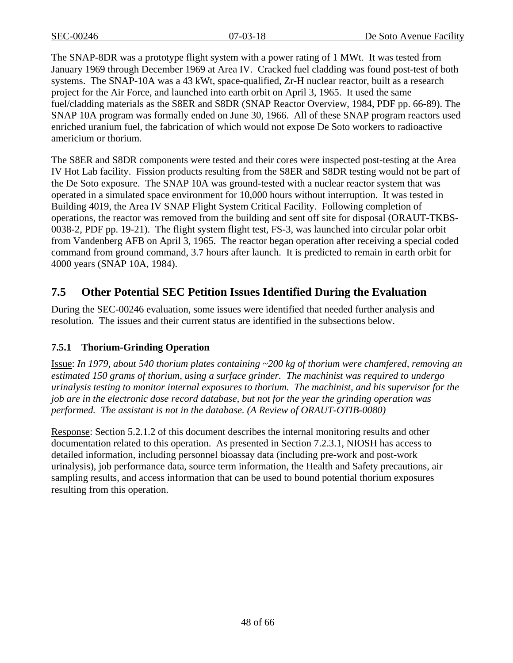The SNAP-8DR was a prototype flight system with a power rating of 1 MWt. It was tested from January 1969 through December 1969 at Area IV. Cracked fuel cladding was found post-test of both systems. The SNAP-10A was a 43 kWt, space-qualified, Zr-H nuclear reactor, built as a research project for the Air Force, and launched into earth orbit on April 3, 1965. It used the same fuel/cladding materials as the S8ER and S8DR (SNAP Reactor Overview, 1984, PDF pp. 66-89). The SNAP 10A program was formally ended on June 30, 1966. All of these SNAP program reactors used enriched uranium fuel, the fabrication of which would not expose De Soto workers to radioactive americium or thorium.

The S8ER and S8DR components were tested and their cores were inspected post-testing at the Area IV Hot Lab facility. Fission products resulting from the S8ER and S8DR testing would not be part of the De Soto exposure. The SNAP 10A was ground-tested with a nuclear reactor system that was operated in a simulated space environment for 10,000 hours without interruption. It was tested in Building 4019, the Area IV SNAP Flight System Critical Facility. Following completion of operations, the reactor was removed from the building and sent off site for disposal (ORAUT-TKBS-0038-2, PDF pp. 19-21). The flight system flight test, FS-3, was launched into circular polar orbit from Vandenberg AFB on April 3, 1965. The reactor began operation after receiving a special coded command from ground command, 3.7 hours after launch. It is predicted to remain in earth orbit for 4000 years (SNAP 10A, 1984).

## <span id="page-47-0"></span>**7.5 Other Potential SEC Petition Issues Identified During the Evaluation**

During the SEC-00246 evaluation, some issues were identified that needed further analysis and resolution. The issues and their current status are identified in the subsections below.

## <span id="page-47-1"></span>**7.5.1 Thorium-Grinding Operation**

Issue: *In 1979, about 540 thorium plates containing ~200 kg of thorium were chamfered, removing an estimated 150 grams of thorium, using a surface grinder. The machinist was required to undergo urinalysis testing to monitor internal exposures to thorium. The machinist, and his supervisor for the job are in the electronic dose record database, but not for the year the grinding operation was performed. The assistant is not in the database. (A Review of ORAUT-OTIB-0080)* 

Response: Section 5.2.1.2 of this document describes the internal monitoring results and other documentation related to this operation. As presented in Section 7.2.3.1, NIOSH has access to detailed information, including personnel bioassay data (including pre-work and post-work urinalysis), job performance data, source term information, the Health and Safety precautions, air sampling results, and access information that can be used to bound potential thorium exposures resulting from this operation.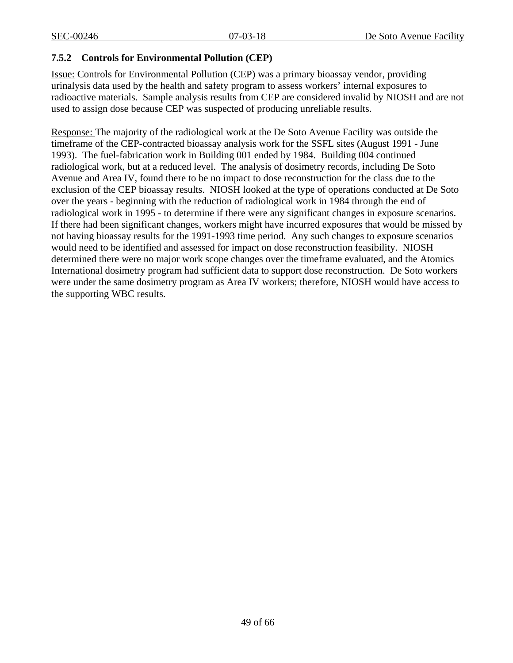#### <span id="page-48-0"></span>**7.5.2 Controls for Environmental Pollution (CEP)**

Issue: Controls for Environmental Pollution (CEP) was a primary bioassay vendor, providing urinalysis data used by the health and safety program to assess workers' internal exposures to radioactive materials. Sample analysis results from CEP are considered invalid by NIOSH and are not used to assign dose because CEP was suspected of producing unreliable results.

Response: The majority of the radiological work at the De Soto Avenue Facility was outside the timeframe of the CEP-contracted bioassay analysis work for the SSFL sites (August 1991 - June 1993). The fuel-fabrication work in Building 001 ended by 1984. Building 004 continued radiological work, but at a reduced level. The analysis of dosimetry records, including De Soto Avenue and Area IV, found there to be no impact to dose reconstruction for the class due to the exclusion of the CEP bioassay results. NIOSH looked at the type of operations conducted at De Soto over the years - beginning with the reduction of radiological work in 1984 through the end of radiological work in 1995 - to determine if there were any significant changes in exposure scenarios. If there had been significant changes, workers might have incurred exposures that would be missed by not having bioassay results for the 1991-1993 time period. Any such changes to exposure scenarios would need to be identified and assessed for impact on dose reconstruction feasibility. NIOSH determined there were no major work scope changes over the timeframe evaluated, and the Atomics International dosimetry program had sufficient data to support dose reconstruction. De Soto workers were under the same dosimetry program as Area IV workers; therefore, NIOSH would have access to the supporting WBC results.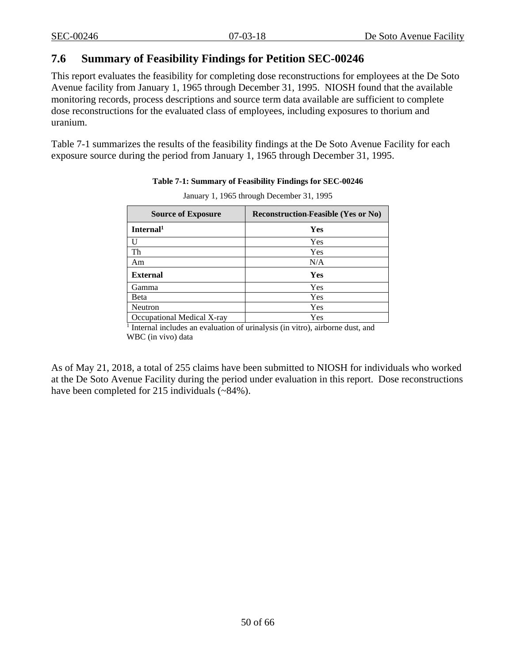### <span id="page-49-0"></span>**7.6 Summary of Feasibility Findings for Petition SEC-00246**

This report evaluates the feasibility for completing dose reconstructions for employees at the De Soto Avenue facility from January 1, 1965 through December 31, 1995. NIOSH found that the available monitoring records, process descriptions and source term data available are sufficient to complete dose reconstructions for the evaluated class of employees, including exposures to thorium and uranium.

<span id="page-49-1"></span>Table 7-1 summarizes the results of the feasibility findings at the De Soto Avenue Facility for each exposure source during the period from January 1, 1965 through December 31, 1995.

| <b>Source of Exposure</b>                                                               | <b>Reconstruction-Feasible (Yes or No)</b> |  |  |
|-----------------------------------------------------------------------------------------|--------------------------------------------|--|--|
| Internal <sup>1</sup>                                                                   | Yes                                        |  |  |
| U                                                                                       | Yes                                        |  |  |
| Th                                                                                      | Yes                                        |  |  |
| Am                                                                                      | N/A                                        |  |  |
| <b>External</b>                                                                         | Yes                                        |  |  |
| Gamma                                                                                   | Yes                                        |  |  |
| <b>B</b> eta                                                                            | Yes                                        |  |  |
| Neutron                                                                                 | Yes                                        |  |  |
| Occupational Medical X-ray                                                              | Yes                                        |  |  |
| <sup>1</sup> Internal includes an evaluation of urinalysis (in vitro) airborne dust and |                                            |  |  |

|  | Table 7-1: Summary of Feasibility Findings for SEC-00246 |  |
|--|----------------------------------------------------------|--|
|  | January 1, 1965 through December 31, 1995                |  |

<sup>1</sup> Internal includes an evaluation of urinalysis (in vitro), airborne dust, and WBC (in vivo) data

As of May 21, 2018, a total of 255 claims have been submitted to NIOSH for individuals who worked at the De Soto Avenue Facility during the period under evaluation in this report. Dose reconstructions have been completed for 215 individuals  $(\sim 84\%)$ .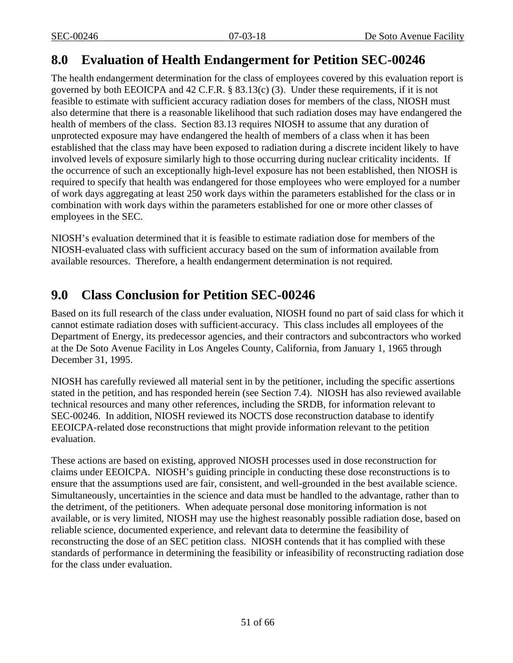## <span id="page-50-0"></span>**8.0 Evaluation of Health Endangerment for Petition SEC-00246**

The health endangerment determination for the class of employees covered by this evaluation report is governed by both EEOICPA and 42 C.F.R. § 83.13(c) (3). Under these requirements, if it is not feasible to estimate with sufficient accuracy radiation doses for members of the class, NIOSH must also determine that there is a reasonable likelihood that such radiation doses may have endangered the health of members of the class. Section 83.13 requires NIOSH to assume that any duration of unprotected exposure may have endangered the health of members of a class when it has been established that the class may have been exposed to radiation during a discrete incident likely to have involved levels of exposure similarly high to those occurring during nuclear criticality incidents. If the occurrence of such an exceptionally high-level exposure has not been established, then NIOSH is required to specify that health was endangered for those employees who were employed for a number of work days aggregating at least 250 work days within the parameters established for the class or in combination with work days within the parameters established for one or more other classes of employees in the SEC.

NIOSH's evaluation determined that it is feasible to estimate radiation dose for members of the NIOSH-evaluated class with sufficient accuracy based on the sum of information available from available resources. Therefore, a health endangerment determination is not required.

## <span id="page-50-1"></span>**9.0 Class Conclusion for Petition SEC-00246**

Based on its full research of the class under evaluation, NIOSH found no part of said class for which it cannot estimate radiation doses with sufficient accuracy. This class includes all employees of the Department of Energy, its predecessor agencies, and their contractors and subcontractors who worked at the De Soto Avenue Facility in Los Angeles County, California, from January 1, 1965 through December 31, 1995.

NIOSH has carefully reviewed all material sent in by the petitioner, including the specific assertions stated in the petition, and has responded herein (see Section 7.4). NIOSH has also reviewed available technical resources and many other references, including the SRDB, for information relevant to SEC-00246. In addition, NIOSH reviewed its NOCTS dose reconstruction database to identify EEOICPA-related dose reconstructions that might provide information relevant to the petition evaluation.

These actions are based on existing, approved NIOSH processes used in dose reconstruction for claims under EEOICPA. NIOSH's guiding principle in conducting these dose reconstructions is to ensure that the assumptions used are fair, consistent, and well-grounded in the best available science. Simultaneously, uncertainties in the science and data must be handled to the advantage, rather than to the detriment, of the petitioners. When adequate personal dose monitoring information is not available, or is very limited, NIOSH may use the highest reasonably possible radiation dose, based on reliable science, documented experience, and relevant data to determine the feasibility of reconstructing the dose of an SEC petition class. NIOSH contends that it has complied with these standards of performance in determining the feasibility or infeasibility of reconstructing radiation dose for the class under evaluation.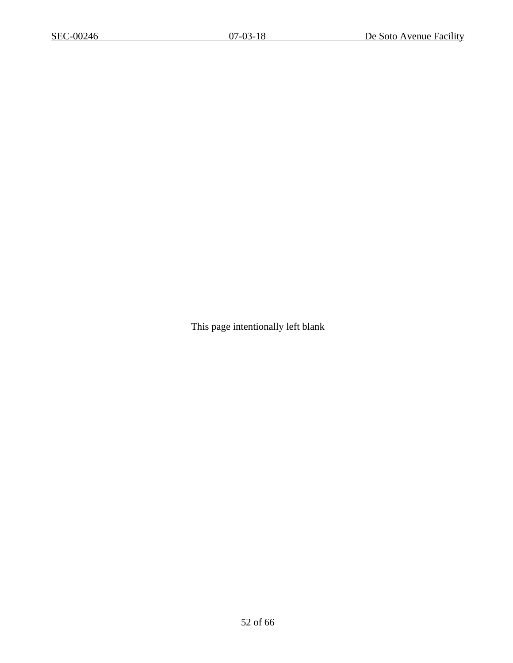This page intentionally left blank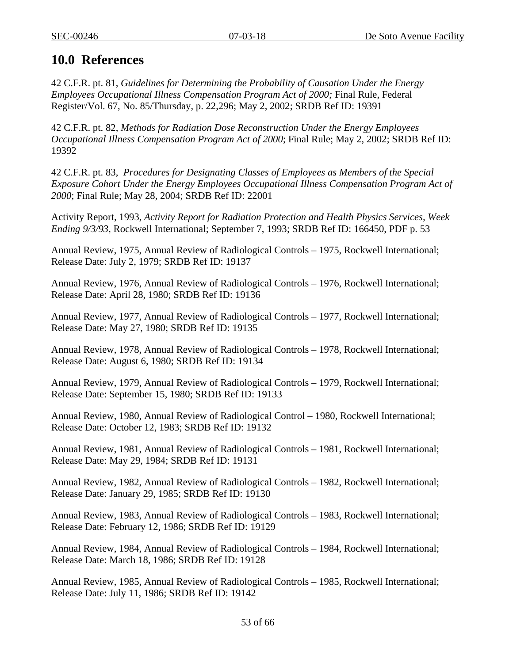## <span id="page-52-0"></span>**10.0 References**

42 C.F.R. pt. 81, *Guidelines for Determining the Probability of Causation Under the Energy Employees Occupational Illness Compensation Program Act of 2000;* Final Rule, Federal Register/Vol. 67, No. 85/Thursday, p. 22,296; May 2, 2002; SRDB Ref ID: 19391

42 C.F.R. pt. 82, *Methods for Radiation Dose Reconstruction Under the Energy Employees Occupational Illness Compensation Program Act of 2000*; Final Rule; May 2, 2002; SRDB Ref ID: 19392

42 C.F.R. pt. 83, *Procedures for Designating Classes of Employees as Members of the Special Exposure Cohort Under the Energy Employees Occupational Illness Compensation Program Act of 2000*; Final Rule; May 28, 2004; SRDB Ref ID: 22001

Activity Report, 1993, *Activity Report for Radiation Protection and Health Physics Services, Week Ending 9/3/93*, Rockwell International; September 7, 1993; SRDB Ref ID: 166450, PDF p. 53

Annual Review, 1975, Annual Review of Radiological Controls – 1975, Rockwell International; Release Date: July 2, 1979; SRDB Ref ID: 19137

Annual Review, 1976, Annual Review of Radiological Controls – 1976, Rockwell International; Release Date: April 28, 1980; SRDB Ref ID: 19136

Annual Review, 1977, Annual Review of Radiological Controls – 1977, Rockwell International; Release Date: May 27, 1980; SRDB Ref ID: 19135

Annual Review, 1978, Annual Review of Radiological Controls – 1978, Rockwell International; Release Date: August 6, 1980; SRDB Ref ID: 19134

Annual Review, 1979, Annual Review of Radiological Controls – 1979, Rockwell International; Release Date: September 15, 1980; SRDB Ref ID: 19133

Annual Review, 1980, Annual Review of Radiological Control – 1980, Rockwell International; Release Date: October 12, 1983; SRDB Ref ID: 19132

Annual Review, 1981, Annual Review of Radiological Controls – 1981, Rockwell International; Release Date: May 29, 1984; SRDB Ref ID: 19131

Annual Review, 1982, Annual Review of Radiological Controls – 1982, Rockwell International; Release Date: January 29, 1985; SRDB Ref ID: 19130

Annual Review, 1983, Annual Review of Radiological Controls – 1983, Rockwell International; Release Date: February 12, 1986; SRDB Ref ID: 19129

Annual Review, 1984, Annual Review of Radiological Controls – 1984, Rockwell International; Release Date: March 18, 1986; SRDB Ref ID: 19128

Annual Review, 1985, Annual Review of Radiological Controls – 1985, Rockwell International; Release Date: July 11, 1986; SRDB Ref ID: 19142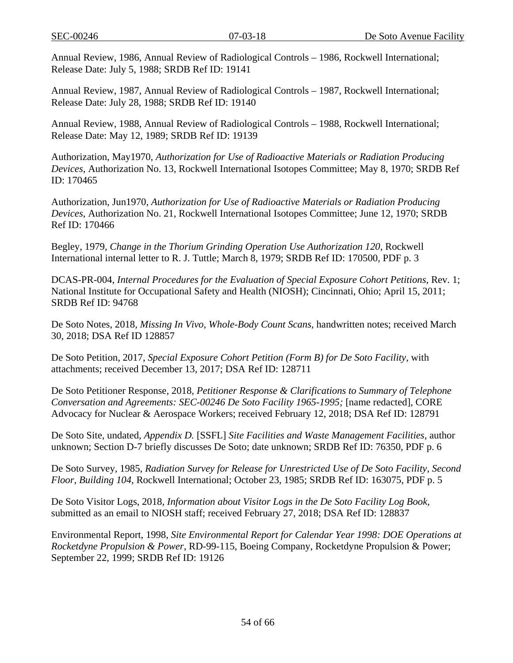Annual Review, 1986, Annual Review of Radiological Controls – 1986, Rockwell International; Release Date: July 5, 1988; SRDB Ref ID: 19141

Annual Review, 1987, Annual Review of Radiological Controls – 1987, Rockwell International; Release Date: July 28, 1988; SRDB Ref ID: 19140

Annual Review, 1988, Annual Review of Radiological Controls – 1988, Rockwell International; Release Date: May 12, 1989; SRDB Ref ID: 19139

Authorization, May1970, *Authorization for Use of Radioactive Materials or Radiation Producing Devices*, Authorization No. 13, Rockwell International Isotopes Committee; May 8, 1970; SRDB Ref ID: 170465

Authorization, Jun1970, *Authorization for Use of Radioactive Materials or Radiation Producing Devices*, Authorization No. 21, Rockwell International Isotopes Committee; June 12, 1970; SRDB Ref ID: 170466

Begley, 1979, *Change in the Thorium Grinding Operation Use Authorization 120*, Rockwell International internal letter to R. J. Tuttle; March 8, 1979; SRDB Ref ID: 170500, PDF p. 3

DCAS-PR-004, *Internal Procedures for the Evaluation of Special Exposure Cohort Petitions*, Rev. 1; National Institute for Occupational Safety and Health (NIOSH); Cincinnati, Ohio; April 15, 2011; SRDB Ref ID: 94768

De Soto Notes, 2018, *Missing In Vivo, Whole-Body Count Scans,* handwritten notes; received March 30, 2018; DSA Ref ID 128857

De Soto Petition, 2017, *Special Exposure Cohort Petition (Form B) for De Soto Facility*, with attachments; received December 13, 2017; DSA Ref ID: 128711

De Soto Petitioner Response, 2018*, Petitioner Response & Clarifications to Summary of Telephone Conversation and Agreements: SEC-00246 De Soto Facility 1965-1995;* [name redacted], CORE Advocacy for Nuclear & Aerospace Workers; received February 12, 2018; DSA Ref ID: 128791

De Soto Site, undated, *Appendix D.* [SSFL] *Site Facilities and Waste Management Facilities*, author unknown; Section D-7 briefly discusses De Soto; date unknown; SRDB Ref ID: 76350, PDF p. 6

De Soto Survey, 1985, *Radiation Survey for Release for Unrestricted Use of De Soto Facility, Second Floor, Building 104*, Rockwell International; October 23, 1985; SRDB Ref ID: 163075, PDF p. 5

De Soto Visitor Logs, 2018, *Information about Visitor Logs in the De Soto Facility Log Book,*  submitted as an email to NIOSH staff; received February 27, 2018; DSA Ref ID: 128837

Environmental Report, 1998, *Site Environmental Report for Calendar Year 1998: DOE Operations at Rocketdyne Propulsion & Power*, RD-99-115, Boeing Company, Rocketdyne Propulsion & Power; September 22, 1999; SRDB Ref ID: 19126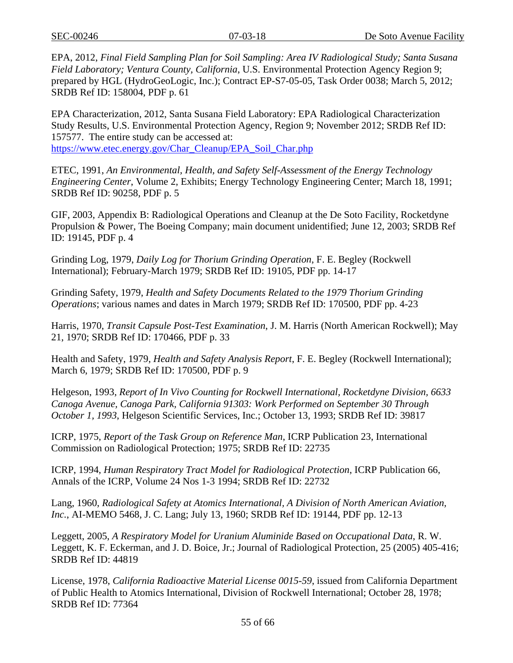EPA, 2012, *Final Field Sampling Plan for Soil Sampling: Area IV Radiological Study; Santa Susana Field Laboratory; Ventura County, California*, U.S. Environmental Protection Agency Region 9; prepared by HGL (HydroGeoLogic, Inc.); Contract EP-S7-05-05, Task Order 0038; March 5, 2012; SRDB Ref ID: 158004, PDF p. 61

EPA Characterization, 2012, Santa Susana Field Laboratory: EPA Radiological Characterization Study Results, U.S. Environmental Protection Agency, Region 9; November 2012; SRDB Ref ID: 157577. The entire study can be accessed at: [https://www.etec.energy.gov/Char\\_Cleanup/EPA\\_Soil\\_Char.php](https://www.etec.energy.gov/Char_Cleanup/EPA_Soil_Char.php)

ETEC, 1991, *An Environmental, Health, and Safety Self-Assessment of the Energy Technology Engineering Center*, Volume 2, Exhibits; Energy Technology Engineering Center; March 18, 1991; SRDB Ref ID: 90258, PDF p. 5

GIF, 2003, Appendix B: Radiological Operations and Cleanup at the De Soto Facility, Rocketdyne Propulsion & Power, The Boeing Company; main document unidentified; June 12, 2003; SRDB Ref ID: 19145, PDF p. 4

Grinding Log, 1979, *Daily Log for Thorium Grinding Operation*, F. E. Begley (Rockwell International); February-March 1979; SRDB Ref ID: 19105, PDF pp. 14-17

Grinding Safety, 1979, *Health and Safety Documents Related to the 1979 Thorium Grinding Operations*; various names and dates in March 1979; SRDB Ref ID: 170500, PDF pp. 4-23

Harris, 1970, *Transit Capsule Post-Test Examination*, J. M. Harris (North American Rockwell); May 21, 1970; SRDB Ref ID: 170466, PDF p. 33

Health and Safety, 1979, *Health and Safety Analysis Report*, F. E. Begley (Rockwell International); March 6, 1979; SRDB Ref ID: 170500, PDF p. 9

Helgeson, 1993, *Report of In Vivo Counting for Rockwell International, Rocketdyne Division, 6633 Canoga Avenue, Canoga Park, California 91303: Work Performed on September 30 Through October 1, 1993*, Helgeson Scientific Services, Inc.; October 13, 1993; SRDB Ref ID: 39817

ICRP, 1975, *Report of the Task Group on Reference Man*, ICRP Publication 23, International Commission on Radiological Protection; 1975; SRDB Ref ID: 22735

ICRP, 1994, *Human Respiratory Tract Model for Radiological Protection*, ICRP Publication 66, Annals of the ICRP, Volume 24 Nos 1-3 1994; SRDB Ref ID: 22732

Lang, 1960, *Radiological Safety at Atomics International, A Division of North American Aviation, Inc.*, AI-MEMO 5468, J. C. Lang; July 13, 1960; SRDB Ref ID: 19144, PDF pp. 12-13

Leggett, 2005, *A Respiratory Model for Uranium Aluminide Based on Occupational Data*, R. W. Leggett, K. F. Eckerman, and J. D. Boice, Jr.; Journal of Radiological Protection, 25 (2005) 405-416; SRDB Ref ID: 44819

License, 1978, *California Radioactive Material License 0015-59*, issued from California Department of Public Health to Atomics International, Division of Rockwell International; October 28, 1978; SRDB Ref ID: 77364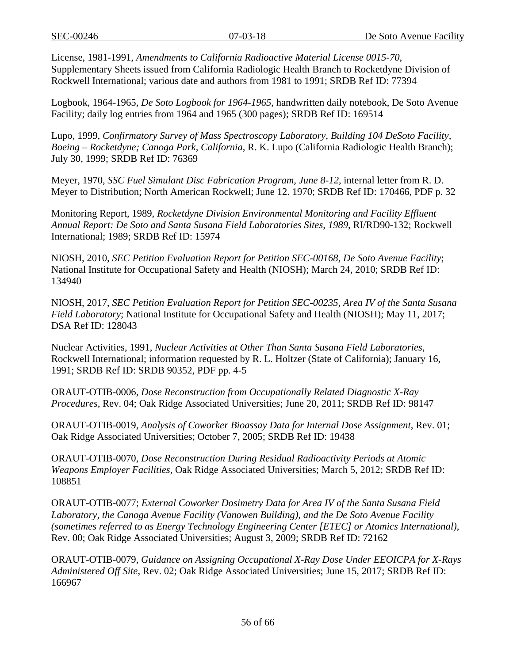License, 1981-1991, *Amendments to California Radioactive Material License 0015-70*, Supplementary Sheets issued from California Radiologic Health Branch to Rocketdyne Division of Rockwell International; various date and authors from 1981 to 1991; SRDB Ref ID: 77394

Logbook, 1964-1965, *De Soto Logbook for 1964-1965*, handwritten daily notebook, De Soto Avenue Facility; daily log entries from 1964 and 1965 (300 pages); SRDB Ref ID: 169514

Lupo, 1999, *Confirmatory Survey of Mass Spectroscopy Laboratory, Building 104 DeSoto Facility, Boeing – Rocketdyne; Canoga Park, California*, R. K. Lupo (California Radiologic Health Branch); July 30, 1999; SRDB Ref ID: 76369

Meyer, 1970, *SSC Fuel Simulant Disc Fabrication Program, June 8-12*, internal letter from R. D. Meyer to Distribution; North American Rockwell; June 12. 1970; SRDB Ref ID: 170466, PDF p. 32

Monitoring Report, 1989, *Rocketdyne Division Environmental Monitoring and Facility Effluent Annual Report: De Soto and Santa Susana Field Laboratories Sites, 1989*, RI/RD90-132; Rockwell International; 1989; SRDB Ref ID: 15974

NIOSH, 2010, *SEC Petition Evaluation Report for Petition SEC-00168, De Soto Avenue Facility*; National Institute for Occupational Safety and Health (NIOSH); March 24, 2010; SRDB Ref ID: 134940

NIOSH, 2017, *SEC Petition Evaluation Report for Petition SEC-00235, Area IV of the Santa Susana Field Laboratory*; National Institute for Occupational Safety and Health (NIOSH); May 11, 2017; DSA Ref ID: 128043

Nuclear Activities, 1991, *Nuclear Activities at Other Than Santa Susana Field Laboratories*, Rockwell International; information requested by R. L. Holtzer (State of California); January 16, 1991; SRDB Ref ID: SRDB 90352, PDF pp. 4-5

ORAUT-OTIB-0006, *Dose Reconstruction from Occupationally Related Diagnostic X-Ray Procedures*, Rev. 04; Oak Ridge Associated Universities; June 20, 2011; SRDB Ref ID: 98147

ORAUT-OTIB-0019, *Analysis of Coworker Bioassay Data for Internal Dose Assignment*, Rev. 01; Oak Ridge Associated Universities; October 7, 2005; SRDB Ref ID: 19438

ORAUT-OTIB-0070, *Dose Reconstruction During Residual Radioactivity Periods at Atomic Weapons Employer Facilities*, Oak Ridge Associated Universities; March 5, 2012; SRDB Ref ID: 108851

ORAUT-OTIB-0077; *External Coworker Dosimetry Data for Area IV of the Santa Susana Field Laboratory, the Canoga Avenue Facility (Vanowen Building), and the De Soto Avenue Facility (sometimes referred to as Energy Technology Engineering Center [ETEC] or Atomics International)*, Rev. 00; Oak Ridge Associated Universities; August 3, 2009; SRDB Ref ID: 72162

ORAUT-OTIB-0079, *Guidance on Assigning Occupational X-Ray Dose Under EEOICPA for X-Rays Administered Off Site*, Rev. 02; Oak Ridge Associated Universities; June 15, 2017; SRDB Ref ID: 166967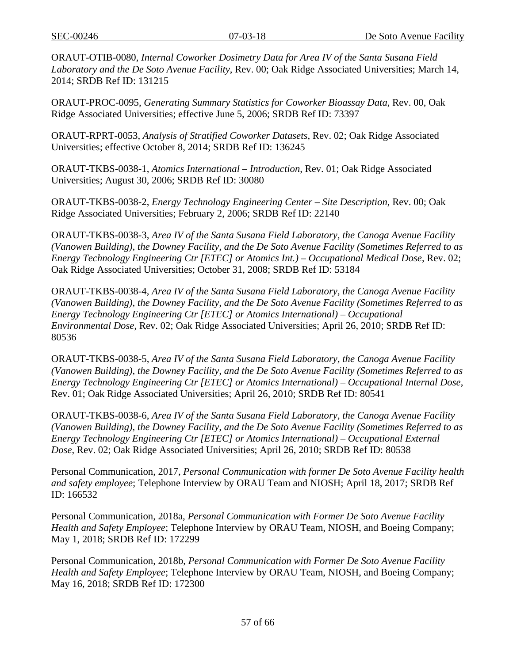ORAUT-OTIB-0080, *Internal Coworker Dosimetry Data for Area IV of the Santa Susana Field Laboratory and the De Soto Avenue Facility*, Rev. 00; Oak Ridge Associated Universities; March 14, 2014; SRDB Ref ID: 131215

ORAUT-PROC-0095, *Generating Summary Statistics for Coworker Bioassay Data*, Rev. 00, Oak Ridge Associated Universities; effective June 5, 2006; SRDB Ref ID: 73397

ORAUT-RPRT-0053, *Analysis of Stratified Coworker Datasets*, Rev. 02; Oak Ridge Associated Universities; effective October 8, 2014; SRDB Ref ID: 136245

ORAUT-TKBS-0038-1, *Atomics International – Introduction*, Rev. 01; Oak Ridge Associated Universities; August 30, 2006; SRDB Ref ID: 30080

ORAUT-TKBS-0038-2, *Energy Technology Engineering Center – Site Description*, Rev. 00; Oak Ridge Associated Universities; February 2, 2006; SRDB Ref ID: 22140

ORAUT-TKBS-0038-3, *Area IV of the Santa Susana Field Laboratory, the Canoga Avenue Facility (Vanowen Building), the Downey Facility, and the De Soto Avenue Facility (Sometimes Referred to as Energy Technology Engineering Ctr [ETEC] or Atomics Int.) – Occupational Medical Dose*, Rev. 02; Oak Ridge Associated Universities; October 31, 2008; SRDB Ref ID: 53184

ORAUT-TKBS-0038-4, *Area IV of the Santa Susana Field Laboratory, the Canoga Avenue Facility (Vanowen Building), the Downey Facility, and the De Soto Avenue Facility (Sometimes Referred to as Energy Technology Engineering Ctr [ETEC] or Atomics International) – Occupational Environmental Dose*, Rev. 02; Oak Ridge Associated Universities; April 26, 2010; SRDB Ref ID: 80536

ORAUT-TKBS-0038-5, *Area IV of the Santa Susana Field Laboratory, the Canoga Avenue Facility (Vanowen Building), the Downey Facility, and the De Soto Avenue Facility (Sometimes Referred to as Energy Technology Engineering Ctr [ETEC] or Atomics International) – Occupational Internal Dose*, Rev. 01; Oak Ridge Associated Universities; April 26, 2010; SRDB Ref ID: 80541

ORAUT-TKBS-0038-6, *Area IV of the Santa Susana Field Laboratory, the Canoga Avenue Facility (Vanowen Building), the Downey Facility, and the De Soto Avenue Facility (Sometimes Referred to as Energy Technology Engineering Ctr [ETEC] or Atomics International) – Occupational External Dose*, Rev. 02; Oak Ridge Associated Universities; April 26, 2010; SRDB Ref ID: 80538

Personal Communication, 2017, *Personal Communication with former De Soto Avenue Facility health and safety employee*; Telephone Interview by ORAU Team and NIOSH; April 18, 2017; SRDB Ref ID: 166532

Personal Communication, 2018a, *Personal Communication with Former De Soto Avenue Facility Health and Safety Employee*; Telephone Interview by ORAU Team, NIOSH, and Boeing Company; May 1, 2018; SRDB Ref ID: 172299

Personal Communication, 2018b, *Personal Communication with Former De Soto Avenue Facility Health and Safety Employee*; Telephone Interview by ORAU Team, NIOSH, and Boeing Company; May 16, 2018; SRDB Ref ID: 172300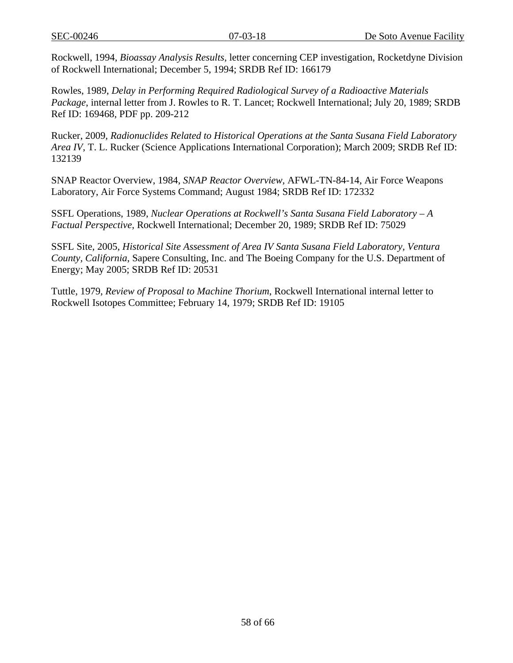Rockwell, 1994, *Bioassay Analysis Results*, letter concerning CEP investigation, Rocketdyne Division of Rockwell International; December 5, 1994; SRDB Ref ID: 166179

Rowles, 1989, *Delay in Performing Required Radiological Survey of a Radioactive Materials Package*, internal letter from J. Rowles to R. T. Lancet; Rockwell International; July 20, 1989; SRDB Ref ID: 169468, PDF pp. 209-212

Rucker, 2009, *Radionuclides Related to Historical Operations at the Santa Susana Field Laboratory Area IV*, T. L. Rucker (Science Applications International Corporation); March 2009; SRDB Ref ID: 132139

SNAP Reactor Overview, 1984, *SNAP Reactor Overview*, AFWL-TN-84-14, Air Force Weapons Laboratory, Air Force Systems Command; August 1984; SRDB Ref ID: 172332

SSFL Operations, 1989, *Nuclear Operations at Rockwell's Santa Susana Field Laboratory – A Factual Perspective*, Rockwell International; December 20, 1989; SRDB Ref ID: 75029

SSFL Site, 2005, *Historical Site Assessment of Area IV Santa Susana Field Laboratory, Ventura County, California*, Sapere Consulting, Inc. and The Boeing Company for the U.S. Department of Energy; May 2005; SRDB Ref ID: 20531

Tuttle, 1979, *Review of Proposal to Machine Thorium*, Rockwell International internal letter to Rockwell Isotopes Committee; February 14, 1979; SRDB Ref ID: 19105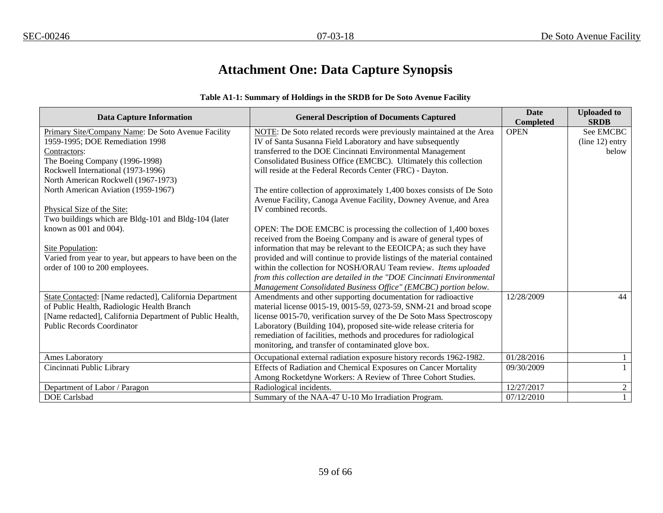# **Attachment One: Data Capture Synopsis**

<span id="page-58-1"></span><span id="page-58-0"></span>

| <b>Data Capture Information</b>                           | <b>General Description of Documents Captured</b>                         |             | <b>Uploaded</b> to<br><b>SRDB</b> |
|-----------------------------------------------------------|--------------------------------------------------------------------------|-------------|-----------------------------------|
| Primary Site/Company Name: De Soto Avenue Facility        | NOTE: De Soto related records were previously maintained at the Area     | <b>OPEN</b> | See EMCBC                         |
| 1959-1995; DOE Remediation 1998                           | IV of Santa Susanna Field Laboratory and have subsequently               |             | (line 12) entry                   |
| Contractors:                                              | transferred to the DOE Cincinnati Environmental Management               |             | below                             |
| The Boeing Company (1996-1998)                            | Consolidated Business Office (EMCBC). Ultimately this collection         |             |                                   |
| Rockwell International (1973-1996)                        | will reside at the Federal Records Center (FRC) - Dayton.                |             |                                   |
| North American Rockwell (1967-1973)                       |                                                                          |             |                                   |
| North American Aviation (1959-1967)                       | The entire collection of approximately 1,400 boxes consists of De Soto   |             |                                   |
|                                                           | Avenue Facility, Canoga Avenue Facility, Downey Avenue, and Area         |             |                                   |
| Physical Size of the Site:                                | IV combined records.                                                     |             |                                   |
| Two buildings which are Bldg-101 and Bldg-104 (later      |                                                                          |             |                                   |
| known as 001 and 004).                                    | OPEN: The DOE EMCBC is processing the collection of 1,400 boxes          |             |                                   |
|                                                           | received from the Boeing Company and is aware of general types of        |             |                                   |
| Site Population:                                          | information that may be relevant to the EEOICPA; as such they have       |             |                                   |
| Varied from year to year, but appears to have been on the | provided and will continue to provide listings of the material contained |             |                                   |
| order of 100 to 200 employees.                            | within the collection for NOSH/ORAU Team review. Items uploaded          |             |                                   |
|                                                           | from this collection are detailed in the "DOE Cincinnati Environmental   |             |                                   |
|                                                           | Management Consolidated Business Office" (EMCBC) portion below.          |             |                                   |
| State Contacted: [Name redacted], California Department   | Amendments and other supporting documentation for radioactive            | 12/28/2009  | 44                                |
| of Public Health, Radiologic Health Branch                | material license 0015-19, 0015-59, 0273-59, SNM-21 and broad scope       |             |                                   |
| [Name redacted], California Department of Public Health,  | license 0015-70, verification survey of the De Soto Mass Spectroscopy    |             |                                   |
| <b>Public Records Coordinator</b>                         | Laboratory (Building 104), proposed site-wide release criteria for       |             |                                   |
|                                                           | remediation of facilities, methods and procedures for radiological       |             |                                   |
|                                                           | monitoring, and transfer of contaminated glove box.                      |             |                                   |
| Ames Laboratory                                           | Occupational external radiation exposure history records 1962-1982.      | 01/28/2016  |                                   |
| Cincinnati Public Library                                 | Effects of Radiation and Chemical Exposures on Cancer Mortality          | 09/30/2009  |                                   |
|                                                           | Among Rocketdyne Workers: A Review of Three Cohort Studies.              |             |                                   |
| Department of Labor / Paragon                             | Radiological incidents.                                                  | 12/27/2017  | $\overline{2}$                    |
| <b>DOE</b> Carlsbad                                       | Summary of the NAA-47 U-10 Mo Irradiation Program.                       | 07/12/2010  |                                   |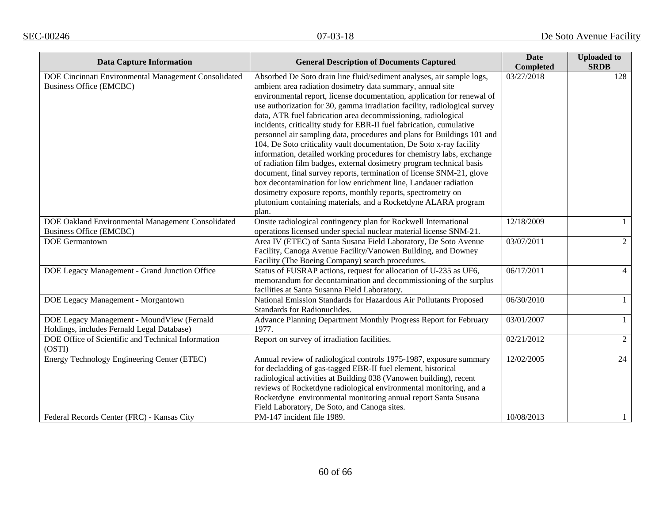| <b>Data Capture Information</b>                                                           | <b>General Description of Documents Captured</b>                                                                                                                                                                                                                                                                                                                                                                                                                                                                                                                                                                                                                                                                                                                                                                                                                                                                                                                                                                               | <b>Date</b><br><b>Completed</b> | <b>Uploaded</b> to<br><b>SRDB</b> |
|-------------------------------------------------------------------------------------------|--------------------------------------------------------------------------------------------------------------------------------------------------------------------------------------------------------------------------------------------------------------------------------------------------------------------------------------------------------------------------------------------------------------------------------------------------------------------------------------------------------------------------------------------------------------------------------------------------------------------------------------------------------------------------------------------------------------------------------------------------------------------------------------------------------------------------------------------------------------------------------------------------------------------------------------------------------------------------------------------------------------------------------|---------------------------------|-----------------------------------|
| DOE Cincinnati Environmental Management Consolidated<br><b>Business Office (EMCBC)</b>    | Absorbed De Soto drain line fluid/sediment analyses, air sample logs,<br>ambient area radiation dosimetry data summary, annual site<br>environmental report, license documentation, application for renewal of<br>use authorization for 30, gamma irradiation facility, radiological survey<br>data, ATR fuel fabrication area decommissioning, radiological<br>incidents, criticality study for EBR-II fuel fabrication, cumulative<br>personnel air sampling data, procedures and plans for Buildings 101 and<br>104, De Soto criticality vault documentation, De Soto x-ray facility<br>information, detailed working procedures for chemistry labs, exchange<br>of radiation film badges, external dosimetry program technical basis<br>document, final survey reports, termination of license SNM-21, glove<br>box decontamination for low enrichment line, Landauer radiation<br>dosimetry exposure reports, monthly reports, spectrometry on<br>plutonium containing materials, and a Rocketdyne ALARA program<br>plan. | 03/27/2018                      | 128                               |
| DOE Oakland Environmental Management Consolidated<br><b>Business Office (EMCBC)</b>       | Onsite radiological contingency plan for Rockwell International<br>operations licensed under special nuclear material license SNM-21.                                                                                                                                                                                                                                                                                                                                                                                                                                                                                                                                                                                                                                                                                                                                                                                                                                                                                          | 12/18/2009                      | -1                                |
| <b>DOE</b> Germantown                                                                     | Area IV (ETEC) of Santa Susana Field Laboratory, De Soto Avenue<br>Facility, Canoga Avenue Facility/Vanowen Building, and Downey<br>Facility (The Boeing Company) search procedures.                                                                                                                                                                                                                                                                                                                                                                                                                                                                                                                                                                                                                                                                                                                                                                                                                                           | 03/07/2011                      | 2                                 |
| DOE Legacy Management - Grand Junction Office                                             | Status of FUSRAP actions, request for allocation of U-235 as UF6,<br>memorandum for decontamination and decommissioning of the surplus<br>facilities at Santa Susanna Field Laboratory.                                                                                                                                                                                                                                                                                                                                                                                                                                                                                                                                                                                                                                                                                                                                                                                                                                        | 06/17/2011                      | 4                                 |
| DOE Legacy Management - Morgantown                                                        | National Emission Standards for Hazardous Air Pollutants Proposed<br>Standards for Radionuclides.                                                                                                                                                                                                                                                                                                                                                                                                                                                                                                                                                                                                                                                                                                                                                                                                                                                                                                                              | 06/30/2010                      | $\mathbf{1}$                      |
| DOE Legacy Management - MoundView (Fernald<br>Holdings, includes Fernald Legal Database)  | Advance Planning Department Monthly Progress Report for February<br>1977.                                                                                                                                                                                                                                                                                                                                                                                                                                                                                                                                                                                                                                                                                                                                                                                                                                                                                                                                                      | 03/01/2007                      | $\mathbf{1}$                      |
| DOE Office of Scientific and Technical Information<br>(OSTI)                              | Report on survey of irradiation facilities.                                                                                                                                                                                                                                                                                                                                                                                                                                                                                                                                                                                                                                                                                                                                                                                                                                                                                                                                                                                    | 02/21/2012                      | 2                                 |
| Energy Technology Engineering Center (ETEC)<br>Federal Records Center (FRC) - Kansas City | Annual review of radiological controls 1975-1987, exposure summary<br>for decladding of gas-tagged EBR-II fuel element, historical<br>radiological activities at Building 038 (Vanowen building), recent<br>reviews of Rocketdyne radiological environmental monitoring, and a<br>Rocketdyne environmental monitoring annual report Santa Susana<br>Field Laboratory, De Soto, and Canoga sites.<br>PM-147 incident file 1989.                                                                                                                                                                                                                                                                                                                                                                                                                                                                                                                                                                                                 | 12/02/2005<br>10/08/2013        | 24<br>$\mathbf{1}$                |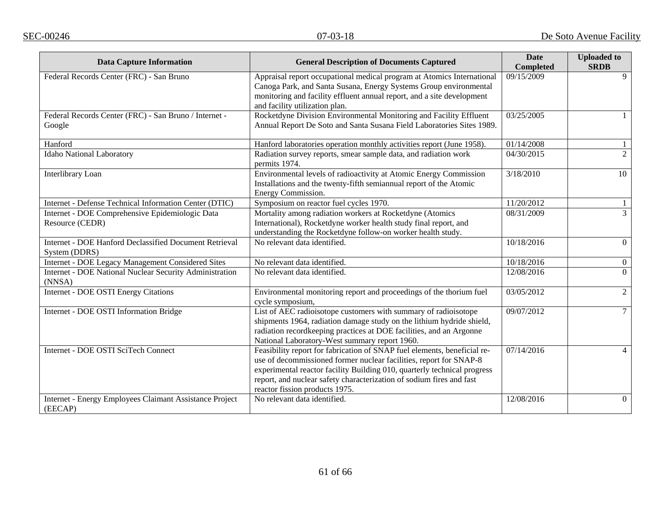| <b>Data Capture Information</b>                                         | <b>General Description of Documents Captured</b>                                                                                                                                                                                                                                                                                     | <b>Date</b><br>Completed | <b>Uploaded</b> to<br><b>SRDB</b> |
|-------------------------------------------------------------------------|--------------------------------------------------------------------------------------------------------------------------------------------------------------------------------------------------------------------------------------------------------------------------------------------------------------------------------------|--------------------------|-----------------------------------|
| Federal Records Center (FRC) - San Bruno                                | Appraisal report occupational medical program at Atomics International<br>Canoga Park, and Santa Susana, Energy Systems Group environmental<br>monitoring and facility effluent annual report, and a site development<br>and facility utilization plan.                                                                              | 09/15/2009               | $\mathbf{Q}$                      |
| Federal Records Center (FRC) - San Bruno / Internet -<br>Google         | Rocketdyne Division Environmental Monitoring and Facility Effluent<br>Annual Report De Soto and Santa Susana Field Laboratories Sites 1989.                                                                                                                                                                                          | 03/25/2005               |                                   |
| Hanford                                                                 | Hanford laboratories operation monthly activities report (June 1958).                                                                                                                                                                                                                                                                | 01/14/2008               |                                   |
| Idaho National Laboratory                                               | Radiation survey reports, smear sample data, and radiation work<br>permits 1974.                                                                                                                                                                                                                                                     | 04/30/2015               | $\overline{2}$                    |
| <b>Interlibrary Loan</b>                                                | Environmental levels of radioactivity at Atomic Energy Commission<br>Installations and the twenty-fifth semiannual report of the Atomic<br>Energy Commission.                                                                                                                                                                        | 3/18/2010                | 10                                |
| Internet - Defense Technical Information Center (DTIC)                  | Symposium on reactor fuel cycles 1970.                                                                                                                                                                                                                                                                                               | 11/20/2012               |                                   |
| Internet - DOE Comprehensive Epidemiologic Data<br>Resource (CEDR)      | Mortality among radiation workers at Rocketdyne (Atomics<br>International), Rocketdyne worker health study final report, and<br>understanding the Rocketdyne follow-on worker health study.                                                                                                                                          | 08/31/2009               | $\overline{3}$                    |
| Internet - DOE Hanford Declassified Document Retrieval<br>System (DDRS) | No relevant data identified.                                                                                                                                                                                                                                                                                                         | 10/18/2016               | $\overline{0}$                    |
| Internet - DOE Legacy Management Considered Sites                       | No relevant data identified.                                                                                                                                                                                                                                                                                                         | 10/18/2016               | $\overline{0}$                    |
| Internet - DOE National Nuclear Security Administration<br>(NNSA)       | No relevant data identified.                                                                                                                                                                                                                                                                                                         | 12/08/2016               | $\Omega$                          |
| <b>Internet - DOE OSTI Energy Citations</b>                             | Environmental monitoring report and proceedings of the thorium fuel<br>cycle symposium,                                                                                                                                                                                                                                              | 03/05/2012               | 2                                 |
| Internet - DOE OSTI Information Bridge                                  | List of AEC radioisotope customers with summary of radioisotope<br>shipments 1964, radiation damage study on the lithium hydride shield,<br>radiation recordkeeping practices at DOE facilities, and an Argonne<br>National Laboratory-West summary report 1960.                                                                     | 09/07/2012               | $\tau$                            |
| Internet - DOE OSTI SciTech Connect                                     | Feasibility report for fabrication of SNAP fuel elements, beneficial re-<br>use of decommissioned former nuclear facilities, report for SNAP-8<br>experimental reactor facility Building 010, quarterly technical progress<br>report, and nuclear safety characterization of sodium fires and fast<br>reactor fission products 1975. | 07/14/2016               | 4                                 |
| Internet - Energy Employees Claimant Assistance Project<br>(EECAP)      | No relevant data identified.                                                                                                                                                                                                                                                                                                         | 12/08/2016               | $\overline{0}$                    |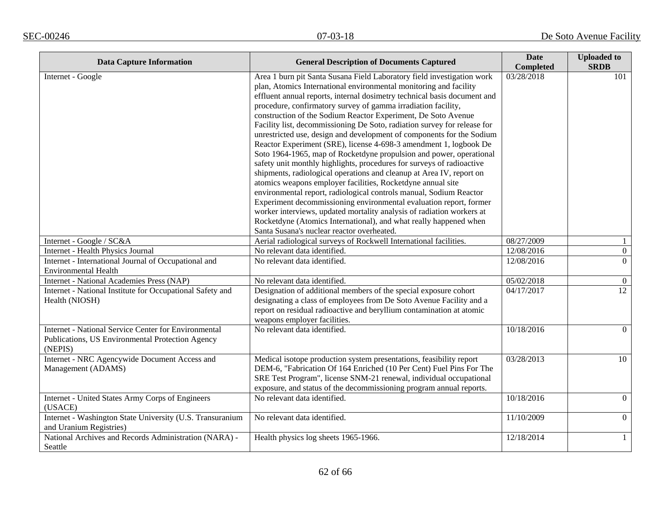| <b>Data Capture Information</b>                                                                                     | <b>General Description of Documents Captured</b>                                                                                                                                                                                                                                                                                                                                                                                                                                                                                                                                                                                                                                                                                                                                                                                                                                                                                                                                                                                                                                                                                                                                                                   | <b>Date</b><br>Completed | <b>Uploaded</b> to<br><b>SRDB</b> |
|---------------------------------------------------------------------------------------------------------------------|--------------------------------------------------------------------------------------------------------------------------------------------------------------------------------------------------------------------------------------------------------------------------------------------------------------------------------------------------------------------------------------------------------------------------------------------------------------------------------------------------------------------------------------------------------------------------------------------------------------------------------------------------------------------------------------------------------------------------------------------------------------------------------------------------------------------------------------------------------------------------------------------------------------------------------------------------------------------------------------------------------------------------------------------------------------------------------------------------------------------------------------------------------------------------------------------------------------------|--------------------------|-----------------------------------|
| Internet - Google                                                                                                   | Area 1 burn pit Santa Susana Field Laboratory field investigation work<br>plan, Atomics International environmental monitoring and facility<br>effluent annual reports, internal dosimetry technical basis document and<br>procedure, confirmatory survey of gamma irradiation facility,<br>construction of the Sodium Reactor Experiment, De Soto Avenue<br>Facility list, decommissioning De Soto, radiation survey for release for<br>unrestricted use, design and development of components for the Sodium<br>Reactor Experiment (SRE), license 4-698-3 amendment 1, logbook De<br>Soto 1964-1965, map of Rocketdyne propulsion and power, operational<br>safety unit monthly highlights, procedures for surveys of radioactive<br>shipments, radiological operations and cleanup at Area IV, report on<br>atomics weapons employer facilities, Rocketdyne annual site<br>environmental report, radiological controls manual, Sodium Reactor<br>Experiment decommissioning environmental evaluation report, former<br>worker interviews, updated mortality analysis of radiation workers at<br>Rocketdyne (Atomics International), and what really happened when<br>Santa Susana's nuclear reactor overheated. | 03/28/2018               | 101                               |
| Internet - Google / SC&A                                                                                            | Aerial radiological surveys of Rockwell International facilities.                                                                                                                                                                                                                                                                                                                                                                                                                                                                                                                                                                                                                                                                                                                                                                                                                                                                                                                                                                                                                                                                                                                                                  | 08/27/2009               |                                   |
| Internet - Health Physics Journal                                                                                   | No relevant data identified.                                                                                                                                                                                                                                                                                                                                                                                                                                                                                                                                                                                                                                                                                                                                                                                                                                                                                                                                                                                                                                                                                                                                                                                       | 12/08/2016               | $\mathbf{0}$                      |
| Internet - International Journal of Occupational and<br><b>Environmental Health</b>                                 | No relevant data identified.                                                                                                                                                                                                                                                                                                                                                                                                                                                                                                                                                                                                                                                                                                                                                                                                                                                                                                                                                                                                                                                                                                                                                                                       | 12/08/2016               | $\theta$                          |
| Internet - National Academies Press (NAP)                                                                           | No relevant data identified.                                                                                                                                                                                                                                                                                                                                                                                                                                                                                                                                                                                                                                                                                                                                                                                                                                                                                                                                                                                                                                                                                                                                                                                       | 05/02/2018               | $\overline{0}$                    |
| Internet - National Institute for Occupational Safety and<br>Health (NIOSH)                                         | Designation of additional members of the special exposure cohort<br>designating a class of employees from De Soto Avenue Facility and a<br>report on residual radioactive and beryllium contamination at atomic<br>weapons employer facilities.                                                                                                                                                                                                                                                                                                                                                                                                                                                                                                                                                                                                                                                                                                                                                                                                                                                                                                                                                                    | 04/17/2017               | 12                                |
| Internet - National Service Center for Environmental<br>Publications, US Environmental Protection Agency<br>(NEPIS) | No relevant data identified.                                                                                                                                                                                                                                                                                                                                                                                                                                                                                                                                                                                                                                                                                                                                                                                                                                                                                                                                                                                                                                                                                                                                                                                       | 10/18/2016               | $\Omega$                          |
| Internet - NRC Agencywide Document Access and<br>Management (ADAMS)                                                 | Medical isotope production system presentations, feasibility report<br>DEM-6, "Fabrication Of 164 Enriched (10 Per Cent) Fuel Pins For The<br>SRE Test Program", license SNM-21 renewal, individual occupational<br>exposure, and status of the decommissioning program annual reports.                                                                                                                                                                                                                                                                                                                                                                                                                                                                                                                                                                                                                                                                                                                                                                                                                                                                                                                            | 03/28/2013               | 10                                |
| Internet - United States Army Corps of Engineers<br>(USACE)                                                         | No relevant data identified.                                                                                                                                                                                                                                                                                                                                                                                                                                                                                                                                                                                                                                                                                                                                                                                                                                                                                                                                                                                                                                                                                                                                                                                       | 10/18/2016               | $\Omega$                          |
| Internet - Washington State University (U.S. Transuranium<br>and Uranium Registries)                                | No relevant data identified.                                                                                                                                                                                                                                                                                                                                                                                                                                                                                                                                                                                                                                                                                                                                                                                                                                                                                                                                                                                                                                                                                                                                                                                       | 11/10/2009               | $\theta$                          |
| National Archives and Records Administration (NARA) -<br>Seattle                                                    | Health physics log sheets 1965-1966.                                                                                                                                                                                                                                                                                                                                                                                                                                                                                                                                                                                                                                                                                                                                                                                                                                                                                                                                                                                                                                                                                                                                                                               | 12/18/2014               | $\mathbf{1}$                      |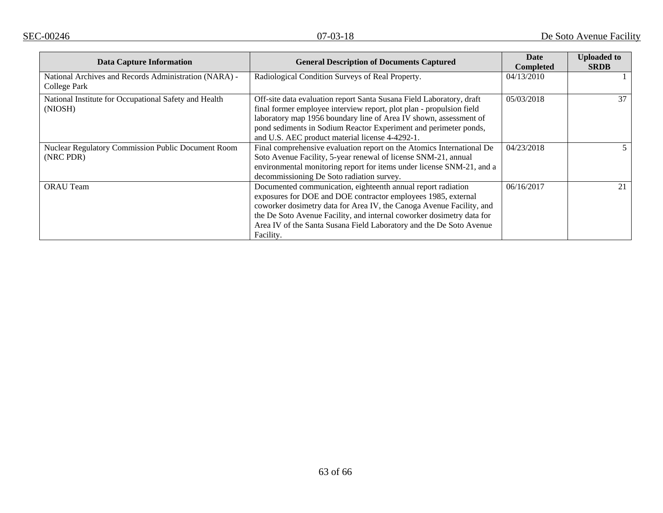| <b>Data Capture Information</b>                                        | <b>General Description of Documents Captured</b>                                                                                                                                                                                                                                                                                                                   | Date<br><b>Completed</b> | <b>Uploaded to</b><br><b>SRDB</b> |
|------------------------------------------------------------------------|--------------------------------------------------------------------------------------------------------------------------------------------------------------------------------------------------------------------------------------------------------------------------------------------------------------------------------------------------------------------|--------------------------|-----------------------------------|
| National Archives and Records Administration (NARA) -<br>College Park  | Radiological Condition Surveys of Real Property.                                                                                                                                                                                                                                                                                                                   | 04/13/2010               |                                   |
| National Institute for Occupational Safety and Health<br>(NIOSH)       | Off-site data evaluation report Santa Susana Field Laboratory, draft<br>final former employee interview report, plot plan - propulsion field<br>laboratory map 1956 boundary line of Area IV shown, assessment of<br>pond sediments in Sodium Reactor Experiment and perimeter ponds,<br>and U.S. AEC product material license 4-4292-1.                           | 05/03/2018               | 37                                |
| <b>Nuclear Regulatory Commission Public Document Room</b><br>(NRC PDR) | Final comprehensive evaluation report on the Atomics International De<br>Soto Avenue Facility, 5-year renewal of license SNM-21, annual<br>environmental monitoring report for items under license SNM-21, and a<br>decommissioning De Soto radiation survey.                                                                                                      | 04/23/2018               |                                   |
| <b>ORAU Team</b>                                                       | Documented communication, eighteenth annual report radiation<br>exposures for DOE and DOE contractor employees 1985, external<br>coworker dosimetry data for Area IV, the Canoga Avenue Facility, and<br>the De Soto Avenue Facility, and internal coworker dosimetry data for<br>Area IV of the Santa Susana Field Laboratory and the De Soto Avenue<br>Facility. | 06/16/2017               | 21                                |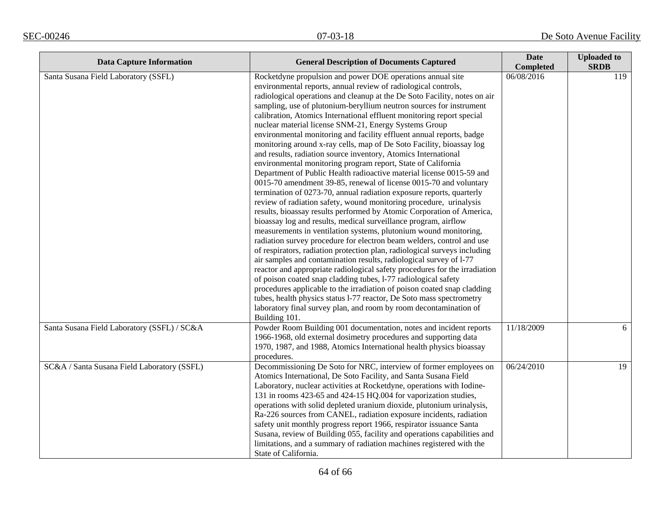| <b>Data Capture Information</b>             | <b>General Description of Documents Captured</b>                                                                                                                                                                                                                                                                                                                                                                                                                                                                                                                                                                                                                                                                                                                                                                                                                                                                                                                                                                                                                                                                                                                                                                                                                                                                                                                                                                                                                                                                                                                                                                                                                                                                                                                                                                                     | <b>Date</b><br><b>Completed</b> | <b>Uploaded</b> to<br><b>SRDB</b> |
|---------------------------------------------|--------------------------------------------------------------------------------------------------------------------------------------------------------------------------------------------------------------------------------------------------------------------------------------------------------------------------------------------------------------------------------------------------------------------------------------------------------------------------------------------------------------------------------------------------------------------------------------------------------------------------------------------------------------------------------------------------------------------------------------------------------------------------------------------------------------------------------------------------------------------------------------------------------------------------------------------------------------------------------------------------------------------------------------------------------------------------------------------------------------------------------------------------------------------------------------------------------------------------------------------------------------------------------------------------------------------------------------------------------------------------------------------------------------------------------------------------------------------------------------------------------------------------------------------------------------------------------------------------------------------------------------------------------------------------------------------------------------------------------------------------------------------------------------------------------------------------------------|---------------------------------|-----------------------------------|
| Santa Susana Field Laboratory (SSFL)        | Rocketdyne propulsion and power DOE operations annual site<br>environmental reports, annual review of radiological controls,<br>radiological operations and cleanup at the De Soto Facility, notes on air<br>sampling, use of plutonium-beryllium neutron sources for instrument<br>calibration, Atomics International effluent monitoring report special<br>nuclear material license SNM-21, Energy Systems Group<br>environmental monitoring and facility effluent annual reports, badge<br>monitoring around x-ray cells, map of De Soto Facility, bioassay log<br>and results, radiation source inventory, Atomics International<br>environmental monitoring program report, State of California<br>Department of Public Health radioactive material license 0015-59 and<br>0015-70 amendment 39-85, renewal of license 0015-70 and voluntary<br>termination of 0273-70, annual radiation exposure reports, quarterly<br>review of radiation safety, wound monitoring procedure, urinalysis<br>results, bioassay results performed by Atomic Corporation of America,<br>bioassay log and results, medical surveillance program, airflow<br>measurements in ventilation systems, plutonium wound monitoring,<br>radiation survey procedure for electron beam welders, control and use<br>of respirators, radiation protection plan, radiological surveys including<br>air samples and contamination results, radiological survey of 1-77<br>reactor and appropriate radiological safety procedures for the irradiation<br>of poison coated snap cladding tubes, 1-77 radiological safety<br>procedures applicable to the irradiation of poison coated snap cladding<br>tubes, health physics status 1-77 reactor, De Soto mass spectrometry<br>laboratory final survey plan, and room by room decontamination of<br>Building 101. | 06/08/2016                      | 119                               |
| Santa Susana Field Laboratory (SSFL) / SC&A | Powder Room Building 001 documentation, notes and incident reports<br>1966-1968, old external dosimetry procedures and supporting data<br>1970, 1987, and 1988, Atomics International health physics bioassay<br>procedures.                                                                                                                                                                                                                                                                                                                                                                                                                                                                                                                                                                                                                                                                                                                                                                                                                                                                                                                                                                                                                                                                                                                                                                                                                                                                                                                                                                                                                                                                                                                                                                                                         | 11/18/2009                      | 6                                 |
| SC&A / Santa Susana Field Laboratory (SSFL) | Decommissioning De Soto for NRC, interview of former employees on<br>Atomics International, De Soto Facility, and Santa Susana Field<br>Laboratory, nuclear activities at Rocketdyne, operations with Iodine-<br>131 in rooms 423-65 and 424-15 HQ.004 for vaporization studies,<br>operations with solid depleted uranium dioxide, plutonium urinalysis,<br>Ra-226 sources from CANEL, radiation exposure incidents, radiation<br>safety unit monthly progress report 1966, respirator issuance Santa<br>Susana, review of Building 055, facility and operations capabilities and<br>limitations, and a summary of radiation machines registered with the<br>State of California.                                                                                                                                                                                                                                                                                                                                                                                                                                                                                                                                                                                                                                                                                                                                                                                                                                                                                                                                                                                                                                                                                                                                                   | 06/24/2010                      | 19                                |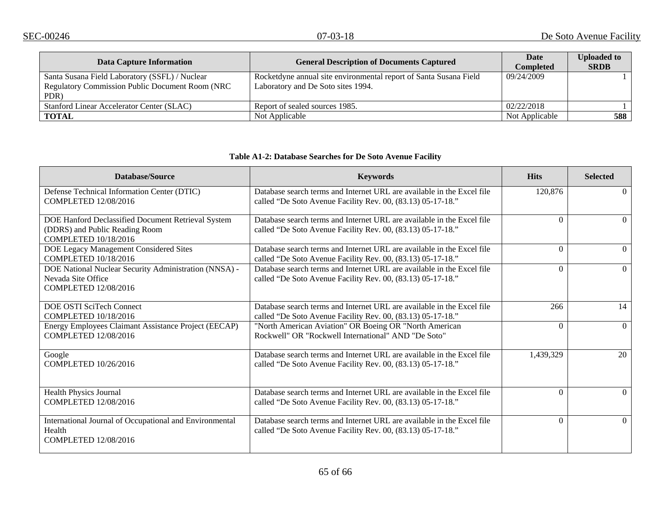| <b>Data Capture Information</b>                                                                                  | <b>General Description of Documents Captured</b>                                                        | Date<br><b>Completed</b> | <b>Uploaded to</b><br><b>SRDB</b> |
|------------------------------------------------------------------------------------------------------------------|---------------------------------------------------------------------------------------------------------|--------------------------|-----------------------------------|
| Santa Susana Field Laboratory (SSFL) / Nuclear<br><b>Regulatory Commission Public Document Room (NRC</b><br>PDR) | Rocketdyne annual site environmental report of Santa Susana Field<br>Laboratory and De Soto sites 1994. | 09/24/2009               |                                   |
| <b>Stanford Linear Accelerator Center (SLAC)</b>                                                                 | Report of sealed sources 1985.                                                                          | 02/22/2018               |                                   |
| <b>TOTAL</b>                                                                                                     | Not Applicable                                                                                          | Not Applicable           | 588                               |

#### **Table A1-2: Database Searches for De Soto Avenue Facility**

<span id="page-64-0"></span>

| Database/Source                                                                                              | <b>Keywords</b>                                                                                                                       | <b>Hits</b> | <b>Selected</b> |
|--------------------------------------------------------------------------------------------------------------|---------------------------------------------------------------------------------------------------------------------------------------|-------------|-----------------|
| Defense Technical Information Center (DTIC)<br>COMPLETED 12/08/2016                                          | Database search terms and Internet URL are available in the Excel file<br>called "De Soto Avenue Facility Rev. 00, (83.13) 05-17-18." | 120,876     | $\Omega$        |
| DOE Hanford Declassified Document Retrieval System<br>(DDRS) and Public Reading Room<br>COMPLETED 10/18/2016 | Database search terms and Internet URL are available in the Excel file<br>called "De Soto Avenue Facility Rev. 00, (83.13) 05-17-18." | $\Omega$    | $\Omega$        |
| DOE Legacy Management Considered Sites<br>COMPLETED 10/18/2016                                               | Database search terms and Internet URL are available in the Excel file<br>called "De Soto Avenue Facility Rev. 00, (83.13) 05-17-18." | $\Omega$    | $\Omega$        |
| DOE National Nuclear Security Administration (NNSA) -<br>Nevada Site Office<br>COMPLETED 12/08/2016          | Database search terms and Internet URL are available in the Excel file<br>called "De Soto Avenue Facility Rev. 00, (83.13) 05-17-18." | $\Omega$    | $\Omega$        |
| <b>DOE OSTI SciTech Connect</b><br>COMPLETED 10/18/2016                                                      | Database search terms and Internet URL are available in the Excel file<br>called "De Soto Avenue Facility Rev. 00, (83.13) 05-17-18." | 266         | 14              |
| Energy Employees Claimant Assistance Project (EECAP)<br>COMPLETED 12/08/2016                                 | "North American Aviation" OR Boeing OR "North American<br>Rockwell" OR "Rockwell International" AND "De Soto"                         | $\Omega$    | $\Omega$        |
| Google<br>COMPLETED 10/26/2016                                                                               | Database search terms and Internet URL are available in the Excel file<br>called "De Soto Avenue Facility Rev. 00, (83.13) 05-17-18." | 1,439,329   | 20              |
| Health Physics Journal<br>COMPLETED 12/08/2016                                                               | Database search terms and Internet URL are available in the Excel file<br>called "De Soto Avenue Facility Rev. 00, (83.13) 05-17-18." | $\Omega$    | 0               |
| International Journal of Occupational and Environmental<br>Health<br>COMPLETED 12/08/2016                    | Database search terms and Internet URL are available in the Excel file<br>called "De Soto Avenue Facility Rev. 00, (83.13) 05-17-18." | $\Omega$    | $\Omega$        |